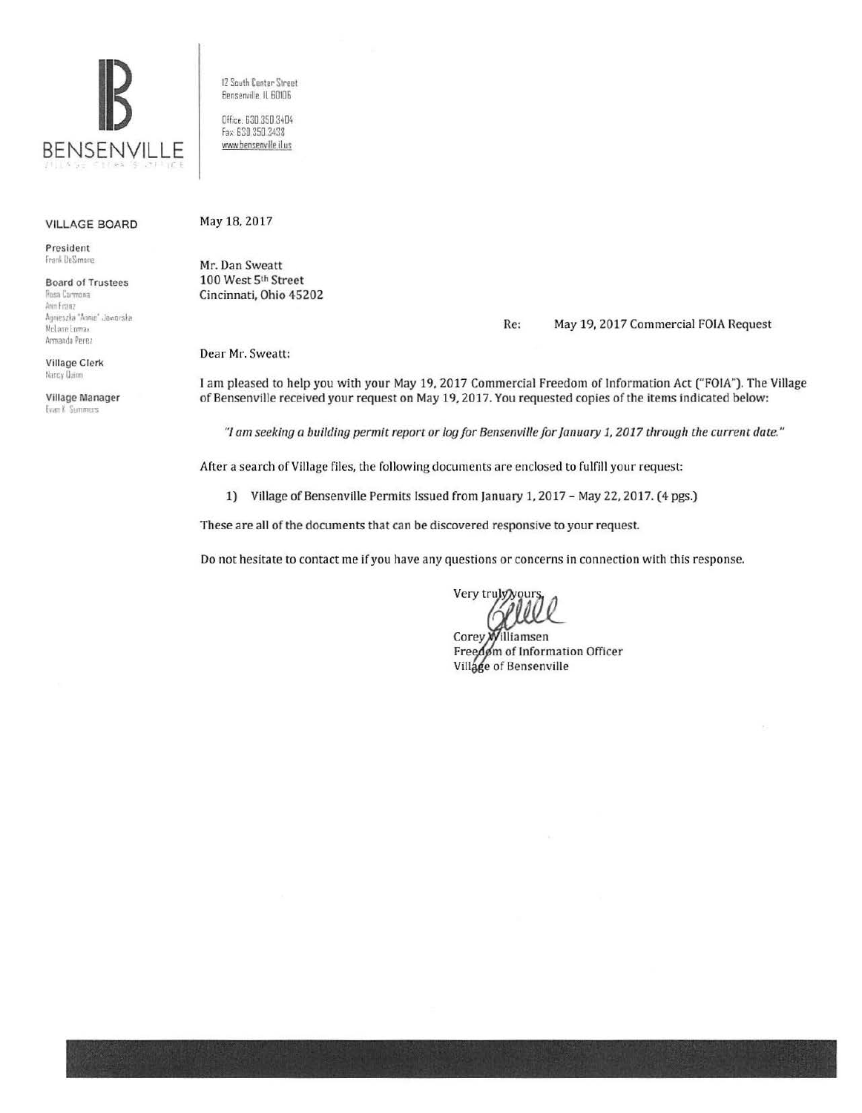

VILLAGE BOARD

President frank DeSimone

Board of Trustees Posa Carmona Ann Franz Agnieszka "Annie" Jaworska McLane Lomax

Village Clerk Nancy Uuinn

Armando Perez

Village Manager **Evan K** Summers

12 South Center Street Bensenville, IL 60106

Office. 630.350 3404 fa• 630 350 3438 www.bensenville.il.us

## May 18, 2017

Mr. Dan Sweatt 100 West 5th Street Cincinnati, Ohio 45202

Re: May 19, 2017 Commercial FOIA Request

Dear Mr. Sweatt:

I am pleased to help you with your May 19, 2017 Commercial Freedom of Information Act ("FOlA"). The Village of Bensenville received your request on May 19, 2017. You requested copies of the items indicated below:

*"/am seeking a building permit report or log for Bensenville for January 1, 2017 through the current date."* 

After a search of Village files, the following documents are enclosed to fulfill your request:

1) Village of Bensenville Permits Issued from January 1, 2017 - May 22, 2017. (4 pgs.)

These are all of the documents that can be discovered responsive to your request.

Do not hesitate to contact me if you have any questions or concerns in connection with this response.

Very trul

Corey) illiamsen Freedom of Information Officer Village of Bensenville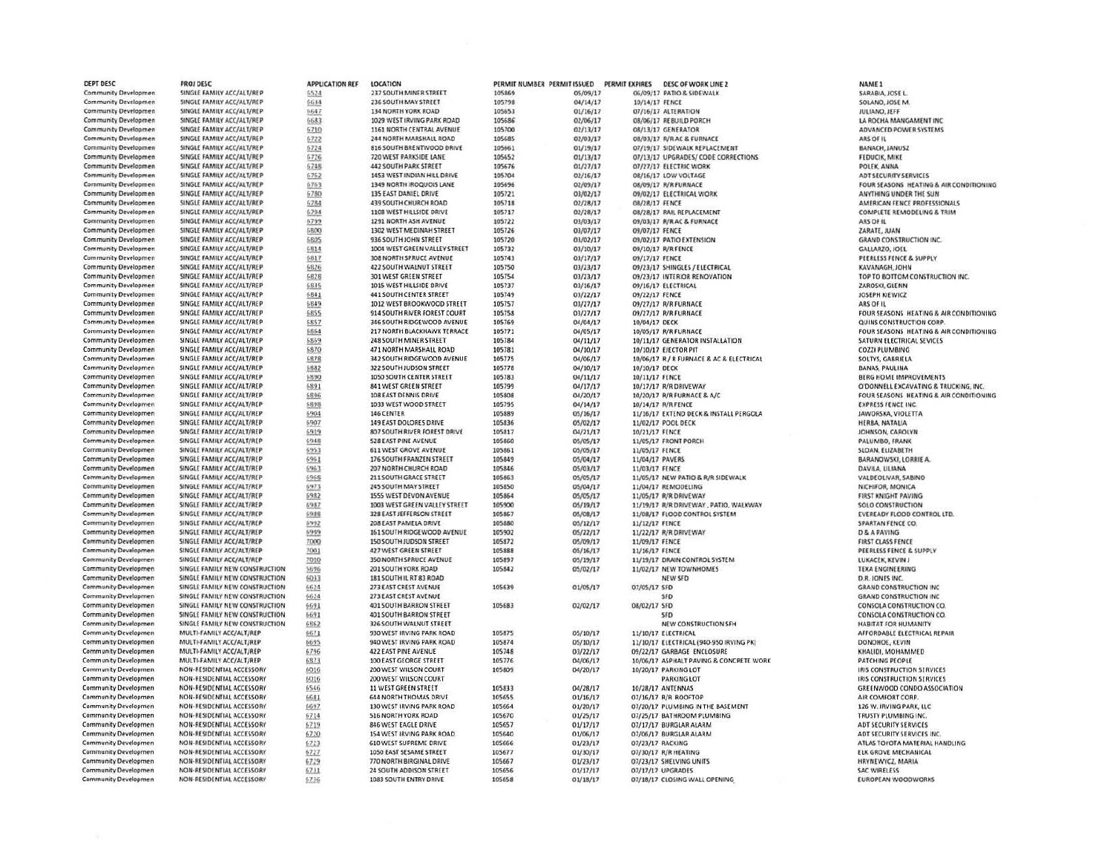| Community Developmen<br>6524<br>105869<br>05/09/17<br>06/09/17 PATIO & SIDEWALK<br>Community Developmen<br>SINGLE FAMILY ACC/ALT/REP<br>6634<br>236 SOUTH MAY STREET<br>105798<br>04/14/17<br>SOLANO, JOSE M.<br>10/14/17 FENCE<br>Community Developmen<br>SINGLE FAMILY ACC/ALT/REP<br>6647<br>134 NORTH YORK ROAD<br>105653<br>01/16/17<br>07/16/17 ALTERATION<br>JULIANO, JEFF<br>Community Developmen<br>SINGLE FAMILY ACC/ALT/REP<br>1029 WEST IRVING PARK ROAD<br>105686<br>02/06/17<br>LA ROCHA MANGAMENT INC<br>6683<br>08/06/17 REBUILD PORCH<br><b>Community Developmen</b><br>SINGLE FAMILY ACC/ALT/REP<br>6710<br>1161 NORTH CENTRAL AVENUE<br>105700<br>02/13/17<br>08/13/17 GENERATOR<br>ADVANCED POWER SYSTEMS<br>SINGLE FAMILY ACC/ALT/REP<br><b>Community Developmen</b><br>6722<br>244 NORTH MARSHALL ROAD<br>105685<br>02/03/17<br>08/03/17 R/R AC & FURNACE<br>ARS OF IL<br>SINGLE FAMILY ACC/ALT/REP<br>Community Developmen<br>6724<br>816 SOUTH BRENTWOOD DRIVE<br>105661<br>01/19/17<br>BANACH, JANUSZ<br>07/19/17 SIDEWALK REPLACEMENT<br>SINGLE FAMILY ACC/ALT/REP<br>Community Developmen<br>720 WEST PARKSIDE LANE<br>105652<br>01/13/17<br>07/13/17 UPGRADES/ CODE CORRECTIONS<br>FEDUCIK, MIKE<br>6726<br>Community Developmen<br>SINGLE FAMILY ACC/ALT/REP<br>6748<br>442 SOUTH PARK STREET<br>01/27/17<br>105676<br>07/27/17 ELECTRIC WORK<br>POLEK, ANNA<br>Community Developmen<br>SINGLE FAMILY ACC/ALT/REP<br>6762<br>1453 WEST INDIAN HILL DRIVE<br>105704<br>02/16/17<br>08/16/17 LOW VOLTAGE<br>ADT SECURITY SERVICES<br>SINGLE FAMILY ACC/ALT/REP<br>Community Developmen<br>6763<br>1349 NORTH IROQUOIS LANE<br>105696<br>02/09/17<br>08/09/17 R/R FURNACE<br>FOUR SEASONS HEATING & AIR CONDITIONING<br>Community Developmen<br>SINGLE FAMILY ACC/ALT/REP<br>135 EAST DANIEL DRIVE<br>03/02/17<br>ANYTHING UNDER THE SUN<br>6780<br>105721<br>09/02/17 ELECTRICAL WORK<br>Community Developmen<br>SINGLE FAMILY ACC/ALT/REP<br>6784<br><b>439 SOUTH CHURCH ROAD</b><br>105718<br>02/28/17<br>08/28/17 FENCE<br>AMERICAN FENCE PROFESSIONALS<br>Community Developmen<br>SINGLE FAMILY ACC/ALT/REP<br>6794<br>1108 WEST HILLSIDE DRIVE<br>105717<br>02/28/17<br>08/28/17 RAIL REPLACEMENT<br><b>COMPLETE REMODELING &amp; TRIM</b><br>SINGLE FAMILY ACC/ALT/REP<br>1291 NORTH ASH AVENUE<br>03/03/17<br><b>Community Developmen</b><br>6799<br>105722<br>09/03/17 R/R AC & FURNACE<br>ARS OF IL<br>SINGLE FAMILY ACC/ALT/REP<br>Community Developmen<br>6800<br>1302 WEST MEDINAH STREET<br>105726<br>03/07/17<br>09/07/17 FENCE<br>ZARATE, JUAN<br>SINGLE FAMILY ACC/ALT/REP<br><b>Community Developmen</b><br>6805<br>936 SOUTH JOHN STREET<br>105720<br>03/02/17<br>09/02/17 PATIO EXTENSION<br><b>GRAND CONSTRUCTION INC.</b><br>Community Developmen<br>SINGLE FAMILY ACC/ALT/REP<br>5814<br>1004 WEST GREEN VALLEY STREET<br>03/10/17<br>105732<br>09/10/17 R/R FENCE<br>GALLARZO, JOEL<br><b>Community Developmen</b><br>SINGLE FAMILY ACC/ALT/REP<br>6817<br>308 NORTH SPRUCE AVENUE<br>105743<br>03/17/17<br>09/17/17 FENCE<br>PEERLESS FENCE & SUPPLY<br><b>Community Developmen</b><br>SINGLE FAMILY ACC/ALT/REP<br>6826<br>422 SOUTH WALNUT STREET<br>105750<br>03/23/17<br>09/23/17 SHINGLES / ELECTRICAL<br>KAVANAGH, JOHN<br>Community Developmen<br>SINGLE FAMILY ACC/ALT/REP<br><b>301 WEST GREEN STREET</b><br>105754<br>03/23/17<br>09/23/17 INTERIOR RENOVATION<br>TOP TO BOTTOM CONSTRUCTION INC.<br>6828<br><b>Community Developmen</b><br>SINGLE FAMILY ACC/ALT/REP<br>6835<br>1015 WEST HILLSIDE DRIVE<br>105737<br>03/16/17<br>09/16/17 ELECTRICAL<br>ZAROSKI, GLENN<br><b>Community Developmen</b><br>SINGLE FAMILY ACC/ALT/REP<br>6841<br><b>441 SOUTH CENTER STREET</b><br>105749<br>03/22/17<br>09/22/17 FENCE<br>JOSEPH KIEWICZ<br><b>Community Developmen</b><br>SINGLE FAMILY ACC/ALT/REP<br>6849<br>1012 WEST BROOKWOOD STREET<br>105757<br>03/27/17<br>09/27/17 R/R FURNACE<br>ARS OF IL<br>SINGLE FAMILY ACC/ALT/REP<br>6855<br>914 SOUTH RIVER FOREST COURT<br>105758<br>03/27/17<br>FOUR SEASONS HEATING & AIR CONDITIONING<br><b>Community Developmen</b><br>09/27/17 R/R FURNACE<br>SINGLE FAMILY ACC/ALT/REP<br>6857<br>346 SOUTH RIDGEWOOD AVENUE<br>04/04/17<br>Community Developmen<br>105769<br>10/04/17 DECK<br>QUINS CONSTRUCTION CORP.<br><b>Community Developmen</b><br>SINGLE FAMILY ACC/ALT/REP<br>6864<br>217 NORTH BLACKHAWK TERRACE<br>105771<br>04/05/17<br>FOUR SEASONS HEATING & AIR CONDITIONING<br>10/05/17 R/R FURNACE<br>SINGLE FAMILY ACC/ALT/REP<br><b>Community Developmen</b><br>6869<br>248 SOUTH MINER STREET<br>105784<br>04/11/17<br>10/11/17 GENERATOR INSTALLATION<br>SATURN ELECTRICAL SEVICES<br><b>Community Developmen</b><br>SINGLE FAMILY ACC/ALT/REP<br>6870<br>471 NORTH MARSHALL ROAD<br>04/10/17<br>105781<br>10/10/17 EJECTOR PIT<br>COZZI PLUMBING<br>Community Developmen<br>SINGLE FAMILY ACC/ALT/REP<br>6878<br>342 SOUTH RIDGEWOOD AVENUE<br>105775<br>04/06/17<br>10/06/17 R / R FURNACE & AC & ELECTRICAL<br>SOLTYS, GABRIELA<br>SINGLE FAMILY ACC/ALT/REP<br>6882<br>Community Developmen<br>322 SOUTH JUDSON STREET<br>105778<br>04/10/17<br>10/10/17 DECK<br>BANAS, PAULINA<br>SINGLE FAMILY ACC/ALT/REP<br>6890<br>1050 SOUTH CENTER STREET<br>105783<br>04/11/17<br><b>BERG HOME IMPROVEMENTS</b><br>Community Developmen<br>10/11/17 FENCE<br>SINGLE FAMILY ACC/ALT/REP<br>6891<br>841 WEST GREEN STREET<br>105799<br>04/17/17<br>10/17/17 R/R DRIVEWAY<br><b>Community Developmen</b><br>O'DONNELL EXCAVATING & TRUCKING, INC.<br>SINGLE FAMILY ACC/ALT/REP<br>6896<br>108 EAST DENNIS DRIVE<br>105808<br>04/20/17<br>FOUR SEASONS HEATING & AIR CONDITIONING<br>Community Developmen<br>10/20/17 R/R FURNACE & A/C<br>Community Developmen<br>SINGLE FAMILY ACC/ALT/REP<br>6898<br>1033 WEST WOOD STREET<br>105795<br>04/14/17<br>10/14/17 R/R FENCE<br><b>EXPRESS FENCE INC.</b><br>SINGLE FAMILY ACC/ALT/REP<br>11/16/17 EXTEND DECK & INSTALL PERGOLA<br>Community Developmen<br>6904<br>146 CENTER<br>105889<br>05/16/17<br>JAWORSKA, VIOLETTA<br><b>Community Developmen</b><br>SINGLE FAMILY ACC/ALT/REP<br>6907<br>149 EAST DOLORES DRIVE<br>105836<br>05/02/17<br>11/02/17 POOL DECK<br>HERBA, NATALIA<br><b>Community Developmen</b><br>SINGLE FAMILY ACC/ALT/REP<br>6919<br>807 SOUTH RIVER FOREST DRIVE<br>105817<br>04/21/17<br>10/21/17 FENCE<br>JOHNSON, CAROLYN<br>SINGLE FAMILY ACC/ALT/REP<br>05/05/17<br><b>Community Developmen</b><br>6948<br>528 EAST PINE AVENUE<br>105860<br>11/05/17 FRONT PORCH<br>PALUMBO, FRANK<br>SINGLE FAMILY ACC/ALT/REP<br><b>611 WEST GROVE AVENUE</b><br>05/05/17<br><b>Community Developmen</b><br>6953<br>105861<br>SLOAN, ELIZABETH<br>11/05/17 FENCE<br>SINGLE FAMILY ACC/ALT/REP<br>176 SOUTH FRANZEN STREET<br>Community Developmen<br>6961<br>105849<br>05/04/17<br>BARANOWSKI, LORRIE A.<br>11/04/17 PAVERS<br>Community Developmen<br>SINGLE FAMILY ACC/ALT/REP<br>6963<br>207 NORTH CHURCH ROAD<br>105846<br>05/03/17<br><b>DAVILA, LILIANA</b><br>11/03/17 FENCE<br>SINGLE FAMILY ACC/ALT/REP<br>Community Developmen<br>6968<br>211 SOUTH GRACE STREET<br>105863<br>05/05/17<br>11/05/17 NEW PATIO & R/R SIDEWALK<br>VALDEOLIVAR, SABINO<br>Community Developmen<br>SINGLE FAMILY ACC/ALT/REP<br>6973<br>245 SOUTH MAY STREET<br>05/04/17<br>NICHIFOR, MONICA<br>105850<br>11/04/17 REMODELING<br><b>Community Developmen</b><br>SINGLE FAMILY ACC/ALT/REP<br>6982<br>1555 WEST DEVON AVENUE<br>105864<br>05/05/17<br>11/05/17 R/R DRIVEWAY<br><b>FIRST KNIGHT PAVING</b><br>SINGLE FAMILY ACC/ALT/REP<br>Community Developmen<br>6987<br>1003 WEST GREEN VALLEY STREET<br>105900<br>05/19/17<br>11/19/17 R/R DRIVEWAY, PATIO, WALKWAY<br>SOLO CONSTRUCTION<br>SINGLE FAMILY ACC/ALT/REP<br>6988<br>328 EAST JEFFERSON STREET<br>05/08/17<br>11/08/17 FLOOD CONTROL SYSTEM<br>EVEREADY FLOOD CONTROL LTD.<br><b>Community Developmen</b><br>105867<br><b>Community Developmen</b><br>SINGLE FAMILY ACC/ALT/REP<br>208 EAST PAMELA DRIVE<br>105880<br>6992<br>05/12/17<br>11/12/17 FENCE<br>SPARTAN FENCE CO.<br><b>Community Developmen</b><br>SINGLE FAMILY ACC/ALT/REP<br>6999<br>161 SOUTH RIDGEWOOD AVENUE<br>105902<br>05/22/17<br>11/22/17 R/R DRIVEWAY<br><b>D &amp; A PAVING</b><br><b>Community Developmen</b><br>SINGLE FAMILY ACC/ALT/REP<br>7000<br>150 SOUTH JUDSON STREET<br>105872<br>05/09/17<br>11/09/17 FENCE<br><b>FIRST CLASS FENCE</b><br>SINGLE FAMILY ACC/ALT/REP<br><b>Community Developmen</b><br>7001<br>427 WEST GREEN STREET<br>105888<br>05/16/17<br>11/16/17 FENCE<br>PEERLESS FENCE & SUPPLY<br>Community Developmen<br>SINGLE FAMILY ACC/ALT/REP<br>7010<br>350 NORTH SPRUCE AVENUE<br>105897<br>05/19/17<br>11/19/17 DRAIN CONTROL SYSTEM<br>LUKACEK, KEVIN J<br><b>Community Developmen</b><br>SINGLE FAMILY NEW CONSTRUCTION<br>5696<br>201 SOUTH YORK ROAD<br>105842<br>05/02/17<br>11/02/17 NEW TOWNHOMES<br><b>TEXA ENGINEERING</b><br>Community Developmen<br>SINGLE FAMILY NEW CONSTRUCTION<br>6033<br>181 SOUTH IL RT 83 ROAD<br>NEW SFD<br>D.R. JONES INC.<br>105639<br><b>Community Developmen</b><br>SINGLE FAMILY NEW CONSTRUCTION<br>6624<br>273 EAST CREST AVENUE<br>01/05/17<br>07/05/17 SFD<br><b>GRAND CONSTRUCTION INC.</b><br>Community Developmen<br>SINGLE FAMILY NEW CONSTRUCTION<br>273 EAST CREST AVENUE<br>6624<br>SFD<br><b>GRAND CONSTRUCTION INC.</b><br><b>Community Developmen</b><br>SINGLE FAMILY NEW CONSTRUCTION<br>401 SOUTH BARRON STREET<br>105683<br>02/02/17<br>08/02/17 SFD<br>6691<br>CONSOLA CONSTRUCTION CO.<br><b>Community Developmen</b><br>SINGLE FAMILY NEW CONSTRUCTION<br>6691<br>401 SOUTH BARRON STREET<br>CONSOLA CONSTRUCTION CO.<br><b>SFD</b><br>SINGLE FAMILY NEW CONSTRUCTION<br><b>Community Developmen</b><br>6862<br>326 SOUTH WALNUT STREET<br>NEW CONSTRUCTION SFH<br>HABITAT FOR HUMANITY<br><b>Community Developmen</b><br>MULTI-FAMILY ACC/ALT/REP<br>930 WEST IRVING PARK ROAD<br>105875<br>05/10/17<br>6671<br>11/10/17 ELECTRICAL<br>AFFORDABLE ELECTRICAL REPAIR<br><b>Community Developmen</b><br>MULTI-FAMILY ACC/ALT/REP<br>6695<br>940 WEST IRVING PARK ROAD<br>105874<br>05/10/17<br>11/10/17 ELECTRICAL (940-950 IRVING PK)<br>DONOHOE, KEVIN<br><b>Community Developmen</b><br>MULTI-FAMILY ACC/ALT/REP<br>6796<br>422 EAST PINE AVENUE<br>105748<br>03/22/17<br>09/22/17 GARBAGE ENCLOSURE<br>KHALIDI, MOHAMMED<br>MULTI-FAMILY ACC/ALT/REP<br>6873<br>10/06/17 ASPHALT PAVING & CONCRETE WORK<br><b>Community Developmen</b><br>100 EAST GEORGE STREET<br>105776<br>04/06/17<br>PATCHING PEOPLE<br>NON-RESIDENTIAL ACCESSORY<br><b>Community Developmen</b><br>6016<br>200 WEST WILSON COURT<br>105809<br>04/20/17<br>10/20/17 PARKING LOT<br>IRIS CONSTRUCTION SERVICES<br><b>Community Developmen</b><br>NON-RESIDENTIAL ACCESSORY<br>6016<br>200 WEST WILSON COURT<br><b>IRIS CONSTRUCTION SERVICES</b><br><b>PARKING LOT</b><br><b>Community Developmen</b><br>NON-RESIDENTIAL ACCESSORY<br>6546<br>11 WEST GREEN STREET<br>105833<br>04/28/17<br>10/28/17 ANTENNAS<br><b>GREENWOOD CONDO ASSOCIATION</b><br><b>Community Developmen</b><br>NON-RESIDENTIAL ACCESSORY<br>6681<br><b>644 NORTH THOMAS DRIVE</b><br>105655<br>01/16/17<br>07/16/17 R/R ROOFTOP<br>AIR COMFORT CORP.<br><b>Community Developmen</b><br>NON-RESIDENTIAL ACCESSORY<br>6697<br>130 WEST IRVING PARK ROAD<br>105664<br>01/20/17<br>07/20/17 PLUMBING IN THE BASEMENT<br>126 W. IRVING PARK, LLC<br><b>Community Developmen</b><br>NON-RESIDENTIAL ACCESSORY<br>6714<br>516 NORTH YORK ROAD<br>105670<br>01/25/17<br>07/25/17 BATHROOM PLUMBING<br>TRUSTY PLUMBING INC.<br><b>Community Developmen</b><br>NON-RESIDENTIAL ACCESSORY<br>6719<br><b>846 WEST EAGLE DRIVE</b><br>105657<br>01/17/17<br>07/17/17 BURGLAR ALARM<br>ADT SECURITY SERVICES<br><b>Community Developmen</b><br>NON-RESIDENTIAL ACCESSORY<br>6720<br>154 WEST IRVING PARK ROAD<br>105640<br>01/06/17<br>07/06/17 BURGLAR ALARM<br>ADT SECURITY SERVICES INC.<br><b>Community Developmen</b><br>NON-RESIDENTIAL ACCESSORY<br>6723<br><b>610 WEST SUPREME DRIVE</b><br>105666<br>01/23/17<br>07/23/17 RACKING<br>ATLAS TOYOTA MATERIAL HANDLING<br>Community Developmen<br>NON-RESIDENTIAL ACCESSORY<br>6727<br>1050 EAST SESAME STREET<br>105677<br>01/30/17<br>07/30/17 R/R HEATING<br><b>ELK GROVE MECHANICAL</b><br><b>Community Developmen</b><br>NON-RESIDENTIAL ACCESSORY<br>6729<br>770 NORTH BIRGINAL DRIVE<br>105667<br>01/23/17<br>07/23/17 SHELVING UNITS<br>HRYNEWYCZ, MARIA<br><b>Community Developmen</b><br>NON-RESIDENTIAL ACCESSORY<br>6731<br>24 SOUTH ADDISON STREET<br>105656<br>01/17/17<br>07/17/17 UPGRADES<br><b>SAC WIRELESS</b><br><b>Community Developmen</b><br>NON-RESIDENTIAL ACCESSORY<br>1083 SOUTH ENTRY DRIVE<br>105658<br>01/18/17<br>07/18/17 CLOSING WALL OPENING<br><b>EUROPEAN WOODWORKS</b><br>5736 | DEPT DESC | PROJ DESC                 | <b>APPLICATION REF</b> | <b>LOCATION</b>        | PERMIT NUMBER PERMIT ISSUED | PERMIT EXPIRES | <b>DESC OF WORK LINE 2</b> | NAME 1           |
|--------------------------------------------------------------------------------------------------------------------------------------------------------------------------------------------------------------------------------------------------------------------------------------------------------------------------------------------------------------------------------------------------------------------------------------------------------------------------------------------------------------------------------------------------------------------------------------------------------------------------------------------------------------------------------------------------------------------------------------------------------------------------------------------------------------------------------------------------------------------------------------------------------------------------------------------------------------------------------------------------------------------------------------------------------------------------------------------------------------------------------------------------------------------------------------------------------------------------------------------------------------------------------------------------------------------------------------------------------------------------------------------------------------------------------------------------------------------------------------------------------------------------------------------------------------------------------------------------------------------------------------------------------------------------------------------------------------------------------------------------------------------------------------------------------------------------------------------------------------------------------------------------------------------------------------------------------------------------------------------------------------------------------------------------------------------------------------------------------------------------------------------------------------------------------------------------------------------------------------------------------------------------------------------------------------------------------------------------------------------------------------------------------------------------------------------------------------------------------------------------------------------------------------------------------------------------------------------------------------------------------------------------------------------------------------------------------------------------------------------------------------------------------------------------------------------------------------------------------------------------------------------------------------------------------------------------------------------------------------------------------------------------------------------------------------------------------------------------------------------------------------------------------------------------------------------------------------------------------------------------------------------------------------------------------------------------------------------------------------------------------------------------------------------------------------------------------------------------------------------------------------------------------------------------------------------------------------------------------------------------------------------------------------------------------------------------------------------------------------------------------------------------------------------------------------------------------------------------------------------------------------------------------------------------------------------------------------------------------------------------------------------------------------------------------------------------------------------------------------------------------------------------------------------------------------------------------------------------------------------------------------------------------------------------------------------------------------------------------------------------------------------------------------------------------------------------------------------------------------------------------------------------------------------------------------------------------------------------------------------------------------------------------------------------------------------------------------------------------------------------------------------------------------------------------------------------------------------------------------------------------------------------------------------------------------------------------------------------------------------------------------------------------------------------------------------------------------------------------------------------------------------------------------------------------------------------------------------------------------------------------------------------------------------------------------------------------------------------------------------------------------------------------------------------------------------------------------------------------------------------------------------------------------------------------------------------------------------------------------------------------------------------------------------------------------------------------------------------------------------------------------------------------------------------------------------------------------------------------------------------------------------------------------------------------------------------------------------------------------------------------------------------------------------------------------------------------------------------------------------------------------------------------------------------------------------------------------------------------------------------------------------------------------------------------------------------------------------------------------------------------------------------------------------------------------------------------------------------------------------------------------------------------------------------------------------------------------------------------------------------------------------------------------------------------------------------------------------------------------------------------------------------------------------------------------------------------------------------------------------------------------------------------------------------------------------------------------------------------------------------------------------------------------------------------------------------------------------------------------------------------------------------------------------------------------------------------------------------------------------------------------------------------------------------------------------------------------------------------------------------------------------------------------------------------------------------------------------------------------------------------------------------------------------------------------------------------------------------------------------------------------------------------------------------------------------------------------------------------------------------------------------------------------------------------------------------------------------------------------------------------------------------------------------------------------------------------------------------------------------------------------------------------------------------------------------------------------------------------------------------------------------------------------------------------------------------------------------------------------------------------------------------------------------------------------------------------------------------------------------------------------------------------------------------------------------------------------------------------------------------------------------------------------------------------------------------------------------------------------------------------------------------------------------------------------------------------------------------------------------------------------------------------------------------------------------------------------------------------------------------------------------------------------------------------------------------------------------------------------------------------------------------------------------------------------------------------------------------------------------------------------------------------------------------------------------------------------------------------------------------------------------------------------------------------------------------------------------------------------------------------------------------------------------------------------------------------------------------------------------------------------------------------------------------------------------------------------------------------------------------------------------------------------------------------------------------------------------------------------------------------------------------------------------------------------------------------------------------------------------------------------------------------------------------------------------------------------------------------------------------------------------------------------------------------------------------------------------------------------------------------------------------------------------------------------------------------------------------------------------------------------------------------------------------------------------------------------------------------------------------------------------------------------------------------------------------------------------------------------------------------------------------------------------------------------------------------------------------------------------------------------------------------------------------------------------------------------------------------------------------------------------------------------------------------------------------------------------------------------------------------------------------------------------------------------------------------------------------------------------------------------------------------------------------------------------------------------------------------------------------------------------------------------------------------------------------------------------------------------------------------------------------------------------------------------------------------------------------------------------------------------------------------------------------------------------------------------------------------------------------------------------------------------------------------------------------------------------------------------------------------------------------------------------------------------------------------------------------------------------------------------------------------------------------------------------------------------------------------------------------------------------------------------------------------------------------------------------------------------------------------------------------------------------------------------------------------------------------------------------------------------------------------------------------------------------------------------------------------------------------------------------------------------------------------------------------------------------------------------------------------------------------------------------------------------------------------------------------------------------------------------------------------------------------------------------------------------------------------------------------------------------------------------------------------------------------------------------------------------------------------------------------------------------------------------------------------------------------------------------------------------------------------------------|-----------|---------------------------|------------------------|------------------------|-----------------------------|----------------|----------------------------|------------------|
|                                                                                                                                                                                                                                                                                                                                                                                                                                                                                                                                                                                                                                                                                                                                                                                                                                                                                                                                                                                                                                                                                                                                                                                                                                                                                                                                                                                                                                                                                                                                                                                                                                                                                                                                                                                                                                                                                                                                                                                                                                                                                                                                                                                                                                                                                                                                                                                                                                                                                                                                                                                                                                                                                                                                                                                                                                                                                                                                                                                                                                                                                                                                                                                                                                                                                                                                                                                                                                                                                                                                                                                                                                                                                                                                                                                                                                                                                                                                                                                                                                                                                                                                                                                                                                                                                                                                                                                                                                                                                                                                                                                                                                                                                                                                                                                                                                                                                                                                                                                                                                                                                                                                                                                                                                                                                                                                                                                                                                                                                                                                                                                                                                                                                                                                                                                                                                                                                                                                                                                                                                                                                                                                                                                                                                                                                                                                                                                                                                                                                                                                                                                                                                                                                                                                                                                                                                                                                                                                                                                                                                                                                                                                                                                                                                                                                                                                                                                                                                                                                                                                                                                                                                                                                                                                                                                                                                                                                                                                                                                                                                                                                                                                                                                                                                                                                                                                                                                                                                                                                                                                                                                                                                                                                                                                                                                                                                                                                                                                                                                                                                                                                                                                                                                                                                                                                                                                                                                                                                                                                                                                                                                                                                                                                                                                                                                                                                                                                                                                                                                                                                                                                                                                                                                                                                                                                                                                                                                                                                                                                                                                                                                                                                                                                                                                                                                                                                                                                                                                                                                                                                                                                                                                                                                                                                                                                                                                                                                                                                                                                                                                                                                                                                                                                                                                                                                                                                                                                                                                                                                                                                                                                                                                                                                                                                                                                                                                                                                                                                                                                                                                                                                                                                                                                                                                                                                                                                                                                                                    |           | SINGLE FAMILY ACC/ALT/REP |                        | 237 SOUTH MINER STREET |                             |                |                            | SARABIA, JOSE L. |
|                                                                                                                                                                                                                                                                                                                                                                                                                                                                                                                                                                                                                                                                                                                                                                                                                                                                                                                                                                                                                                                                                                                                                                                                                                                                                                                                                                                                                                                                                                                                                                                                                                                                                                                                                                                                                                                                                                                                                                                                                                                                                                                                                                                                                                                                                                                                                                                                                                                                                                                                                                                                                                                                                                                                                                                                                                                                                                                                                                                                                                                                                                                                                                                                                                                                                                                                                                                                                                                                                                                                                                                                                                                                                                                                                                                                                                                                                                                                                                                                                                                                                                                                                                                                                                                                                                                                                                                                                                                                                                                                                                                                                                                                                                                                                                                                                                                                                                                                                                                                                                                                                                                                                                                                                                                                                                                                                                                                                                                                                                                                                                                                                                                                                                                                                                                                                                                                                                                                                                                                                                                                                                                                                                                                                                                                                                                                                                                                                                                                                                                                                                                                                                                                                                                                                                                                                                                                                                                                                                                                                                                                                                                                                                                                                                                                                                                                                                                                                                                                                                                                                                                                                                                                                                                                                                                                                                                                                                                                                                                                                                                                                                                                                                                                                                                                                                                                                                                                                                                                                                                                                                                                                                                                                                                                                                                                                                                                                                                                                                                                                                                                                                                                                                                                                                                                                                                                                                                                                                                                                                                                                                                                                                                                                                                                                                                                                                                                                                                                                                                                                                                                                                                                                                                                                                                                                                                                                                                                                                                                                                                                                                                                                                                                                                                                                                                                                                                                                                                                                                                                                                                                                                                                                                                                                                                                                                                                                                                                                                                                                                                                                                                                                                                                                                                                                                                                                                                                                                                                                                                                                                                                                                                                                                                                                                                                                                                                                                                                                                                                                                                                                                                                                                                                                                                                                                                                                                                                                                                    |           |                           |                        |                        |                             |                |                            |                  |
|                                                                                                                                                                                                                                                                                                                                                                                                                                                                                                                                                                                                                                                                                                                                                                                                                                                                                                                                                                                                                                                                                                                                                                                                                                                                                                                                                                                                                                                                                                                                                                                                                                                                                                                                                                                                                                                                                                                                                                                                                                                                                                                                                                                                                                                                                                                                                                                                                                                                                                                                                                                                                                                                                                                                                                                                                                                                                                                                                                                                                                                                                                                                                                                                                                                                                                                                                                                                                                                                                                                                                                                                                                                                                                                                                                                                                                                                                                                                                                                                                                                                                                                                                                                                                                                                                                                                                                                                                                                                                                                                                                                                                                                                                                                                                                                                                                                                                                                                                                                                                                                                                                                                                                                                                                                                                                                                                                                                                                                                                                                                                                                                                                                                                                                                                                                                                                                                                                                                                                                                                                                                                                                                                                                                                                                                                                                                                                                                                                                                                                                                                                                                                                                                                                                                                                                                                                                                                                                                                                                                                                                                                                                                                                                                                                                                                                                                                                                                                                                                                                                                                                                                                                                                                                                                                                                                                                                                                                                                                                                                                                                                                                                                                                                                                                                                                                                                                                                                                                                                                                                                                                                                                                                                                                                                                                                                                                                                                                                                                                                                                                                                                                                                                                                                                                                                                                                                                                                                                                                                                                                                                                                                                                                                                                                                                                                                                                                                                                                                                                                                                                                                                                                                                                                                                                                                                                                                                                                                                                                                                                                                                                                                                                                                                                                                                                                                                                                                                                                                                                                                                                                                                                                                                                                                                                                                                                                                                                                                                                                                                                                                                                                                                                                                                                                                                                                                                                                                                                                                                                                                                                                                                                                                                                                                                                                                                                                                                                                                                                                                                                                                                                                                                                                                                                                                                                                                                                                                                                                    |           |                           |                        |                        |                             |                |                            |                  |
|                                                                                                                                                                                                                                                                                                                                                                                                                                                                                                                                                                                                                                                                                                                                                                                                                                                                                                                                                                                                                                                                                                                                                                                                                                                                                                                                                                                                                                                                                                                                                                                                                                                                                                                                                                                                                                                                                                                                                                                                                                                                                                                                                                                                                                                                                                                                                                                                                                                                                                                                                                                                                                                                                                                                                                                                                                                                                                                                                                                                                                                                                                                                                                                                                                                                                                                                                                                                                                                                                                                                                                                                                                                                                                                                                                                                                                                                                                                                                                                                                                                                                                                                                                                                                                                                                                                                                                                                                                                                                                                                                                                                                                                                                                                                                                                                                                                                                                                                                                                                                                                                                                                                                                                                                                                                                                                                                                                                                                                                                                                                                                                                                                                                                                                                                                                                                                                                                                                                                                                                                                                                                                                                                                                                                                                                                                                                                                                                                                                                                                                                                                                                                                                                                                                                                                                                                                                                                                                                                                                                                                                                                                                                                                                                                                                                                                                                                                                                                                                                                                                                                                                                                                                                                                                                                                                                                                                                                                                                                                                                                                                                                                                                                                                                                                                                                                                                                                                                                                                                                                                                                                                                                                                                                                                                                                                                                                                                                                                                                                                                                                                                                                                                                                                                                                                                                                                                                                                                                                                                                                                                                                                                                                                                                                                                                                                                                                                                                                                                                                                                                                                                                                                                                                                                                                                                                                                                                                                                                                                                                                                                                                                                                                                                                                                                                                                                                                                                                                                                                                                                                                                                                                                                                                                                                                                                                                                                                                                                                                                                                                                                                                                                                                                                                                                                                                                                                                                                                                                                                                                                                                                                                                                                                                                                                                                                                                                                                                                                                                                                                                                                                                                                                                                                                                                                                                                                                                                                                                                    |           |                           |                        |                        |                             |                |                            |                  |
|                                                                                                                                                                                                                                                                                                                                                                                                                                                                                                                                                                                                                                                                                                                                                                                                                                                                                                                                                                                                                                                                                                                                                                                                                                                                                                                                                                                                                                                                                                                                                                                                                                                                                                                                                                                                                                                                                                                                                                                                                                                                                                                                                                                                                                                                                                                                                                                                                                                                                                                                                                                                                                                                                                                                                                                                                                                                                                                                                                                                                                                                                                                                                                                                                                                                                                                                                                                                                                                                                                                                                                                                                                                                                                                                                                                                                                                                                                                                                                                                                                                                                                                                                                                                                                                                                                                                                                                                                                                                                                                                                                                                                                                                                                                                                                                                                                                                                                                                                                                                                                                                                                                                                                                                                                                                                                                                                                                                                                                                                                                                                                                                                                                                                                                                                                                                                                                                                                                                                                                                                                                                                                                                                                                                                                                                                                                                                                                                                                                                                                                                                                                                                                                                                                                                                                                                                                                                                                                                                                                                                                                                                                                                                                                                                                                                                                                                                                                                                                                                                                                                                                                                                                                                                                                                                                                                                                                                                                                                                                                                                                                                                                                                                                                                                                                                                                                                                                                                                                                                                                                                                                                                                                                                                                                                                                                                                                                                                                                                                                                                                                                                                                                                                                                                                                                                                                                                                                                                                                                                                                                                                                                                                                                                                                                                                                                                                                                                                                                                                                                                                                                                                                                                                                                                                                                                                                                                                                                                                                                                                                                                                                                                                                                                                                                                                                                                                                                                                                                                                                                                                                                                                                                                                                                                                                                                                                                                                                                                                                                                                                                                                                                                                                                                                                                                                                                                                                                                                                                                                                                                                                                                                                                                                                                                                                                                                                                                                                                                                                                                                                                                                                                                                                                                                                                                                                                                                                                                                                                    |           |                           |                        |                        |                             |                |                            |                  |
|                                                                                                                                                                                                                                                                                                                                                                                                                                                                                                                                                                                                                                                                                                                                                                                                                                                                                                                                                                                                                                                                                                                                                                                                                                                                                                                                                                                                                                                                                                                                                                                                                                                                                                                                                                                                                                                                                                                                                                                                                                                                                                                                                                                                                                                                                                                                                                                                                                                                                                                                                                                                                                                                                                                                                                                                                                                                                                                                                                                                                                                                                                                                                                                                                                                                                                                                                                                                                                                                                                                                                                                                                                                                                                                                                                                                                                                                                                                                                                                                                                                                                                                                                                                                                                                                                                                                                                                                                                                                                                                                                                                                                                                                                                                                                                                                                                                                                                                                                                                                                                                                                                                                                                                                                                                                                                                                                                                                                                                                                                                                                                                                                                                                                                                                                                                                                                                                                                                                                                                                                                                                                                                                                                                                                                                                                                                                                                                                                                                                                                                                                                                                                                                                                                                                                                                                                                                                                                                                                                                                                                                                                                                                                                                                                                                                                                                                                                                                                                                                                                                                                                                                                                                                                                                                                                                                                                                                                                                                                                                                                                                                                                                                                                                                                                                                                                                                                                                                                                                                                                                                                                                                                                                                                                                                                                                                                                                                                                                                                                                                                                                                                                                                                                                                                                                                                                                                                                                                                                                                                                                                                                                                                                                                                                                                                                                                                                                                                                                                                                                                                                                                                                                                                                                                                                                                                                                                                                                                                                                                                                                                                                                                                                                                                                                                                                                                                                                                                                                                                                                                                                                                                                                                                                                                                                                                                                                                                                                                                                                                                                                                                                                                                                                                                                                                                                                                                                                                                                                                                                                                                                                                                                                                                                                                                                                                                                                                                                                                                                                                                                                                                                                                                                                                                                                                                                                                                                                                                                                    |           |                           |                        |                        |                             |                |                            |                  |
|                                                                                                                                                                                                                                                                                                                                                                                                                                                                                                                                                                                                                                                                                                                                                                                                                                                                                                                                                                                                                                                                                                                                                                                                                                                                                                                                                                                                                                                                                                                                                                                                                                                                                                                                                                                                                                                                                                                                                                                                                                                                                                                                                                                                                                                                                                                                                                                                                                                                                                                                                                                                                                                                                                                                                                                                                                                                                                                                                                                                                                                                                                                                                                                                                                                                                                                                                                                                                                                                                                                                                                                                                                                                                                                                                                                                                                                                                                                                                                                                                                                                                                                                                                                                                                                                                                                                                                                                                                                                                                                                                                                                                                                                                                                                                                                                                                                                                                                                                                                                                                                                                                                                                                                                                                                                                                                                                                                                                                                                                                                                                                                                                                                                                                                                                                                                                                                                                                                                                                                                                                                                                                                                                                                                                                                                                                                                                                                                                                                                                                                                                                                                                                                                                                                                                                                                                                                                                                                                                                                                                                                                                                                                                                                                                                                                                                                                                                                                                                                                                                                                                                                                                                                                                                                                                                                                                                                                                                                                                                                                                                                                                                                                                                                                                                                                                                                                                                                                                                                                                                                                                                                                                                                                                                                                                                                                                                                                                                                                                                                                                                                                                                                                                                                                                                                                                                                                                                                                                                                                                                                                                                                                                                                                                                                                                                                                                                                                                                                                                                                                                                                                                                                                                                                                                                                                                                                                                                                                                                                                                                                                                                                                                                                                                                                                                                                                                                                                                                                                                                                                                                                                                                                                                                                                                                                                                                                                                                                                                                                                                                                                                                                                                                                                                                                                                                                                                                                                                                                                                                                                                                                                                                                                                                                                                                                                                                                                                                                                                                                                                                                                                                                                                                                                                                                                                                                                                                                                                                                    |           |                           |                        |                        |                             |                |                            |                  |
|                                                                                                                                                                                                                                                                                                                                                                                                                                                                                                                                                                                                                                                                                                                                                                                                                                                                                                                                                                                                                                                                                                                                                                                                                                                                                                                                                                                                                                                                                                                                                                                                                                                                                                                                                                                                                                                                                                                                                                                                                                                                                                                                                                                                                                                                                                                                                                                                                                                                                                                                                                                                                                                                                                                                                                                                                                                                                                                                                                                                                                                                                                                                                                                                                                                                                                                                                                                                                                                                                                                                                                                                                                                                                                                                                                                                                                                                                                                                                                                                                                                                                                                                                                                                                                                                                                                                                                                                                                                                                                                                                                                                                                                                                                                                                                                                                                                                                                                                                                                                                                                                                                                                                                                                                                                                                                                                                                                                                                                                                                                                                                                                                                                                                                                                                                                                                                                                                                                                                                                                                                                                                                                                                                                                                                                                                                                                                                                                                                                                                                                                                                                                                                                                                                                                                                                                                                                                                                                                                                                                                                                                                                                                                                                                                                                                                                                                                                                                                                                                                                                                                                                                                                                                                                                                                                                                                                                                                                                                                                                                                                                                                                                                                                                                                                                                                                                                                                                                                                                                                                                                                                                                                                                                                                                                                                                                                                                                                                                                                                                                                                                                                                                                                                                                                                                                                                                                                                                                                                                                                                                                                                                                                                                                                                                                                                                                                                                                                                                                                                                                                                                                                                                                                                                                                                                                                                                                                                                                                                                                                                                                                                                                                                                                                                                                                                                                                                                                                                                                                                                                                                                                                                                                                                                                                                                                                                                                                                                                                                                                                                                                                                                                                                                                                                                                                                                                                                                                                                                                                                                                                                                                                                                                                                                                                                                                                                                                                                                                                                                                                                                                                                                                                                                                                                                                                                                                                                                                                                                    |           |                           |                        |                        |                             |                |                            |                  |
|                                                                                                                                                                                                                                                                                                                                                                                                                                                                                                                                                                                                                                                                                                                                                                                                                                                                                                                                                                                                                                                                                                                                                                                                                                                                                                                                                                                                                                                                                                                                                                                                                                                                                                                                                                                                                                                                                                                                                                                                                                                                                                                                                                                                                                                                                                                                                                                                                                                                                                                                                                                                                                                                                                                                                                                                                                                                                                                                                                                                                                                                                                                                                                                                                                                                                                                                                                                                                                                                                                                                                                                                                                                                                                                                                                                                                                                                                                                                                                                                                                                                                                                                                                                                                                                                                                                                                                                                                                                                                                                                                                                                                                                                                                                                                                                                                                                                                                                                                                                                                                                                                                                                                                                                                                                                                                                                                                                                                                                                                                                                                                                                                                                                                                                                                                                                                                                                                                                                                                                                                                                                                                                                                                                                                                                                                                                                                                                                                                                                                                                                                                                                                                                                                                                                                                                                                                                                                                                                                                                                                                                                                                                                                                                                                                                                                                                                                                                                                                                                                                                                                                                                                                                                                                                                                                                                                                                                                                                                                                                                                                                                                                                                                                                                                                                                                                                                                                                                                                                                                                                                                                                                                                                                                                                                                                                                                                                                                                                                                                                                                                                                                                                                                                                                                                                                                                                                                                                                                                                                                                                                                                                                                                                                                                                                                                                                                                                                                                                                                                                                                                                                                                                                                                                                                                                                                                                                                                                                                                                                                                                                                                                                                                                                                                                                                                                                                                                                                                                                                                                                                                                                                                                                                                                                                                                                                                                                                                                                                                                                                                                                                                                                                                                                                                                                                                                                                                                                                                                                                                                                                                                                                                                                                                                                                                                                                                                                                                                                                                                                                                                                                                                                                                                                                                                                                                                                                                                                                                                    |           |                           |                        |                        |                             |                |                            |                  |
|                                                                                                                                                                                                                                                                                                                                                                                                                                                                                                                                                                                                                                                                                                                                                                                                                                                                                                                                                                                                                                                                                                                                                                                                                                                                                                                                                                                                                                                                                                                                                                                                                                                                                                                                                                                                                                                                                                                                                                                                                                                                                                                                                                                                                                                                                                                                                                                                                                                                                                                                                                                                                                                                                                                                                                                                                                                                                                                                                                                                                                                                                                                                                                                                                                                                                                                                                                                                                                                                                                                                                                                                                                                                                                                                                                                                                                                                                                                                                                                                                                                                                                                                                                                                                                                                                                                                                                                                                                                                                                                                                                                                                                                                                                                                                                                                                                                                                                                                                                                                                                                                                                                                                                                                                                                                                                                                                                                                                                                                                                                                                                                                                                                                                                                                                                                                                                                                                                                                                                                                                                                                                                                                                                                                                                                                                                                                                                                                                                                                                                                                                                                                                                                                                                                                                                                                                                                                                                                                                                                                                                                                                                                                                                                                                                                                                                                                                                                                                                                                                                                                                                                                                                                                                                                                                                                                                                                                                                                                                                                                                                                                                                                                                                                                                                                                                                                                                                                                                                                                                                                                                                                                                                                                                                                                                                                                                                                                                                                                                                                                                                                                                                                                                                                                                                                                                                                                                                                                                                                                                                                                                                                                                                                                                                                                                                                                                                                                                                                                                                                                                                                                                                                                                                                                                                                                                                                                                                                                                                                                                                                                                                                                                                                                                                                                                                                                                                                                                                                                                                                                                                                                                                                                                                                                                                                                                                                                                                                                                                                                                                                                                                                                                                                                                                                                                                                                                                                                                                                                                                                                                                                                                                                                                                                                                                                                                                                                                                                                                                                                                                                                                                                                                                                                                                                                                                                                                                                                                                                    |           |                           |                        |                        |                             |                |                            |                  |
|                                                                                                                                                                                                                                                                                                                                                                                                                                                                                                                                                                                                                                                                                                                                                                                                                                                                                                                                                                                                                                                                                                                                                                                                                                                                                                                                                                                                                                                                                                                                                                                                                                                                                                                                                                                                                                                                                                                                                                                                                                                                                                                                                                                                                                                                                                                                                                                                                                                                                                                                                                                                                                                                                                                                                                                                                                                                                                                                                                                                                                                                                                                                                                                                                                                                                                                                                                                                                                                                                                                                                                                                                                                                                                                                                                                                                                                                                                                                                                                                                                                                                                                                                                                                                                                                                                                                                                                                                                                                                                                                                                                                                                                                                                                                                                                                                                                                                                                                                                                                                                                                                                                                                                                                                                                                                                                                                                                                                                                                                                                                                                                                                                                                                                                                                                                                                                                                                                                                                                                                                                                                                                                                                                                                                                                                                                                                                                                                                                                                                                                                                                                                                                                                                                                                                                                                                                                                                                                                                                                                                                                                                                                                                                                                                                                                                                                                                                                                                                                                                                                                                                                                                                                                                                                                                                                                                                                                                                                                                                                                                                                                                                                                                                                                                                                                                                                                                                                                                                                                                                                                                                                                                                                                                                                                                                                                                                                                                                                                                                                                                                                                                                                                                                                                                                                                                                                                                                                                                                                                                                                                                                                                                                                                                                                                                                                                                                                                                                                                                                                                                                                                                                                                                                                                                                                                                                                                                                                                                                                                                                                                                                                                                                                                                                                                                                                                                                                                                                                                                                                                                                                                                                                                                                                                                                                                                                                                                                                                                                                                                                                                                                                                                                                                                                                                                                                                                                                                                                                                                                                                                                                                                                                                                                                                                                                                                                                                                                                                                                                                                                                                                                                                                                                                                                                                                                                                                                                                                                                    |           |                           |                        |                        |                             |                |                            |                  |
|                                                                                                                                                                                                                                                                                                                                                                                                                                                                                                                                                                                                                                                                                                                                                                                                                                                                                                                                                                                                                                                                                                                                                                                                                                                                                                                                                                                                                                                                                                                                                                                                                                                                                                                                                                                                                                                                                                                                                                                                                                                                                                                                                                                                                                                                                                                                                                                                                                                                                                                                                                                                                                                                                                                                                                                                                                                                                                                                                                                                                                                                                                                                                                                                                                                                                                                                                                                                                                                                                                                                                                                                                                                                                                                                                                                                                                                                                                                                                                                                                                                                                                                                                                                                                                                                                                                                                                                                                                                                                                                                                                                                                                                                                                                                                                                                                                                                                                                                                                                                                                                                                                                                                                                                                                                                                                                                                                                                                                                                                                                                                                                                                                                                                                                                                                                                                                                                                                                                                                                                                                                                                                                                                                                                                                                                                                                                                                                                                                                                                                                                                                                                                                                                                                                                                                                                                                                                                                                                                                                                                                                                                                                                                                                                                                                                                                                                                                                                                                                                                                                                                                                                                                                                                                                                                                                                                                                                                                                                                                                                                                                                                                                                                                                                                                                                                                                                                                                                                                                                                                                                                                                                                                                                                                                                                                                                                                                                                                                                                                                                                                                                                                                                                                                                                                                                                                                                                                                                                                                                                                                                                                                                                                                                                                                                                                                                                                                                                                                                                                                                                                                                                                                                                                                                                                                                                                                                                                                                                                                                                                                                                                                                                                                                                                                                                                                                                                                                                                                                                                                                                                                                                                                                                                                                                                                                                                                                                                                                                                                                                                                                                                                                                                                                                                                                                                                                                                                                                                                                                                                                                                                                                                                                                                                                                                                                                                                                                                                                                                                                                                                                                                                                                                                                                                                                                                                                                                                                                                                    |           |                           |                        |                        |                             |                |                            |                  |
|                                                                                                                                                                                                                                                                                                                                                                                                                                                                                                                                                                                                                                                                                                                                                                                                                                                                                                                                                                                                                                                                                                                                                                                                                                                                                                                                                                                                                                                                                                                                                                                                                                                                                                                                                                                                                                                                                                                                                                                                                                                                                                                                                                                                                                                                                                                                                                                                                                                                                                                                                                                                                                                                                                                                                                                                                                                                                                                                                                                                                                                                                                                                                                                                                                                                                                                                                                                                                                                                                                                                                                                                                                                                                                                                                                                                                                                                                                                                                                                                                                                                                                                                                                                                                                                                                                                                                                                                                                                                                                                                                                                                                                                                                                                                                                                                                                                                                                                                                                                                                                                                                                                                                                                                                                                                                                                                                                                                                                                                                                                                                                                                                                                                                                                                                                                                                                                                                                                                                                                                                                                                                                                                                                                                                                                                                                                                                                                                                                                                                                                                                                                                                                                                                                                                                                                                                                                                                                                                                                                                                                                                                                                                                                                                                                                                                                                                                                                                                                                                                                                                                                                                                                                                                                                                                                                                                                                                                                                                                                                                                                                                                                                                                                                                                                                                                                                                                                                                                                                                                                                                                                                                                                                                                                                                                                                                                                                                                                                                                                                                                                                                                                                                                                                                                                                                                                                                                                                                                                                                                                                                                                                                                                                                                                                                                                                                                                                                                                                                                                                                                                                                                                                                                                                                                                                                                                                                                                                                                                                                                                                                                                                                                                                                                                                                                                                                                                                                                                                                                                                                                                                                                                                                                                                                                                                                                                                                                                                                                                                                                                                                                                                                                                                                                                                                                                                                                                                                                                                                                                                                                                                                                                                                                                                                                                                                                                                                                                                                                                                                                                                                                                                                                                                                                                                                                                                                                                                                                                                    |           |                           |                        |                        |                             |                |                            |                  |
|                                                                                                                                                                                                                                                                                                                                                                                                                                                                                                                                                                                                                                                                                                                                                                                                                                                                                                                                                                                                                                                                                                                                                                                                                                                                                                                                                                                                                                                                                                                                                                                                                                                                                                                                                                                                                                                                                                                                                                                                                                                                                                                                                                                                                                                                                                                                                                                                                                                                                                                                                                                                                                                                                                                                                                                                                                                                                                                                                                                                                                                                                                                                                                                                                                                                                                                                                                                                                                                                                                                                                                                                                                                                                                                                                                                                                                                                                                                                                                                                                                                                                                                                                                                                                                                                                                                                                                                                                                                                                                                                                                                                                                                                                                                                                                                                                                                                                                                                                                                                                                                                                                                                                                                                                                                                                                                                                                                                                                                                                                                                                                                                                                                                                                                                                                                                                                                                                                                                                                                                                                                                                                                                                                                                                                                                                                                                                                                                                                                                                                                                                                                                                                                                                                                                                                                                                                                                                                                                                                                                                                                                                                                                                                                                                                                                                                                                                                                                                                                                                                                                                                                                                                                                                                                                                                                                                                                                                                                                                                                                                                                                                                                                                                                                                                                                                                                                                                                                                                                                                                                                                                                                                                                                                                                                                                                                                                                                                                                                                                                                                                                                                                                                                                                                                                                                                                                                                                                                                                                                                                                                                                                                                                                                                                                                                                                                                                                                                                                                                                                                                                                                                                                                                                                                                                                                                                                                                                                                                                                                                                                                                                                                                                                                                                                                                                                                                                                                                                                                                                                                                                                                                                                                                                                                                                                                                                                                                                                                                                                                                                                                                                                                                                                                                                                                                                                                                                                                                                                                                                                                                                                                                                                                                                                                                                                                                                                                                                                                                                                                                                                                                                                                                                                                                                                                                                                                                                                                                                                    |           |                           |                        |                        |                             |                |                            |                  |
|                                                                                                                                                                                                                                                                                                                                                                                                                                                                                                                                                                                                                                                                                                                                                                                                                                                                                                                                                                                                                                                                                                                                                                                                                                                                                                                                                                                                                                                                                                                                                                                                                                                                                                                                                                                                                                                                                                                                                                                                                                                                                                                                                                                                                                                                                                                                                                                                                                                                                                                                                                                                                                                                                                                                                                                                                                                                                                                                                                                                                                                                                                                                                                                                                                                                                                                                                                                                                                                                                                                                                                                                                                                                                                                                                                                                                                                                                                                                                                                                                                                                                                                                                                                                                                                                                                                                                                                                                                                                                                                                                                                                                                                                                                                                                                                                                                                                                                                                                                                                                                                                                                                                                                                                                                                                                                                                                                                                                                                                                                                                                                                                                                                                                                                                                                                                                                                                                                                                                                                                                                                                                                                                                                                                                                                                                                                                                                                                                                                                                                                                                                                                                                                                                                                                                                                                                                                                                                                                                                                                                                                                                                                                                                                                                                                                                                                                                                                                                                                                                                                                                                                                                                                                                                                                                                                                                                                                                                                                                                                                                                                                                                                                                                                                                                                                                                                                                                                                                                                                                                                                                                                                                                                                                                                                                                                                                                                                                                                                                                                                                                                                                                                                                                                                                                                                                                                                                                                                                                                                                                                                                                                                                                                                                                                                                                                                                                                                                                                                                                                                                                                                                                                                                                                                                                                                                                                                                                                                                                                                                                                                                                                                                                                                                                                                                                                                                                                                                                                                                                                                                                                                                                                                                                                                                                                                                                                                                                                                                                                                                                                                                                                                                                                                                                                                                                                                                                                                                                                                                                                                                                                                                                                                                                                                                                                                                                                                                                                                                                                                                                                                                                                                                                                                                                                                                                                                                                                                                                                    |           |                           |                        |                        |                             |                |                            |                  |
|                                                                                                                                                                                                                                                                                                                                                                                                                                                                                                                                                                                                                                                                                                                                                                                                                                                                                                                                                                                                                                                                                                                                                                                                                                                                                                                                                                                                                                                                                                                                                                                                                                                                                                                                                                                                                                                                                                                                                                                                                                                                                                                                                                                                                                                                                                                                                                                                                                                                                                                                                                                                                                                                                                                                                                                                                                                                                                                                                                                                                                                                                                                                                                                                                                                                                                                                                                                                                                                                                                                                                                                                                                                                                                                                                                                                                                                                                                                                                                                                                                                                                                                                                                                                                                                                                                                                                                                                                                                                                                                                                                                                                                                                                                                                                                                                                                                                                                                                                                                                                                                                                                                                                                                                                                                                                                                                                                                                                                                                                                                                                                                                                                                                                                                                                                                                                                                                                                                                                                                                                                                                                                                                                                                                                                                                                                                                                                                                                                                                                                                                                                                                                                                                                                                                                                                                                                                                                                                                                                                                                                                                                                                                                                                                                                                                                                                                                                                                                                                                                                                                                                                                                                                                                                                                                                                                                                                                                                                                                                                                                                                                                                                                                                                                                                                                                                                                                                                                                                                                                                                                                                                                                                                                                                                                                                                                                                                                                                                                                                                                                                                                                                                                                                                                                                                                                                                                                                                                                                                                                                                                                                                                                                                                                                                                                                                                                                                                                                                                                                                                                                                                                                                                                                                                                                                                                                                                                                                                                                                                                                                                                                                                                                                                                                                                                                                                                                                                                                                                                                                                                                                                                                                                                                                                                                                                                                                                                                                                                                                                                                                                                                                                                                                                                                                                                                                                                                                                                                                                                                                                                                                                                                                                                                                                                                                                                                                                                                                                                                                                                                                                                                                                                                                                                                                                                                                                                                                                                                                    |           |                           |                        |                        |                             |                |                            |                  |
|                                                                                                                                                                                                                                                                                                                                                                                                                                                                                                                                                                                                                                                                                                                                                                                                                                                                                                                                                                                                                                                                                                                                                                                                                                                                                                                                                                                                                                                                                                                                                                                                                                                                                                                                                                                                                                                                                                                                                                                                                                                                                                                                                                                                                                                                                                                                                                                                                                                                                                                                                                                                                                                                                                                                                                                                                                                                                                                                                                                                                                                                                                                                                                                                                                                                                                                                                                                                                                                                                                                                                                                                                                                                                                                                                                                                                                                                                                                                                                                                                                                                                                                                                                                                                                                                                                                                                                                                                                                                                                                                                                                                                                                                                                                                                                                                                                                                                                                                                                                                                                                                                                                                                                                                                                                                                                                                                                                                                                                                                                                                                                                                                                                                                                                                                                                                                                                                                                                                                                                                                                                                                                                                                                                                                                                                                                                                                                                                                                                                                                                                                                                                                                                                                                                                                                                                                                                                                                                                                                                                                                                                                                                                                                                                                                                                                                                                                                                                                                                                                                                                                                                                                                                                                                                                                                                                                                                                                                                                                                                                                                                                                                                                                                                                                                                                                                                                                                                                                                                                                                                                                                                                                                                                                                                                                                                                                                                                                                                                                                                                                                                                                                                                                                                                                                                                                                                                                                                                                                                                                                                                                                                                                                                                                                                                                                                                                                                                                                                                                                                                                                                                                                                                                                                                                                                                                                                                                                                                                                                                                                                                                                                                                                                                                                                                                                                                                                                                                                                                                                                                                                                                                                                                                                                                                                                                                                                                                                                                                                                                                                                                                                                                                                                                                                                                                                                                                                                                                                                                                                                                                                                                                                                                                                                                                                                                                                                                                                                                                                                                                                                                                                                                                                                                                                                                                                                                                                                                                                                    |           |                           |                        |                        |                             |                |                            |                  |
|                                                                                                                                                                                                                                                                                                                                                                                                                                                                                                                                                                                                                                                                                                                                                                                                                                                                                                                                                                                                                                                                                                                                                                                                                                                                                                                                                                                                                                                                                                                                                                                                                                                                                                                                                                                                                                                                                                                                                                                                                                                                                                                                                                                                                                                                                                                                                                                                                                                                                                                                                                                                                                                                                                                                                                                                                                                                                                                                                                                                                                                                                                                                                                                                                                                                                                                                                                                                                                                                                                                                                                                                                                                                                                                                                                                                                                                                                                                                                                                                                                                                                                                                                                                                                                                                                                                                                                                                                                                                                                                                                                                                                                                                                                                                                                                                                                                                                                                                                                                                                                                                                                                                                                                                                                                                                                                                                                                                                                                                                                                                                                                                                                                                                                                                                                                                                                                                                                                                                                                                                                                                                                                                                                                                                                                                                                                                                                                                                                                                                                                                                                                                                                                                                                                                                                                                                                                                                                                                                                                                                                                                                                                                                                                                                                                                                                                                                                                                                                                                                                                                                                                                                                                                                                                                                                                                                                                                                                                                                                                                                                                                                                                                                                                                                                                                                                                                                                                                                                                                                                                                                                                                                                                                                                                                                                                                                                                                                                                                                                                                                                                                                                                                                                                                                                                                                                                                                                                                                                                                                                                                                                                                                                                                                                                                                                                                                                                                                                                                                                                                                                                                                                                                                                                                                                                                                                                                                                                                                                                                                                                                                                                                                                                                                                                                                                                                                                                                                                                                                                                                                                                                                                                                                                                                                                                                                                                                                                                                                                                                                                                                                                                                                                                                                                                                                                                                                                                                                                                                                                                                                                                                                                                                                                                                                                                                                                                                                                                                                                                                                                                                                                                                                                                                                                                                                                                                                                                                                                                    |           |                           |                        |                        |                             |                |                            |                  |
|                                                                                                                                                                                                                                                                                                                                                                                                                                                                                                                                                                                                                                                                                                                                                                                                                                                                                                                                                                                                                                                                                                                                                                                                                                                                                                                                                                                                                                                                                                                                                                                                                                                                                                                                                                                                                                                                                                                                                                                                                                                                                                                                                                                                                                                                                                                                                                                                                                                                                                                                                                                                                                                                                                                                                                                                                                                                                                                                                                                                                                                                                                                                                                                                                                                                                                                                                                                                                                                                                                                                                                                                                                                                                                                                                                                                                                                                                                                                                                                                                                                                                                                                                                                                                                                                                                                                                                                                                                                                                                                                                                                                                                                                                                                                                                                                                                                                                                                                                                                                                                                                                                                                                                                                                                                                                                                                                                                                                                                                                                                                                                                                                                                                                                                                                                                                                                                                                                                                                                                                                                                                                                                                                                                                                                                                                                                                                                                                                                                                                                                                                                                                                                                                                                                                                                                                                                                                                                                                                                                                                                                                                                                                                                                                                                                                                                                                                                                                                                                                                                                                                                                                                                                                                                                                                                                                                                                                                                                                                                                                                                                                                                                                                                                                                                                                                                                                                                                                                                                                                                                                                                                                                                                                                                                                                                                                                                                                                                                                                                                                                                                                                                                                                                                                                                                                                                                                                                                                                                                                                                                                                                                                                                                                                                                                                                                                                                                                                                                                                                                                                                                                                                                                                                                                                                                                                                                                                                                                                                                                                                                                                                                                                                                                                                                                                                                                                                                                                                                                                                                                                                                                                                                                                                                                                                                                                                                                                                                                                                                                                                                                                                                                                                                                                                                                                                                                                                                                                                                                                                                                                                                                                                                                                                                                                                                                                                                                                                                                                                                                                                                                                                                                                                                                                                                                                                                                                                                                                                                    |           |                           |                        |                        |                             |                |                            |                  |
|                                                                                                                                                                                                                                                                                                                                                                                                                                                                                                                                                                                                                                                                                                                                                                                                                                                                                                                                                                                                                                                                                                                                                                                                                                                                                                                                                                                                                                                                                                                                                                                                                                                                                                                                                                                                                                                                                                                                                                                                                                                                                                                                                                                                                                                                                                                                                                                                                                                                                                                                                                                                                                                                                                                                                                                                                                                                                                                                                                                                                                                                                                                                                                                                                                                                                                                                                                                                                                                                                                                                                                                                                                                                                                                                                                                                                                                                                                                                                                                                                                                                                                                                                                                                                                                                                                                                                                                                                                                                                                                                                                                                                                                                                                                                                                                                                                                                                                                                                                                                                                                                                                                                                                                                                                                                                                                                                                                                                                                                                                                                                                                                                                                                                                                                                                                                                                                                                                                                                                                                                                                                                                                                                                                                                                                                                                                                                                                                                                                                                                                                                                                                                                                                                                                                                                                                                                                                                                                                                                                                                                                                                                                                                                                                                                                                                                                                                                                                                                                                                                                                                                                                                                                                                                                                                                                                                                                                                                                                                                                                                                                                                                                                                                                                                                                                                                                                                                                                                                                                                                                                                                                                                                                                                                                                                                                                                                                                                                                                                                                                                                                                                                                                                                                                                                                                                                                                                                                                                                                                                                                                                                                                                                                                                                                                                                                                                                                                                                                                                                                                                                                                                                                                                                                                                                                                                                                                                                                                                                                                                                                                                                                                                                                                                                                                                                                                                                                                                                                                                                                                                                                                                                                                                                                                                                                                                                                                                                                                                                                                                                                                                                                                                                                                                                                                                                                                                                                                                                                                                                                                                                                                                                                                                                                                                                                                                                                                                                                                                                                                                                                                                                                                                                                                                                                                                                                                                                                                                                                    |           |                           |                        |                        |                             |                |                            |                  |
|                                                                                                                                                                                                                                                                                                                                                                                                                                                                                                                                                                                                                                                                                                                                                                                                                                                                                                                                                                                                                                                                                                                                                                                                                                                                                                                                                                                                                                                                                                                                                                                                                                                                                                                                                                                                                                                                                                                                                                                                                                                                                                                                                                                                                                                                                                                                                                                                                                                                                                                                                                                                                                                                                                                                                                                                                                                                                                                                                                                                                                                                                                                                                                                                                                                                                                                                                                                                                                                                                                                                                                                                                                                                                                                                                                                                                                                                                                                                                                                                                                                                                                                                                                                                                                                                                                                                                                                                                                                                                                                                                                                                                                                                                                                                                                                                                                                                                                                                                                                                                                                                                                                                                                                                                                                                                                                                                                                                                                                                                                                                                                                                                                                                                                                                                                                                                                                                                                                                                                                                                                                                                                                                                                                                                                                                                                                                                                                                                                                                                                                                                                                                                                                                                                                                                                                                                                                                                                                                                                                                                                                                                                                                                                                                                                                                                                                                                                                                                                                                                                                                                                                                                                                                                                                                                                                                                                                                                                                                                                                                                                                                                                                                                                                                                                                                                                                                                                                                                                                                                                                                                                                                                                                                                                                                                                                                                                                                                                                                                                                                                                                                                                                                                                                                                                                                                                                                                                                                                                                                                                                                                                                                                                                                                                                                                                                                                                                                                                                                                                                                                                                                                                                                                                                                                                                                                                                                                                                                                                                                                                                                                                                                                                                                                                                                                                                                                                                                                                                                                                                                                                                                                                                                                                                                                                                                                                                                                                                                                                                                                                                                                                                                                                                                                                                                                                                                                                                                                                                                                                                                                                                                                                                                                                                                                                                                                                                                                                                                                                                                                                                                                                                                                                                                                                                                                                                                                                                                                                                    |           |                           |                        |                        |                             |                |                            |                  |
|                                                                                                                                                                                                                                                                                                                                                                                                                                                                                                                                                                                                                                                                                                                                                                                                                                                                                                                                                                                                                                                                                                                                                                                                                                                                                                                                                                                                                                                                                                                                                                                                                                                                                                                                                                                                                                                                                                                                                                                                                                                                                                                                                                                                                                                                                                                                                                                                                                                                                                                                                                                                                                                                                                                                                                                                                                                                                                                                                                                                                                                                                                                                                                                                                                                                                                                                                                                                                                                                                                                                                                                                                                                                                                                                                                                                                                                                                                                                                                                                                                                                                                                                                                                                                                                                                                                                                                                                                                                                                                                                                                                                                                                                                                                                                                                                                                                                                                                                                                                                                                                                                                                                                                                                                                                                                                                                                                                                                                                                                                                                                                                                                                                                                                                                                                                                                                                                                                                                                                                                                                                                                                                                                                                                                                                                                                                                                                                                                                                                                                                                                                                                                                                                                                                                                                                                                                                                                                                                                                                                                                                                                                                                                                                                                                                                                                                                                                                                                                                                                                                                                                                                                                                                                                                                                                                                                                                                                                                                                                                                                                                                                                                                                                                                                                                                                                                                                                                                                                                                                                                                                                                                                                                                                                                                                                                                                                                                                                                                                                                                                                                                                                                                                                                                                                                                                                                                                                                                                                                                                                                                                                                                                                                                                                                                                                                                                                                                                                                                                                                                                                                                                                                                                                                                                                                                                                                                                                                                                                                                                                                                                                                                                                                                                                                                                                                                                                                                                                                                                                                                                                                                                                                                                                                                                                                                                                                                                                                                                                                                                                                                                                                                                                                                                                                                                                                                                                                                                                                                                                                                                                                                                                                                                                                                                                                                                                                                                                                                                                                                                                                                                                                                                                                                                                                                                                                                                                                                                                                    |           |                           |                        |                        |                             |                |                            |                  |
|                                                                                                                                                                                                                                                                                                                                                                                                                                                                                                                                                                                                                                                                                                                                                                                                                                                                                                                                                                                                                                                                                                                                                                                                                                                                                                                                                                                                                                                                                                                                                                                                                                                                                                                                                                                                                                                                                                                                                                                                                                                                                                                                                                                                                                                                                                                                                                                                                                                                                                                                                                                                                                                                                                                                                                                                                                                                                                                                                                                                                                                                                                                                                                                                                                                                                                                                                                                                                                                                                                                                                                                                                                                                                                                                                                                                                                                                                                                                                                                                                                                                                                                                                                                                                                                                                                                                                                                                                                                                                                                                                                                                                                                                                                                                                                                                                                                                                                                                                                                                                                                                                                                                                                                                                                                                                                                                                                                                                                                                                                                                                                                                                                                                                                                                                                                                                                                                                                                                                                                                                                                                                                                                                                                                                                                                                                                                                                                                                                                                                                                                                                                                                                                                                                                                                                                                                                                                                                                                                                                                                                                                                                                                                                                                                                                                                                                                                                                                                                                                                                                                                                                                                                                                                                                                                                                                                                                                                                                                                                                                                                                                                                                                                                                                                                                                                                                                                                                                                                                                                                                                                                                                                                                                                                                                                                                                                                                                                                                                                                                                                                                                                                                                                                                                                                                                                                                                                                                                                                                                                                                                                                                                                                                                                                                                                                                                                                                                                                                                                                                                                                                                                                                                                                                                                                                                                                                                                                                                                                                                                                                                                                                                                                                                                                                                                                                                                                                                                                                                                                                                                                                                                                                                                                                                                                                                                                                                                                                                                                                                                                                                                                                                                                                                                                                                                                                                                                                                                                                                                                                                                                                                                                                                                                                                                                                                                                                                                                                                                                                                                                                                                                                                                                                                                                                                                                                                                                                                                                                    |           |                           |                        |                        |                             |                |                            |                  |
|                                                                                                                                                                                                                                                                                                                                                                                                                                                                                                                                                                                                                                                                                                                                                                                                                                                                                                                                                                                                                                                                                                                                                                                                                                                                                                                                                                                                                                                                                                                                                                                                                                                                                                                                                                                                                                                                                                                                                                                                                                                                                                                                                                                                                                                                                                                                                                                                                                                                                                                                                                                                                                                                                                                                                                                                                                                                                                                                                                                                                                                                                                                                                                                                                                                                                                                                                                                                                                                                                                                                                                                                                                                                                                                                                                                                                                                                                                                                                                                                                                                                                                                                                                                                                                                                                                                                                                                                                                                                                                                                                                                                                                                                                                                                                                                                                                                                                                                                                                                                                                                                                                                                                                                                                                                                                                                                                                                                                                                                                                                                                                                                                                                                                                                                                                                                                                                                                                                                                                                                                                                                                                                                                                                                                                                                                                                                                                                                                                                                                                                                                                                                                                                                                                                                                                                                                                                                                                                                                                                                                                                                                                                                                                                                                                                                                                                                                                                                                                                                                                                                                                                                                                                                                                                                                                                                                                                                                                                                                                                                                                                                                                                                                                                                                                                                                                                                                                                                                                                                                                                                                                                                                                                                                                                                                                                                                                                                                                                                                                                                                                                                                                                                                                                                                                                                                                                                                                                                                                                                                                                                                                                                                                                                                                                                                                                                                                                                                                                                                                                                                                                                                                                                                                                                                                                                                                                                                                                                                                                                                                                                                                                                                                                                                                                                                                                                                                                                                                                                                                                                                                                                                                                                                                                                                                                                                                                                                                                                                                                                                                                                                                                                                                                                                                                                                                                                                                                                                                                                                                                                                                                                                                                                                                                                                                                                                                                                                                                                                                                                                                                                                                                                                                                                                                                                                                                                                                                                                                                    |           |                           |                        |                        |                             |                |                            |                  |
|                                                                                                                                                                                                                                                                                                                                                                                                                                                                                                                                                                                                                                                                                                                                                                                                                                                                                                                                                                                                                                                                                                                                                                                                                                                                                                                                                                                                                                                                                                                                                                                                                                                                                                                                                                                                                                                                                                                                                                                                                                                                                                                                                                                                                                                                                                                                                                                                                                                                                                                                                                                                                                                                                                                                                                                                                                                                                                                                                                                                                                                                                                                                                                                                                                                                                                                                                                                                                                                                                                                                                                                                                                                                                                                                                                                                                                                                                                                                                                                                                                                                                                                                                                                                                                                                                                                                                                                                                                                                                                                                                                                                                                                                                                                                                                                                                                                                                                                                                                                                                                                                                                                                                                                                                                                                                                                                                                                                                                                                                                                                                                                                                                                                                                                                                                                                                                                                                                                                                                                                                                                                                                                                                                                                                                                                                                                                                                                                                                                                                                                                                                                                                                                                                                                                                                                                                                                                                                                                                                                                                                                                                                                                                                                                                                                                                                                                                                                                                                                                                                                                                                                                                                                                                                                                                                                                                                                                                                                                                                                                                                                                                                                                                                                                                                                                                                                                                                                                                                                                                                                                                                                                                                                                                                                                                                                                                                                                                                                                                                                                                                                                                                                                                                                                                                                                                                                                                                                                                                                                                                                                                                                                                                                                                                                                                                                                                                                                                                                                                                                                                                                                                                                                                                                                                                                                                                                                                                                                                                                                                                                                                                                                                                                                                                                                                                                                                                                                                                                                                                                                                                                                                                                                                                                                                                                                                                                                                                                                                                                                                                                                                                                                                                                                                                                                                                                                                                                                                                                                                                                                                                                                                                                                                                                                                                                                                                                                                                                                                                                                                                                                                                                                                                                                                                                                                                                                                                                                                                                    |           |                           |                        |                        |                             |                |                            |                  |
|                                                                                                                                                                                                                                                                                                                                                                                                                                                                                                                                                                                                                                                                                                                                                                                                                                                                                                                                                                                                                                                                                                                                                                                                                                                                                                                                                                                                                                                                                                                                                                                                                                                                                                                                                                                                                                                                                                                                                                                                                                                                                                                                                                                                                                                                                                                                                                                                                                                                                                                                                                                                                                                                                                                                                                                                                                                                                                                                                                                                                                                                                                                                                                                                                                                                                                                                                                                                                                                                                                                                                                                                                                                                                                                                                                                                                                                                                                                                                                                                                                                                                                                                                                                                                                                                                                                                                                                                                                                                                                                                                                                                                                                                                                                                                                                                                                                                                                                                                                                                                                                                                                                                                                                                                                                                                                                                                                                                                                                                                                                                                                                                                                                                                                                                                                                                                                                                                                                                                                                                                                                                                                                                                                                                                                                                                                                                                                                                                                                                                                                                                                                                                                                                                                                                                                                                                                                                                                                                                                                                                                                                                                                                                                                                                                                                                                                                                                                                                                                                                                                                                                                                                                                                                                                                                                                                                                                                                                                                                                                                                                                                                                                                                                                                                                                                                                                                                                                                                                                                                                                                                                                                                                                                                                                                                                                                                                                                                                                                                                                                                                                                                                                                                                                                                                                                                                                                                                                                                                                                                                                                                                                                                                                                                                                                                                                                                                                                                                                                                                                                                                                                                                                                                                                                                                                                                                                                                                                                                                                                                                                                                                                                                                                                                                                                                                                                                                                                                                                                                                                                                                                                                                                                                                                                                                                                                                                                                                                                                                                                                                                                                                                                                                                                                                                                                                                                                                                                                                                                                                                                                                                                                                                                                                                                                                                                                                                                                                                                                                                                                                                                                                                                                                                                                                                                                                                                                                                                                                                    |           |                           |                        |                        |                             |                |                            |                  |
|                                                                                                                                                                                                                                                                                                                                                                                                                                                                                                                                                                                                                                                                                                                                                                                                                                                                                                                                                                                                                                                                                                                                                                                                                                                                                                                                                                                                                                                                                                                                                                                                                                                                                                                                                                                                                                                                                                                                                                                                                                                                                                                                                                                                                                                                                                                                                                                                                                                                                                                                                                                                                                                                                                                                                                                                                                                                                                                                                                                                                                                                                                                                                                                                                                                                                                                                                                                                                                                                                                                                                                                                                                                                                                                                                                                                                                                                                                                                                                                                                                                                                                                                                                                                                                                                                                                                                                                                                                                                                                                                                                                                                                                                                                                                                                                                                                                                                                                                                                                                                                                                                                                                                                                                                                                                                                                                                                                                                                                                                                                                                                                                                                                                                                                                                                                                                                                                                                                                                                                                                                                                                                                                                                                                                                                                                                                                                                                                                                                                                                                                                                                                                                                                                                                                                                                                                                                                                                                                                                                                                                                                                                                                                                                                                                                                                                                                                                                                                                                                                                                                                                                                                                                                                                                                                                                                                                                                                                                                                                                                                                                                                                                                                                                                                                                                                                                                                                                                                                                                                                                                                                                                                                                                                                                                                                                                                                                                                                                                                                                                                                                                                                                                                                                                                                                                                                                                                                                                                                                                                                                                                                                                                                                                                                                                                                                                                                                                                                                                                                                                                                                                                                                                                                                                                                                                                                                                                                                                                                                                                                                                                                                                                                                                                                                                                                                                                                                                                                                                                                                                                                                                                                                                                                                                                                                                                                                                                                                                                                                                                                                                                                                                                                                                                                                                                                                                                                                                                                                                                                                                                                                                                                                                                                                                                                                                                                                                                                                                                                                                                                                                                                                                                                                                                                                                                                                                                                                                                                                    |           |                           |                        |                        |                             |                |                            |                  |
|                                                                                                                                                                                                                                                                                                                                                                                                                                                                                                                                                                                                                                                                                                                                                                                                                                                                                                                                                                                                                                                                                                                                                                                                                                                                                                                                                                                                                                                                                                                                                                                                                                                                                                                                                                                                                                                                                                                                                                                                                                                                                                                                                                                                                                                                                                                                                                                                                                                                                                                                                                                                                                                                                                                                                                                                                                                                                                                                                                                                                                                                                                                                                                                                                                                                                                                                                                                                                                                                                                                                                                                                                                                                                                                                                                                                                                                                                                                                                                                                                                                                                                                                                                                                                                                                                                                                                                                                                                                                                                                                                                                                                                                                                                                                                                                                                                                                                                                                                                                                                                                                                                                                                                                                                                                                                                                                                                                                                                                                                                                                                                                                                                                                                                                                                                                                                                                                                                                                                                                                                                                                                                                                                                                                                                                                                                                                                                                                                                                                                                                                                                                                                                                                                                                                                                                                                                                                                                                                                                                                                                                                                                                                                                                                                                                                                                                                                                                                                                                                                                                                                                                                                                                                                                                                                                                                                                                                                                                                                                                                                                                                                                                                                                                                                                                                                                                                                                                                                                                                                                                                                                                                                                                                                                                                                                                                                                                                                                                                                                                                                                                                                                                                                                                                                                                                                                                                                                                                                                                                                                                                                                                                                                                                                                                                                                                                                                                                                                                                                                                                                                                                                                                                                                                                                                                                                                                                                                                                                                                                                                                                                                                                                                                                                                                                                                                                                                                                                                                                                                                                                                                                                                                                                                                                                                                                                                                                                                                                                                                                                                                                                                                                                                                                                                                                                                                                                                                                                                                                                                                                                                                                                                                                                                                                                                                                                                                                                                                                                                                                                                                                                                                                                                                                                                                                                                                                                                                                                                                    |           |                           |                        |                        |                             |                |                            |                  |
|                                                                                                                                                                                                                                                                                                                                                                                                                                                                                                                                                                                                                                                                                                                                                                                                                                                                                                                                                                                                                                                                                                                                                                                                                                                                                                                                                                                                                                                                                                                                                                                                                                                                                                                                                                                                                                                                                                                                                                                                                                                                                                                                                                                                                                                                                                                                                                                                                                                                                                                                                                                                                                                                                                                                                                                                                                                                                                                                                                                                                                                                                                                                                                                                                                                                                                                                                                                                                                                                                                                                                                                                                                                                                                                                                                                                                                                                                                                                                                                                                                                                                                                                                                                                                                                                                                                                                                                                                                                                                                                                                                                                                                                                                                                                                                                                                                                                                                                                                                                                                                                                                                                                                                                                                                                                                                                                                                                                                                                                                                                                                                                                                                                                                                                                                                                                                                                                                                                                                                                                                                                                                                                                                                                                                                                                                                                                                                                                                                                                                                                                                                                                                                                                                                                                                                                                                                                                                                                                                                                                                                                                                                                                                                                                                                                                                                                                                                                                                                                                                                                                                                                                                                                                                                                                                                                                                                                                                                                                                                                                                                                                                                                                                                                                                                                                                                                                                                                                                                                                                                                                                                                                                                                                                                                                                                                                                                                                                                                                                                                                                                                                                                                                                                                                                                                                                                                                                                                                                                                                                                                                                                                                                                                                                                                                                                                                                                                                                                                                                                                                                                                                                                                                                                                                                                                                                                                                                                                                                                                                                                                                                                                                                                                                                                                                                                                                                                                                                                                                                                                                                                                                                                                                                                                                                                                                                                                                                                                                                                                                                                                                                                                                                                                                                                                                                                                                                                                                                                                                                                                                                                                                                                                                                                                                                                                                                                                                                                                                                                                                                                                                                                                                                                                                                                                                                                                                                                                                                                                    |           |                           |                        |                        |                             |                |                            |                  |
|                                                                                                                                                                                                                                                                                                                                                                                                                                                                                                                                                                                                                                                                                                                                                                                                                                                                                                                                                                                                                                                                                                                                                                                                                                                                                                                                                                                                                                                                                                                                                                                                                                                                                                                                                                                                                                                                                                                                                                                                                                                                                                                                                                                                                                                                                                                                                                                                                                                                                                                                                                                                                                                                                                                                                                                                                                                                                                                                                                                                                                                                                                                                                                                                                                                                                                                                                                                                                                                                                                                                                                                                                                                                                                                                                                                                                                                                                                                                                                                                                                                                                                                                                                                                                                                                                                                                                                                                                                                                                                                                                                                                                                                                                                                                                                                                                                                                                                                                                                                                                                                                                                                                                                                                                                                                                                                                                                                                                                                                                                                                                                                                                                                                                                                                                                                                                                                                                                                                                                                                                                                                                                                                                                                                                                                                                                                                                                                                                                                                                                                                                                                                                                                                                                                                                                                                                                                                                                                                                                                                                                                                                                                                                                                                                                                                                                                                                                                                                                                                                                                                                                                                                                                                                                                                                                                                                                                                                                                                                                                                                                                                                                                                                                                                                                                                                                                                                                                                                                                                                                                                                                                                                                                                                                                                                                                                                                                                                                                                                                                                                                                                                                                                                                                                                                                                                                                                                                                                                                                                                                                                                                                                                                                                                                                                                                                                                                                                                                                                                                                                                                                                                                                                                                                                                                                                                                                                                                                                                                                                                                                                                                                                                                                                                                                                                                                                                                                                                                                                                                                                                                                                                                                                                                                                                                                                                                                                                                                                                                                                                                                                                                                                                                                                                                                                                                                                                                                                                                                                                                                                                                                                                                                                                                                                                                                                                                                                                                                                                                                                                                                                                                                                                                                                                                                                                                                                                                                                                                                    |           |                           |                        |                        |                             |                |                            |                  |
|                                                                                                                                                                                                                                                                                                                                                                                                                                                                                                                                                                                                                                                                                                                                                                                                                                                                                                                                                                                                                                                                                                                                                                                                                                                                                                                                                                                                                                                                                                                                                                                                                                                                                                                                                                                                                                                                                                                                                                                                                                                                                                                                                                                                                                                                                                                                                                                                                                                                                                                                                                                                                                                                                                                                                                                                                                                                                                                                                                                                                                                                                                                                                                                                                                                                                                                                                                                                                                                                                                                                                                                                                                                                                                                                                                                                                                                                                                                                                                                                                                                                                                                                                                                                                                                                                                                                                                                                                                                                                                                                                                                                                                                                                                                                                                                                                                                                                                                                                                                                                                                                                                                                                                                                                                                                                                                                                                                                                                                                                                                                                                                                                                                                                                                                                                                                                                                                                                                                                                                                                                                                                                                                                                                                                                                                                                                                                                                                                                                                                                                                                                                                                                                                                                                                                                                                                                                                                                                                                                                                                                                                                                                                                                                                                                                                                                                                                                                                                                                                                                                                                                                                                                                                                                                                                                                                                                                                                                                                                                                                                                                                                                                                                                                                                                                                                                                                                                                                                                                                                                                                                                                                                                                                                                                                                                                                                                                                                                                                                                                                                                                                                                                                                                                                                                                                                                                                                                                                                                                                                                                                                                                                                                                                                                                                                                                                                                                                                                                                                                                                                                                                                                                                                                                                                                                                                                                                                                                                                                                                                                                                                                                                                                                                                                                                                                                                                                                                                                                                                                                                                                                                                                                                                                                                                                                                                                                                                                                                                                                                                                                                                                                                                                                                                                                                                                                                                                                                                                                                                                                                                                                                                                                                                                                                                                                                                                                                                                                                                                                                                                                                                                                                                                                                                                                                                                                                                                                                                                                    |           |                           |                        |                        |                             |                |                            |                  |
|                                                                                                                                                                                                                                                                                                                                                                                                                                                                                                                                                                                                                                                                                                                                                                                                                                                                                                                                                                                                                                                                                                                                                                                                                                                                                                                                                                                                                                                                                                                                                                                                                                                                                                                                                                                                                                                                                                                                                                                                                                                                                                                                                                                                                                                                                                                                                                                                                                                                                                                                                                                                                                                                                                                                                                                                                                                                                                                                                                                                                                                                                                                                                                                                                                                                                                                                                                                                                                                                                                                                                                                                                                                                                                                                                                                                                                                                                                                                                                                                                                                                                                                                                                                                                                                                                                                                                                                                                                                                                                                                                                                                                                                                                                                                                                                                                                                                                                                                                                                                                                                                                                                                                                                                                                                                                                                                                                                                                                                                                                                                                                                                                                                                                                                                                                                                                                                                                                                                                                                                                                                                                                                                                                                                                                                                                                                                                                                                                                                                                                                                                                                                                                                                                                                                                                                                                                                                                                                                                                                                                                                                                                                                                                                                                                                                                                                                                                                                                                                                                                                                                                                                                                                                                                                                                                                                                                                                                                                                                                                                                                                                                                                                                                                                                                                                                                                                                                                                                                                                                                                                                                                                                                                                                                                                                                                                                                                                                                                                                                                                                                                                                                                                                                                                                                                                                                                                                                                                                                                                                                                                                                                                                                                                                                                                                                                                                                                                                                                                                                                                                                                                                                                                                                                                                                                                                                                                                                                                                                                                                                                                                                                                                                                                                                                                                                                                                                                                                                                                                                                                                                                                                                                                                                                                                                                                                                                                                                                                                                                                                                                                                                                                                                                                                                                                                                                                                                                                                                                                                                                                                                                                                                                                                                                                                                                                                                                                                                                                                                                                                                                                                                                                                                                                                                                                                                                                                                                                                                                    |           |                           |                        |                        |                             |                |                            |                  |
|                                                                                                                                                                                                                                                                                                                                                                                                                                                                                                                                                                                                                                                                                                                                                                                                                                                                                                                                                                                                                                                                                                                                                                                                                                                                                                                                                                                                                                                                                                                                                                                                                                                                                                                                                                                                                                                                                                                                                                                                                                                                                                                                                                                                                                                                                                                                                                                                                                                                                                                                                                                                                                                                                                                                                                                                                                                                                                                                                                                                                                                                                                                                                                                                                                                                                                                                                                                                                                                                                                                                                                                                                                                                                                                                                                                                                                                                                                                                                                                                                                                                                                                                                                                                                                                                                                                                                                                                                                                                                                                                                                                                                                                                                                                                                                                                                                                                                                                                                                                                                                                                                                                                                                                                                                                                                                                                                                                                                                                                                                                                                                                                                                                                                                                                                                                                                                                                                                                                                                                                                                                                                                                                                                                                                                                                                                                                                                                                                                                                                                                                                                                                                                                                                                                                                                                                                                                                                                                                                                                                                                                                                                                                                                                                                                                                                                                                                                                                                                                                                                                                                                                                                                                                                                                                                                                                                                                                                                                                                                                                                                                                                                                                                                                                                                                                                                                                                                                                                                                                                                                                                                                                                                                                                                                                                                                                                                                                                                                                                                                                                                                                                                                                                                                                                                                                                                                                                                                                                                                                                                                                                                                                                                                                                                                                                                                                                                                                                                                                                                                                                                                                                                                                                                                                                                                                                                                                                                                                                                                                                                                                                                                                                                                                                                                                                                                                                                                                                                                                                                                                                                                                                                                                                                                                                                                                                                                                                                                                                                                                                                                                                                                                                                                                                                                                                                                                                                                                                                                                                                                                                                                                                                                                                                                                                                                                                                                                                                                                                                                                                                                                                                                                                                                                                                                                                                                                                                                                                                                    |           |                           |                        |                        |                             |                |                            |                  |
|                                                                                                                                                                                                                                                                                                                                                                                                                                                                                                                                                                                                                                                                                                                                                                                                                                                                                                                                                                                                                                                                                                                                                                                                                                                                                                                                                                                                                                                                                                                                                                                                                                                                                                                                                                                                                                                                                                                                                                                                                                                                                                                                                                                                                                                                                                                                                                                                                                                                                                                                                                                                                                                                                                                                                                                                                                                                                                                                                                                                                                                                                                                                                                                                                                                                                                                                                                                                                                                                                                                                                                                                                                                                                                                                                                                                                                                                                                                                                                                                                                                                                                                                                                                                                                                                                                                                                                                                                                                                                                                                                                                                                                                                                                                                                                                                                                                                                                                                                                                                                                                                                                                                                                                                                                                                                                                                                                                                                                                                                                                                                                                                                                                                                                                                                                                                                                                                                                                                                                                                                                                                                                                                                                                                                                                                                                                                                                                                                                                                                                                                                                                                                                                                                                                                                                                                                                                                                                                                                                                                                                                                                                                                                                                                                                                                                                                                                                                                                                                                                                                                                                                                                                                                                                                                                                                                                                                                                                                                                                                                                                                                                                                                                                                                                                                                                                                                                                                                                                                                                                                                                                                                                                                                                                                                                                                                                                                                                                                                                                                                                                                                                                                                                                                                                                                                                                                                                                                                                                                                                                                                                                                                                                                                                                                                                                                                                                                                                                                                                                                                                                                                                                                                                                                                                                                                                                                                                                                                                                                                                                                                                                                                                                                                                                                                                                                                                                                                                                                                                                                                                                                                                                                                                                                                                                                                                                                                                                                                                                                                                                                                                                                                                                                                                                                                                                                                                                                                                                                                                                                                                                                                                                                                                                                                                                                                                                                                                                                                                                                                                                                                                                                                                                                                                                                                                                                                                                                                                                                    |           |                           |                        |                        |                             |                |                            |                  |
|                                                                                                                                                                                                                                                                                                                                                                                                                                                                                                                                                                                                                                                                                                                                                                                                                                                                                                                                                                                                                                                                                                                                                                                                                                                                                                                                                                                                                                                                                                                                                                                                                                                                                                                                                                                                                                                                                                                                                                                                                                                                                                                                                                                                                                                                                                                                                                                                                                                                                                                                                                                                                                                                                                                                                                                                                                                                                                                                                                                                                                                                                                                                                                                                                                                                                                                                                                                                                                                                                                                                                                                                                                                                                                                                                                                                                                                                                                                                                                                                                                                                                                                                                                                                                                                                                                                                                                                                                                                                                                                                                                                                                                                                                                                                                                                                                                                                                                                                                                                                                                                                                                                                                                                                                                                                                                                                                                                                                                                                                                                                                                                                                                                                                                                                                                                                                                                                                                                                                                                                                                                                                                                                                                                                                                                                                                                                                                                                                                                                                                                                                                                                                                                                                                                                                                                                                                                                                                                                                                                                                                                                                                                                                                                                                                                                                                                                                                                                                                                                                                                                                                                                                                                                                                                                                                                                                                                                                                                                                                                                                                                                                                                                                                                                                                                                                                                                                                                                                                                                                                                                                                                                                                                                                                                                                                                                                                                                                                                                                                                                                                                                                                                                                                                                                                                                                                                                                                                                                                                                                                                                                                                                                                                                                                                                                                                                                                                                                                                                                                                                                                                                                                                                                                                                                                                                                                                                                                                                                                                                                                                                                                                                                                                                                                                                                                                                                                                                                                                                                                                                                                                                                                                                                                                                                                                                                                                                                                                                                                                                                                                                                                                                                                                                                                                                                                                                                                                                                                                                                                                                                                                                                                                                                                                                                                                                                                                                                                                                                                                                                                                                                                                                                                                                                                                                                                                                                                                                                                                    |           |                           |                        |                        |                             |                |                            |                  |
|                                                                                                                                                                                                                                                                                                                                                                                                                                                                                                                                                                                                                                                                                                                                                                                                                                                                                                                                                                                                                                                                                                                                                                                                                                                                                                                                                                                                                                                                                                                                                                                                                                                                                                                                                                                                                                                                                                                                                                                                                                                                                                                                                                                                                                                                                                                                                                                                                                                                                                                                                                                                                                                                                                                                                                                                                                                                                                                                                                                                                                                                                                                                                                                                                                                                                                                                                                                                                                                                                                                                                                                                                                                                                                                                                                                                                                                                                                                                                                                                                                                                                                                                                                                                                                                                                                                                                                                                                                                                                                                                                                                                                                                                                                                                                                                                                                                                                                                                                                                                                                                                                                                                                                                                                                                                                                                                                                                                                                                                                                                                                                                                                                                                                                                                                                                                                                                                                                                                                                                                                                                                                                                                                                                                                                                                                                                                                                                                                                                                                                                                                                                                                                                                                                                                                                                                                                                                                                                                                                                                                                                                                                                                                                                                                                                                                                                                                                                                                                                                                                                                                                                                                                                                                                                                                                                                                                                                                                                                                                                                                                                                                                                                                                                                                                                                                                                                                                                                                                                                                                                                                                                                                                                                                                                                                                                                                                                                                                                                                                                                                                                                                                                                                                                                                                                                                                                                                                                                                                                                                                                                                                                                                                                                                                                                                                                                                                                                                                                                                                                                                                                                                                                                                                                                                                                                                                                                                                                                                                                                                                                                                                                                                                                                                                                                                                                                                                                                                                                                                                                                                                                                                                                                                                                                                                                                                                                                                                                                                                                                                                                                                                                                                                                                                                                                                                                                                                                                                                                                                                                                                                                                                                                                                                                                                                                                                                                                                                                                                                                                                                                                                                                                                                                                                                                                                                                                                                                                                                                    |           |                           |                        |                        |                             |                |                            |                  |
|                                                                                                                                                                                                                                                                                                                                                                                                                                                                                                                                                                                                                                                                                                                                                                                                                                                                                                                                                                                                                                                                                                                                                                                                                                                                                                                                                                                                                                                                                                                                                                                                                                                                                                                                                                                                                                                                                                                                                                                                                                                                                                                                                                                                                                                                                                                                                                                                                                                                                                                                                                                                                                                                                                                                                                                                                                                                                                                                                                                                                                                                                                                                                                                                                                                                                                                                                                                                                                                                                                                                                                                                                                                                                                                                                                                                                                                                                                                                                                                                                                                                                                                                                                                                                                                                                                                                                                                                                                                                                                                                                                                                                                                                                                                                                                                                                                                                                                                                                                                                                                                                                                                                                                                                                                                                                                                                                                                                                                                                                                                                                                                                                                                                                                                                                                                                                                                                                                                                                                                                                                                                                                                                                                                                                                                                                                                                                                                                                                                                                                                                                                                                                                                                                                                                                                                                                                                                                                                                                                                                                                                                                                                                                                                                                                                                                                                                                                                                                                                                                                                                                                                                                                                                                                                                                                                                                                                                                                                                                                                                                                                                                                                                                                                                                                                                                                                                                                                                                                                                                                                                                                                                                                                                                                                                                                                                                                                                                                                                                                                                                                                                                                                                                                                                                                                                                                                                                                                                                                                                                                                                                                                                                                                                                                                                                                                                                                                                                                                                                                                                                                                                                                                                                                                                                                                                                                                                                                                                                                                                                                                                                                                                                                                                                                                                                                                                                                                                                                                                                                                                                                                                                                                                                                                                                                                                                                                                                                                                                                                                                                                                                                                                                                                                                                                                                                                                                                                                                                                                                                                                                                                                                                                                                                                                                                                                                                                                                                                                                                                                                                                                                                                                                                                                                                                                                                                                                                                                                                                    |           |                           |                        |                        |                             |                |                            |                  |
|                                                                                                                                                                                                                                                                                                                                                                                                                                                                                                                                                                                                                                                                                                                                                                                                                                                                                                                                                                                                                                                                                                                                                                                                                                                                                                                                                                                                                                                                                                                                                                                                                                                                                                                                                                                                                                                                                                                                                                                                                                                                                                                                                                                                                                                                                                                                                                                                                                                                                                                                                                                                                                                                                                                                                                                                                                                                                                                                                                                                                                                                                                                                                                                                                                                                                                                                                                                                                                                                                                                                                                                                                                                                                                                                                                                                                                                                                                                                                                                                                                                                                                                                                                                                                                                                                                                                                                                                                                                                                                                                                                                                                                                                                                                                                                                                                                                                                                                                                                                                                                                                                                                                                                                                                                                                                                                                                                                                                                                                                                                                                                                                                                                                                                                                                                                                                                                                                                                                                                                                                                                                                                                                                                                                                                                                                                                                                                                                                                                                                                                                                                                                                                                                                                                                                                                                                                                                                                                                                                                                                                                                                                                                                                                                                                                                                                                                                                                                                                                                                                                                                                                                                                                                                                                                                                                                                                                                                                                                                                                                                                                                                                                                                                                                                                                                                                                                                                                                                                                                                                                                                                                                                                                                                                                                                                                                                                                                                                                                                                                                                                                                                                                                                                                                                                                                                                                                                                                                                                                                                                                                                                                                                                                                                                                                                                                                                                                                                                                                                                                                                                                                                                                                                                                                                                                                                                                                                                                                                                                                                                                                                                                                                                                                                                                                                                                                                                                                                                                                                                                                                                                                                                                                                                                                                                                                                                                                                                                                                                                                                                                                                                                                                                                                                                                                                                                                                                                                                                                                                                                                                                                                                                                                                                                                                                                                                                                                                                                                                                                                                                                                                                                                                                                                                                                                                                                                                                                                                                                    |           |                           |                        |                        |                             |                |                            |                  |
|                                                                                                                                                                                                                                                                                                                                                                                                                                                                                                                                                                                                                                                                                                                                                                                                                                                                                                                                                                                                                                                                                                                                                                                                                                                                                                                                                                                                                                                                                                                                                                                                                                                                                                                                                                                                                                                                                                                                                                                                                                                                                                                                                                                                                                                                                                                                                                                                                                                                                                                                                                                                                                                                                                                                                                                                                                                                                                                                                                                                                                                                                                                                                                                                                                                                                                                                                                                                                                                                                                                                                                                                                                                                                                                                                                                                                                                                                                                                                                                                                                                                                                                                                                                                                                                                                                                                                                                                                                                                                                                                                                                                                                                                                                                                                                                                                                                                                                                                                                                                                                                                                                                                                                                                                                                                                                                                                                                                                                                                                                                                                                                                                                                                                                                                                                                                                                                                                                                                                                                                                                                                                                                                                                                                                                                                                                                                                                                                                                                                                                                                                                                                                                                                                                                                                                                                                                                                                                                                                                                                                                                                                                                                                                                                                                                                                                                                                                                                                                                                                                                                                                                                                                                                                                                                                                                                                                                                                                                                                                                                                                                                                                                                                                                                                                                                                                                                                                                                                                                                                                                                                                                                                                                                                                                                                                                                                                                                                                                                                                                                                                                                                                                                                                                                                                                                                                                                                                                                                                                                                                                                                                                                                                                                                                                                                                                                                                                                                                                                                                                                                                                                                                                                                                                                                                                                                                                                                                                                                                                                                                                                                                                                                                                                                                                                                                                                                                                                                                                                                                                                                                                                                                                                                                                                                                                                                                                                                                                                                                                                                                                                                                                                                                                                                                                                                                                                                                                                                                                                                                                                                                                                                                                                                                                                                                                                                                                                                                                                                                                                                                                                                                                                                                                                                                                                                                                                                                                                                                                    |           |                           |                        |                        |                             |                |                            |                  |
|                                                                                                                                                                                                                                                                                                                                                                                                                                                                                                                                                                                                                                                                                                                                                                                                                                                                                                                                                                                                                                                                                                                                                                                                                                                                                                                                                                                                                                                                                                                                                                                                                                                                                                                                                                                                                                                                                                                                                                                                                                                                                                                                                                                                                                                                                                                                                                                                                                                                                                                                                                                                                                                                                                                                                                                                                                                                                                                                                                                                                                                                                                                                                                                                                                                                                                                                                                                                                                                                                                                                                                                                                                                                                                                                                                                                                                                                                                                                                                                                                                                                                                                                                                                                                                                                                                                                                                                                                                                                                                                                                                                                                                                                                                                                                                                                                                                                                                                                                                                                                                                                                                                                                                                                                                                                                                                                                                                                                                                                                                                                                                                                                                                                                                                                                                                                                                                                                                                                                                                                                                                                                                                                                                                                                                                                                                                                                                                                                                                                                                                                                                                                                                                                                                                                                                                                                                                                                                                                                                                                                                                                                                                                                                                                                                                                                                                                                                                                                                                                                                                                                                                                                                                                                                                                                                                                                                                                                                                                                                                                                                                                                                                                                                                                                                                                                                                                                                                                                                                                                                                                                                                                                                                                                                                                                                                                                                                                                                                                                                                                                                                                                                                                                                                                                                                                                                                                                                                                                                                                                                                                                                                                                                                                                                                                                                                                                                                                                                                                                                                                                                                                                                                                                                                                                                                                                                                                                                                                                                                                                                                                                                                                                                                                                                                                                                                                                                                                                                                                                                                                                                                                                                                                                                                                                                                                                                                                                                                                                                                                                                                                                                                                                                                                                                                                                                                                                                                                                                                                                                                                                                                                                                                                                                                                                                                                                                                                                                                                                                                                                                                                                                                                                                                                                                                                                                                                                                                                                                                    |           |                           |                        |                        |                             |                |                            |                  |
|                                                                                                                                                                                                                                                                                                                                                                                                                                                                                                                                                                                                                                                                                                                                                                                                                                                                                                                                                                                                                                                                                                                                                                                                                                                                                                                                                                                                                                                                                                                                                                                                                                                                                                                                                                                                                                                                                                                                                                                                                                                                                                                                                                                                                                                                                                                                                                                                                                                                                                                                                                                                                                                                                                                                                                                                                                                                                                                                                                                                                                                                                                                                                                                                                                                                                                                                                                                                                                                                                                                                                                                                                                                                                                                                                                                                                                                                                                                                                                                                                                                                                                                                                                                                                                                                                                                                                                                                                                                                                                                                                                                                                                                                                                                                                                                                                                                                                                                                                                                                                                                                                                                                                                                                                                                                                                                                                                                                                                                                                                                                                                                                                                                                                                                                                                                                                                                                                                                                                                                                                                                                                                                                                                                                                                                                                                                                                                                                                                                                                                                                                                                                                                                                                                                                                                                                                                                                                                                                                                                                                                                                                                                                                                                                                                                                                                                                                                                                                                                                                                                                                                                                                                                                                                                                                                                                                                                                                                                                                                                                                                                                                                                                                                                                                                                                                                                                                                                                                                                                                                                                                                                                                                                                                                                                                                                                                                                                                                                                                                                                                                                                                                                                                                                                                                                                                                                                                                                                                                                                                                                                                                                                                                                                                                                                                                                                                                                                                                                                                                                                                                                                                                                                                                                                                                                                                                                                                                                                                                                                                                                                                                                                                                                                                                                                                                                                                                                                                                                                                                                                                                                                                                                                                                                                                                                                                                                                                                                                                                                                                                                                                                                                                                                                                                                                                                                                                                                                                                                                                                                                                                                                                                                                                                                                                                                                                                                                                                                                                                                                                                                                                                                                                                                                                                                                                                                                                                                                                                                    |           |                           |                        |                        |                             |                |                            |                  |
|                                                                                                                                                                                                                                                                                                                                                                                                                                                                                                                                                                                                                                                                                                                                                                                                                                                                                                                                                                                                                                                                                                                                                                                                                                                                                                                                                                                                                                                                                                                                                                                                                                                                                                                                                                                                                                                                                                                                                                                                                                                                                                                                                                                                                                                                                                                                                                                                                                                                                                                                                                                                                                                                                                                                                                                                                                                                                                                                                                                                                                                                                                                                                                                                                                                                                                                                                                                                                                                                                                                                                                                                                                                                                                                                                                                                                                                                                                                                                                                                                                                                                                                                                                                                                                                                                                                                                                                                                                                                                                                                                                                                                                                                                                                                                                                                                                                                                                                                                                                                                                                                                                                                                                                                                                                                                                                                                                                                                                                                                                                                                                                                                                                                                                                                                                                                                                                                                                                                                                                                                                                                                                                                                                                                                                                                                                                                                                                                                                                                                                                                                                                                                                                                                                                                                                                                                                                                                                                                                                                                                                                                                                                                                                                                                                                                                                                                                                                                                                                                                                                                                                                                                                                                                                                                                                                                                                                                                                                                                                                                                                                                                                                                                                                                                                                                                                                                                                                                                                                                                                                                                                                                                                                                                                                                                                                                                                                                                                                                                                                                                                                                                                                                                                                                                                                                                                                                                                                                                                                                                                                                                                                                                                                                                                                                                                                                                                                                                                                                                                                                                                                                                                                                                                                                                                                                                                                                                                                                                                                                                                                                                                                                                                                                                                                                                                                                                                                                                                                                                                                                                                                                                                                                                                                                                                                                                                                                                                                                                                                                                                                                                                                                                                                                                                                                                                                                                                                                                                                                                                                                                                                                                                                                                                                                                                                                                                                                                                                                                                                                                                                                                                                                                                                                                                                                                                                                                                                                                                                    |           |                           |                        |                        |                             |                |                            |                  |
|                                                                                                                                                                                                                                                                                                                                                                                                                                                                                                                                                                                                                                                                                                                                                                                                                                                                                                                                                                                                                                                                                                                                                                                                                                                                                                                                                                                                                                                                                                                                                                                                                                                                                                                                                                                                                                                                                                                                                                                                                                                                                                                                                                                                                                                                                                                                                                                                                                                                                                                                                                                                                                                                                                                                                                                                                                                                                                                                                                                                                                                                                                                                                                                                                                                                                                                                                                                                                                                                                                                                                                                                                                                                                                                                                                                                                                                                                                                                                                                                                                                                                                                                                                                                                                                                                                                                                                                                                                                                                                                                                                                                                                                                                                                                                                                                                                                                                                                                                                                                                                                                                                                                                                                                                                                                                                                                                                                                                                                                                                                                                                                                                                                                                                                                                                                                                                                                                                                                                                                                                                                                                                                                                                                                                                                                                                                                                                                                                                                                                                                                                                                                                                                                                                                                                                                                                                                                                                                                                                                                                                                                                                                                                                                                                                                                                                                                                                                                                                                                                                                                                                                                                                                                                                                                                                                                                                                                                                                                                                                                                                                                                                                                                                                                                                                                                                                                                                                                                                                                                                                                                                                                                                                                                                                                                                                                                                                                                                                                                                                                                                                                                                                                                                                                                                                                                                                                                                                                                                                                                                                                                                                                                                                                                                                                                                                                                                                                                                                                                                                                                                                                                                                                                                                                                                                                                                                                                                                                                                                                                                                                                                                                                                                                                                                                                                                                                                                                                                                                                                                                                                                                                                                                                                                                                                                                                                                                                                                                                                                                                                                                                                                                                                                                                                                                                                                                                                                                                                                                                                                                                                                                                                                                                                                                                                                                                                                                                                                                                                                                                                                                                                                                                                                                                                                                                                                                                                                                                                                    |           |                           |                        |                        |                             |                |                            |                  |
|                                                                                                                                                                                                                                                                                                                                                                                                                                                                                                                                                                                                                                                                                                                                                                                                                                                                                                                                                                                                                                                                                                                                                                                                                                                                                                                                                                                                                                                                                                                                                                                                                                                                                                                                                                                                                                                                                                                                                                                                                                                                                                                                                                                                                                                                                                                                                                                                                                                                                                                                                                                                                                                                                                                                                                                                                                                                                                                                                                                                                                                                                                                                                                                                                                                                                                                                                                                                                                                                                                                                                                                                                                                                                                                                                                                                                                                                                                                                                                                                                                                                                                                                                                                                                                                                                                                                                                                                                                                                                                                                                                                                                                                                                                                                                                                                                                                                                                                                                                                                                                                                                                                                                                                                                                                                                                                                                                                                                                                                                                                                                                                                                                                                                                                                                                                                                                                                                                                                                                                                                                                                                                                                                                                                                                                                                                                                                                                                                                                                                                                                                                                                                                                                                                                                                                                                                                                                                                                                                                                                                                                                                                                                                                                                                                                                                                                                                                                                                                                                                                                                                                                                                                                                                                                                                                                                                                                                                                                                                                                                                                                                                                                                                                                                                                                                                                                                                                                                                                                                                                                                                                                                                                                                                                                                                                                                                                                                                                                                                                                                                                                                                                                                                                                                                                                                                                                                                                                                                                                                                                                                                                                                                                                                                                                                                                                                                                                                                                                                                                                                                                                                                                                                                                                                                                                                                                                                                                                                                                                                                                                                                                                                                                                                                                                                                                                                                                                                                                                                                                                                                                                                                                                                                                                                                                                                                                                                                                                                                                                                                                                                                                                                                                                                                                                                                                                                                                                                                                                                                                                                                                                                                                                                                                                                                                                                                                                                                                                                                                                                                                                                                                                                                                                                                                                                                                                                                                                                                                                    |           |                           |                        |                        |                             |                |                            |                  |
|                                                                                                                                                                                                                                                                                                                                                                                                                                                                                                                                                                                                                                                                                                                                                                                                                                                                                                                                                                                                                                                                                                                                                                                                                                                                                                                                                                                                                                                                                                                                                                                                                                                                                                                                                                                                                                                                                                                                                                                                                                                                                                                                                                                                                                                                                                                                                                                                                                                                                                                                                                                                                                                                                                                                                                                                                                                                                                                                                                                                                                                                                                                                                                                                                                                                                                                                                                                                                                                                                                                                                                                                                                                                                                                                                                                                                                                                                                                                                                                                                                                                                                                                                                                                                                                                                                                                                                                                                                                                                                                                                                                                                                                                                                                                                                                                                                                                                                                                                                                                                                                                                                                                                                                                                                                                                                                                                                                                                                                                                                                                                                                                                                                                                                                                                                                                                                                                                                                                                                                                                                                                                                                                                                                                                                                                                                                                                                                                                                                                                                                                                                                                                                                                                                                                                                                                                                                                                                                                                                                                                                                                                                                                                                                                                                                                                                                                                                                                                                                                                                                                                                                                                                                                                                                                                                                                                                                                                                                                                                                                                                                                                                                                                                                                                                                                                                                                                                                                                                                                                                                                                                                                                                                                                                                                                                                                                                                                                                                                                                                                                                                                                                                                                                                                                                                                                                                                                                                                                                                                                                                                                                                                                                                                                                                                                                                                                                                                                                                                                                                                                                                                                                                                                                                                                                                                                                                                                                                                                                                                                                                                                                                                                                                                                                                                                                                                                                                                                                                                                                                                                                                                                                                                                                                                                                                                                                                                                                                                                                                                                                                                                                                                                                                                                                                                                                                                                                                                                                                                                                                                                                                                                                                                                                                                                                                                                                                                                                                                                                                                                                                                                                                                                                                                                                                                                                                                                                                                                                                    |           |                           |                        |                        |                             |                |                            |                  |
|                                                                                                                                                                                                                                                                                                                                                                                                                                                                                                                                                                                                                                                                                                                                                                                                                                                                                                                                                                                                                                                                                                                                                                                                                                                                                                                                                                                                                                                                                                                                                                                                                                                                                                                                                                                                                                                                                                                                                                                                                                                                                                                                                                                                                                                                                                                                                                                                                                                                                                                                                                                                                                                                                                                                                                                                                                                                                                                                                                                                                                                                                                                                                                                                                                                                                                                                                                                                                                                                                                                                                                                                                                                                                                                                                                                                                                                                                                                                                                                                                                                                                                                                                                                                                                                                                                                                                                                                                                                                                                                                                                                                                                                                                                                                                                                                                                                                                                                                                                                                                                                                                                                                                                                                                                                                                                                                                                                                                                                                                                                                                                                                                                                                                                                                                                                                                                                                                                                                                                                                                                                                                                                                                                                                                                                                                                                                                                                                                                                                                                                                                                                                                                                                                                                                                                                                                                                                                                                                                                                                                                                                                                                                                                                                                                                                                                                                                                                                                                                                                                                                                                                                                                                                                                                                                                                                                                                                                                                                                                                                                                                                                                                                                                                                                                                                                                                                                                                                                                                                                                                                                                                                                                                                                                                                                                                                                                                                                                                                                                                                                                                                                                                                                                                                                                                                                                                                                                                                                                                                                                                                                                                                                                                                                                                                                                                                                                                                                                                                                                                                                                                                                                                                                                                                                                                                                                                                                                                                                                                                                                                                                                                                                                                                                                                                                                                                                                                                                                                                                                                                                                                                                                                                                                                                                                                                                                                                                                                                                                                                                                                                                                                                                                                                                                                                                                                                                                                                                                                                                                                                                                                                                                                                                                                                                                                                                                                                                                                                                                                                                                                                                                                                                                                                                                                                                                                                                                                                                                                    |           |                           |                        |                        |                             |                |                            |                  |
|                                                                                                                                                                                                                                                                                                                                                                                                                                                                                                                                                                                                                                                                                                                                                                                                                                                                                                                                                                                                                                                                                                                                                                                                                                                                                                                                                                                                                                                                                                                                                                                                                                                                                                                                                                                                                                                                                                                                                                                                                                                                                                                                                                                                                                                                                                                                                                                                                                                                                                                                                                                                                                                                                                                                                                                                                                                                                                                                                                                                                                                                                                                                                                                                                                                                                                                                                                                                                                                                                                                                                                                                                                                                                                                                                                                                                                                                                                                                                                                                                                                                                                                                                                                                                                                                                                                                                                                                                                                                                                                                                                                                                                                                                                                                                                                                                                                                                                                                                                                                                                                                                                                                                                                                                                                                                                                                                                                                                                                                                                                                                                                                                                                                                                                                                                                                                                                                                                                                                                                                                                                                                                                                                                                                                                                                                                                                                                                                                                                                                                                                                                                                                                                                                                                                                                                                                                                                                                                                                                                                                                                                                                                                                                                                                                                                                                                                                                                                                                                                                                                                                                                                                                                                                                                                                                                                                                                                                                                                                                                                                                                                                                                                                                                                                                                                                                                                                                                                                                                                                                                                                                                                                                                                                                                                                                                                                                                                                                                                                                                                                                                                                                                                                                                                                                                                                                                                                                                                                                                                                                                                                                                                                                                                                                                                                                                                                                                                                                                                                                                                                                                                                                                                                                                                                                                                                                                                                                                                                                                                                                                                                                                                                                                                                                                                                                                                                                                                                                                                                                                                                                                                                                                                                                                                                                                                                                                                                                                                                                                                                                                                                                                                                                                                                                                                                                                                                                                                                                                                                                                                                                                                                                                                                                                                                                                                                                                                                                                                                                                                                                                                                                                                                                                                                                                                                                                                                                                                                                                    |           |                           |                        |                        |                             |                |                            |                  |
|                                                                                                                                                                                                                                                                                                                                                                                                                                                                                                                                                                                                                                                                                                                                                                                                                                                                                                                                                                                                                                                                                                                                                                                                                                                                                                                                                                                                                                                                                                                                                                                                                                                                                                                                                                                                                                                                                                                                                                                                                                                                                                                                                                                                                                                                                                                                                                                                                                                                                                                                                                                                                                                                                                                                                                                                                                                                                                                                                                                                                                                                                                                                                                                                                                                                                                                                                                                                                                                                                                                                                                                                                                                                                                                                                                                                                                                                                                                                                                                                                                                                                                                                                                                                                                                                                                                                                                                                                                                                                                                                                                                                                                                                                                                                                                                                                                                                                                                                                                                                                                                                                                                                                                                                                                                                                                                                                                                                                                                                                                                                                                                                                                                                                                                                                                                                                                                                                                                                                                                                                                                                                                                                                                                                                                                                                                                                                                                                                                                                                                                                                                                                                                                                                                                                                                                                                                                                                                                                                                                                                                                                                                                                                                                                                                                                                                                                                                                                                                                                                                                                                                                                                                                                                                                                                                                                                                                                                                                                                                                                                                                                                                                                                                                                                                                                                                                                                                                                                                                                                                                                                                                                                                                                                                                                                                                                                                                                                                                                                                                                                                                                                                                                                                                                                                                                                                                                                                                                                                                                                                                                                                                                                                                                                                                                                                                                                                                                                                                                                                                                                                                                                                                                                                                                                                                                                                                                                                                                                                                                                                                                                                                                                                                                                                                                                                                                                                                                                                                                                                                                                                                                                                                                                                                                                                                                                                                                                                                                                                                                                                                                                                                                                                                                                                                                                                                                                                                                                                                                                                                                                                                                                                                                                                                                                                                                                                                                                                                                                                                                                                                                                                                                                                                                                                                                                                                                                                                                                                                    |           |                           |                        |                        |                             |                |                            |                  |
|                                                                                                                                                                                                                                                                                                                                                                                                                                                                                                                                                                                                                                                                                                                                                                                                                                                                                                                                                                                                                                                                                                                                                                                                                                                                                                                                                                                                                                                                                                                                                                                                                                                                                                                                                                                                                                                                                                                                                                                                                                                                                                                                                                                                                                                                                                                                                                                                                                                                                                                                                                                                                                                                                                                                                                                                                                                                                                                                                                                                                                                                                                                                                                                                                                                                                                                                                                                                                                                                                                                                                                                                                                                                                                                                                                                                                                                                                                                                                                                                                                                                                                                                                                                                                                                                                                                                                                                                                                                                                                                                                                                                                                                                                                                                                                                                                                                                                                                                                                                                                                                                                                                                                                                                                                                                                                                                                                                                                                                                                                                                                                                                                                                                                                                                                                                                                                                                                                                                                                                                                                                                                                                                                                                                                                                                                                                                                                                                                                                                                                                                                                                                                                                                                                                                                                                                                                                                                                                                                                                                                                                                                                                                                                                                                                                                                                                                                                                                                                                                                                                                                                                                                                                                                                                                                                                                                                                                                                                                                                                                                                                                                                                                                                                                                                                                                                                                                                                                                                                                                                                                                                                                                                                                                                                                                                                                                                                                                                                                                                                                                                                                                                                                                                                                                                                                                                                                                                                                                                                                                                                                                                                                                                                                                                                                                                                                                                                                                                                                                                                                                                                                                                                                                                                                                                                                                                                                                                                                                                                                                                                                                                                                                                                                                                                                                                                                                                                                                                                                                                                                                                                                                                                                                                                                                                                                                                                                                                                                                                                                                                                                                                                                                                                                                                                                                                                                                                                                                                                                                                                                                                                                                                                                                                                                                                                                                                                                                                                                                                                                                                                                                                                                                                                                                                                                                                                                                                                                                                                    |           |                           |                        |                        |                             |                |                            |                  |
|                                                                                                                                                                                                                                                                                                                                                                                                                                                                                                                                                                                                                                                                                                                                                                                                                                                                                                                                                                                                                                                                                                                                                                                                                                                                                                                                                                                                                                                                                                                                                                                                                                                                                                                                                                                                                                                                                                                                                                                                                                                                                                                                                                                                                                                                                                                                                                                                                                                                                                                                                                                                                                                                                                                                                                                                                                                                                                                                                                                                                                                                                                                                                                                                                                                                                                                                                                                                                                                                                                                                                                                                                                                                                                                                                                                                                                                                                                                                                                                                                                                                                                                                                                                                                                                                                                                                                                                                                                                                                                                                                                                                                                                                                                                                                                                                                                                                                                                                                                                                                                                                                                                                                                                                                                                                                                                                                                                                                                                                                                                                                                                                                                                                                                                                                                                                                                                                                                                                                                                                                                                                                                                                                                                                                                                                                                                                                                                                                                                                                                                                                                                                                                                                                                                                                                                                                                                                                                                                                                                                                                                                                                                                                                                                                                                                                                                                                                                                                                                                                                                                                                                                                                                                                                                                                                                                                                                                                                                                                                                                                                                                                                                                                                                                                                                                                                                                                                                                                                                                                                                                                                                                                                                                                                                                                                                                                                                                                                                                                                                                                                                                                                                                                                                                                                                                                                                                                                                                                                                                                                                                                                                                                                                                                                                                                                                                                                                                                                                                                                                                                                                                                                                                                                                                                                                                                                                                                                                                                                                                                                                                                                                                                                                                                                                                                                                                                                                                                                                                                                                                                                                                                                                                                                                                                                                                                                                                                                                                                                                                                                                                                                                                                                                                                                                                                                                                                                                                                                                                                                                                                                                                                                                                                                                                                                                                                                                                                                                                                                                                                                                                                                                                                                                                                                                                                                                                                                                                                                                    |           |                           |                        |                        |                             |                |                            |                  |
|                                                                                                                                                                                                                                                                                                                                                                                                                                                                                                                                                                                                                                                                                                                                                                                                                                                                                                                                                                                                                                                                                                                                                                                                                                                                                                                                                                                                                                                                                                                                                                                                                                                                                                                                                                                                                                                                                                                                                                                                                                                                                                                                                                                                                                                                                                                                                                                                                                                                                                                                                                                                                                                                                                                                                                                                                                                                                                                                                                                                                                                                                                                                                                                                                                                                                                                                                                                                                                                                                                                                                                                                                                                                                                                                                                                                                                                                                                                                                                                                                                                                                                                                                                                                                                                                                                                                                                                                                                                                                                                                                                                                                                                                                                                                                                                                                                                                                                                                                                                                                                                                                                                                                                                                                                                                                                                                                                                                                                                                                                                                                                                                                                                                                                                                                                                                                                                                                                                                                                                                                                                                                                                                                                                                                                                                                                                                                                                                                                                                                                                                                                                                                                                                                                                                                                                                                                                                                                                                                                                                                                                                                                                                                                                                                                                                                                                                                                                                                                                                                                                                                                                                                                                                                                                                                                                                                                                                                                                                                                                                                                                                                                                                                                                                                                                                                                                                                                                                                                                                                                                                                                                                                                                                                                                                                                                                                                                                                                                                                                                                                                                                                                                                                                                                                                                                                                                                                                                                                                                                                                                                                                                                                                                                                                                                                                                                                                                                                                                                                                                                                                                                                                                                                                                                                                                                                                                                                                                                                                                                                                                                                                                                                                                                                                                                                                                                                                                                                                                                                                                                                                                                                                                                                                                                                                                                                                                                                                                                                                                                                                                                                                                                                                                                                                                                                                                                                                                                                                                                                                                                                                                                                                                                                                                                                                                                                                                                                                                                                                                                                                                                                                                                                                                                                                                                                                                                                                                                                                                    |           |                           |                        |                        |                             |                |                            |                  |
|                                                                                                                                                                                                                                                                                                                                                                                                                                                                                                                                                                                                                                                                                                                                                                                                                                                                                                                                                                                                                                                                                                                                                                                                                                                                                                                                                                                                                                                                                                                                                                                                                                                                                                                                                                                                                                                                                                                                                                                                                                                                                                                                                                                                                                                                                                                                                                                                                                                                                                                                                                                                                                                                                                                                                                                                                                                                                                                                                                                                                                                                                                                                                                                                                                                                                                                                                                                                                                                                                                                                                                                                                                                                                                                                                                                                                                                                                                                                                                                                                                                                                                                                                                                                                                                                                                                                                                                                                                                                                                                                                                                                                                                                                                                                                                                                                                                                                                                                                                                                                                                                                                                                                                                                                                                                                                                                                                                                                                                                                                                                                                                                                                                                                                                                                                                                                                                                                                                                                                                                                                                                                                                                                                                                                                                                                                                                                                                                                                                                                                                                                                                                                                                                                                                                                                                                                                                                                                                                                                                                                                                                                                                                                                                                                                                                                                                                                                                                                                                                                                                                                                                                                                                                                                                                                                                                                                                                                                                                                                                                                                                                                                                                                                                                                                                                                                                                                                                                                                                                                                                                                                                                                                                                                                                                                                                                                                                                                                                                                                                                                                                                                                                                                                                                                                                                                                                                                                                                                                                                                                                                                                                                                                                                                                                                                                                                                                                                                                                                                                                                                                                                                                                                                                                                                                                                                                                                                                                                                                                                                                                                                                                                                                                                                                                                                                                                                                                                                                                                                                                                                                                                                                                                                                                                                                                                                                                                                                                                                                                                                                                                                                                                                                                                                                                                                                                                                                                                                                                                                                                                                                                                                                                                                                                                                                                                                                                                                                                                                                                                                                                                                                                                                                                                                                                                                                                                                                                                                                                    |           |                           |                        |                        |                             |                |                            |                  |
|                                                                                                                                                                                                                                                                                                                                                                                                                                                                                                                                                                                                                                                                                                                                                                                                                                                                                                                                                                                                                                                                                                                                                                                                                                                                                                                                                                                                                                                                                                                                                                                                                                                                                                                                                                                                                                                                                                                                                                                                                                                                                                                                                                                                                                                                                                                                                                                                                                                                                                                                                                                                                                                                                                                                                                                                                                                                                                                                                                                                                                                                                                                                                                                                                                                                                                                                                                                                                                                                                                                                                                                                                                                                                                                                                                                                                                                                                                                                                                                                                                                                                                                                                                                                                                                                                                                                                                                                                                                                                                                                                                                                                                                                                                                                                                                                                                                                                                                                                                                                                                                                                                                                                                                                                                                                                                                                                                                                                                                                                                                                                                                                                                                                                                                                                                                                                                                                                                                                                                                                                                                                                                                                                                                                                                                                                                                                                                                                                                                                                                                                                                                                                                                                                                                                                                                                                                                                                                                                                                                                                                                                                                                                                                                                                                                                                                                                                                                                                                                                                                                                                                                                                                                                                                                                                                                                                                                                                                                                                                                                                                                                                                                                                                                                                                                                                                                                                                                                                                                                                                                                                                                                                                                                                                                                                                                                                                                                                                                                                                                                                                                                                                                                                                                                                                                                                                                                                                                                                                                                                                                                                                                                                                                                                                                                                                                                                                                                                                                                                                                                                                                                                                                                                                                                                                                                                                                                                                                                                                                                                                                                                                                                                                                                                                                                                                                                                                                                                                                                                                                                                                                                                                                                                                                                                                                                                                                                                                                                                                                                                                                                                                                                                                                                                                                                                                                                                                                                                                                                                                                                                                                                                                                                                                                                                                                                                                                                                                                                                                                                                                                                                                                                                                                                                                                                                                                                                                                                                                                    |           |                           |                        |                        |                             |                |                            |                  |
|                                                                                                                                                                                                                                                                                                                                                                                                                                                                                                                                                                                                                                                                                                                                                                                                                                                                                                                                                                                                                                                                                                                                                                                                                                                                                                                                                                                                                                                                                                                                                                                                                                                                                                                                                                                                                                                                                                                                                                                                                                                                                                                                                                                                                                                                                                                                                                                                                                                                                                                                                                                                                                                                                                                                                                                                                                                                                                                                                                                                                                                                                                                                                                                                                                                                                                                                                                                                                                                                                                                                                                                                                                                                                                                                                                                                                                                                                                                                                                                                                                                                                                                                                                                                                                                                                                                                                                                                                                                                                                                                                                                                                                                                                                                                                                                                                                                                                                                                                                                                                                                                                                                                                                                                                                                                                                                                                                                                                                                                                                                                                                                                                                                                                                                                                                                                                                                                                                                                                                                                                                                                                                                                                                                                                                                                                                                                                                                                                                                                                                                                                                                                                                                                                                                                                                                                                                                                                                                                                                                                                                                                                                                                                                                                                                                                                                                                                                                                                                                                                                                                                                                                                                                                                                                                                                                                                                                                                                                                                                                                                                                                                                                                                                                                                                                                                                                                                                                                                                                                                                                                                                                                                                                                                                                                                                                                                                                                                                                                                                                                                                                                                                                                                                                                                                                                                                                                                                                                                                                                                                                                                                                                                                                                                                                                                                                                                                                                                                                                                                                                                                                                                                                                                                                                                                                                                                                                                                                                                                                                                                                                                                                                                                                                                                                                                                                                                                                                                                                                                                                                                                                                                                                                                                                                                                                                                                                                                                                                                                                                                                                                                                                                                                                                                                                                                                                                                                                                                                                                                                                                                                                                                                                                                                                                                                                                                                                                                                                                                                                                                                                                                                                                                                                                                                                                                                                                                                                                                                                    |           |                           |                        |                        |                             |                |                            |                  |
|                                                                                                                                                                                                                                                                                                                                                                                                                                                                                                                                                                                                                                                                                                                                                                                                                                                                                                                                                                                                                                                                                                                                                                                                                                                                                                                                                                                                                                                                                                                                                                                                                                                                                                                                                                                                                                                                                                                                                                                                                                                                                                                                                                                                                                                                                                                                                                                                                                                                                                                                                                                                                                                                                                                                                                                                                                                                                                                                                                                                                                                                                                                                                                                                                                                                                                                                                                                                                                                                                                                                                                                                                                                                                                                                                                                                                                                                                                                                                                                                                                                                                                                                                                                                                                                                                                                                                                                                                                                                                                                                                                                                                                                                                                                                                                                                                                                                                                                                                                                                                                                                                                                                                                                                                                                                                                                                                                                                                                                                                                                                                                                                                                                                                                                                                                                                                                                                                                                                                                                                                                                                                                                                                                                                                                                                                                                                                                                                                                                                                                                                                                                                                                                                                                                                                                                                                                                                                                                                                                                                                                                                                                                                                                                                                                                                                                                                                                                                                                                                                                                                                                                                                                                                                                                                                                                                                                                                                                                                                                                                                                                                                                                                                                                                                                                                                                                                                                                                                                                                                                                                                                                                                                                                                                                                                                                                                                                                                                                                                                                                                                                                                                                                                                                                                                                                                                                                                                                                                                                                                                                                                                                                                                                                                                                                                                                                                                                                                                                                                                                                                                                                                                                                                                                                                                                                                                                                                                                                                                                                                                                                                                                                                                                                                                                                                                                                                                                                                                                                                                                                                                                                                                                                                                                                                                                                                                                                                                                                                                                                                                                                                                                                                                                                                                                                                                                                                                                                                                                                                                                                                                                                                                                                                                                                                                                                                                                                                                                                                                                                                                                                                                                                                                                                                                                                                                                                                                                                                                                    |           |                           |                        |                        |                             |                |                            |                  |
|                                                                                                                                                                                                                                                                                                                                                                                                                                                                                                                                                                                                                                                                                                                                                                                                                                                                                                                                                                                                                                                                                                                                                                                                                                                                                                                                                                                                                                                                                                                                                                                                                                                                                                                                                                                                                                                                                                                                                                                                                                                                                                                                                                                                                                                                                                                                                                                                                                                                                                                                                                                                                                                                                                                                                                                                                                                                                                                                                                                                                                                                                                                                                                                                                                                                                                                                                                                                                                                                                                                                                                                                                                                                                                                                                                                                                                                                                                                                                                                                                                                                                                                                                                                                                                                                                                                                                                                                                                                                                                                                                                                                                                                                                                                                                                                                                                                                                                                                                                                                                                                                                                                                                                                                                                                                                                                                                                                                                                                                                                                                                                                                                                                                                                                                                                                                                                                                                                                                                                                                                                                                                                                                                                                                                                                                                                                                                                                                                                                                                                                                                                                                                                                                                                                                                                                                                                                                                                                                                                                                                                                                                                                                                                                                                                                                                                                                                                                                                                                                                                                                                                                                                                                                                                                                                                                                                                                                                                                                                                                                                                                                                                                                                                                                                                                                                                                                                                                                                                                                                                                                                                                                                                                                                                                                                                                                                                                                                                                                                                                                                                                                                                                                                                                                                                                                                                                                                                                                                                                                                                                                                                                                                                                                                                                                                                                                                                                                                                                                                                                                                                                                                                                                                                                                                                                                                                                                                                                                                                                                                                                                                                                                                                                                                                                                                                                                                                                                                                                                                                                                                                                                                                                                                                                                                                                                                                                                                                                                                                                                                                                                                                                                                                                                                                                                                                                                                                                                                                                                                                                                                                                                                                                                                                                                                                                                                                                                                                                                                                                                                                                                                                                                                                                                                                                                                                                                                                                                                                                    |           |                           |                        |                        |                             |                |                            |                  |
|                                                                                                                                                                                                                                                                                                                                                                                                                                                                                                                                                                                                                                                                                                                                                                                                                                                                                                                                                                                                                                                                                                                                                                                                                                                                                                                                                                                                                                                                                                                                                                                                                                                                                                                                                                                                                                                                                                                                                                                                                                                                                                                                                                                                                                                                                                                                                                                                                                                                                                                                                                                                                                                                                                                                                                                                                                                                                                                                                                                                                                                                                                                                                                                                                                                                                                                                                                                                                                                                                                                                                                                                                                                                                                                                                                                                                                                                                                                                                                                                                                                                                                                                                                                                                                                                                                                                                                                                                                                                                                                                                                                                                                                                                                                                                                                                                                                                                                                                                                                                                                                                                                                                                                                                                                                                                                                                                                                                                                                                                                                                                                                                                                                                                                                                                                                                                                                                                                                                                                                                                                                                                                                                                                                                                                                                                                                                                                                                                                                                                                                                                                                                                                                                                                                                                                                                                                                                                                                                                                                                                                                                                                                                                                                                                                                                                                                                                                                                                                                                                                                                                                                                                                                                                                                                                                                                                                                                                                                                                                                                                                                                                                                                                                                                                                                                                                                                                                                                                                                                                                                                                                                                                                                                                                                                                                                                                                                                                                                                                                                                                                                                                                                                                                                                                                                                                                                                                                                                                                                                                                                                                                                                                                                                                                                                                                                                                                                                                                                                                                                                                                                                                                                                                                                                                                                                                                                                                                                                                                                                                                                                                                                                                                                                                                                                                                                                                                                                                                                                                                                                                                                                                                                                                                                                                                                                                                                                                                                                                                                                                                                                                                                                                                                                                                                                                                                                                                                                                                                                                                                                                                                                                                                                                                                                                                                                                                                                                                                                                                                                                                                                                                                                                                                                                                                                                                                                                                                                                                                    |           |                           |                        |                        |                             |                |                            |                  |
|                                                                                                                                                                                                                                                                                                                                                                                                                                                                                                                                                                                                                                                                                                                                                                                                                                                                                                                                                                                                                                                                                                                                                                                                                                                                                                                                                                                                                                                                                                                                                                                                                                                                                                                                                                                                                                                                                                                                                                                                                                                                                                                                                                                                                                                                                                                                                                                                                                                                                                                                                                                                                                                                                                                                                                                                                                                                                                                                                                                                                                                                                                                                                                                                                                                                                                                                                                                                                                                                                                                                                                                                                                                                                                                                                                                                                                                                                                                                                                                                                                                                                                                                                                                                                                                                                                                                                                                                                                                                                                                                                                                                                                                                                                                                                                                                                                                                                                                                                                                                                                                                                                                                                                                                                                                                                                                                                                                                                                                                                                                                                                                                                                                                                                                                                                                                                                                                                                                                                                                                                                                                                                                                                                                                                                                                                                                                                                                                                                                                                                                                                                                                                                                                                                                                                                                                                                                                                                                                                                                                                                                                                                                                                                                                                                                                                                                                                                                                                                                                                                                                                                                                                                                                                                                                                                                                                                                                                                                                                                                                                                                                                                                                                                                                                                                                                                                                                                                                                                                                                                                                                                                                                                                                                                                                                                                                                                                                                                                                                                                                                                                                                                                                                                                                                                                                                                                                                                                                                                                                                                                                                                                                                                                                                                                                                                                                                                                                                                                                                                                                                                                                                                                                                                                                                                                                                                                                                                                                                                                                                                                                                                                                                                                                                                                                                                                                                                                                                                                                                                                                                                                                                                                                                                                                                                                                                                                                                                                                                                                                                                                                                                                                                                                                                                                                                                                                                                                                                                                                                                                                                                                                                                                                                                                                                                                                                                                                                                                                                                                                                                                                                                                                                                                                                                                                                                                                                                                                                                                    |           |                           |                        |                        |                             |                |                            |                  |
|                                                                                                                                                                                                                                                                                                                                                                                                                                                                                                                                                                                                                                                                                                                                                                                                                                                                                                                                                                                                                                                                                                                                                                                                                                                                                                                                                                                                                                                                                                                                                                                                                                                                                                                                                                                                                                                                                                                                                                                                                                                                                                                                                                                                                                                                                                                                                                                                                                                                                                                                                                                                                                                                                                                                                                                                                                                                                                                                                                                                                                                                                                                                                                                                                                                                                                                                                                                                                                                                                                                                                                                                                                                                                                                                                                                                                                                                                                                                                                                                                                                                                                                                                                                                                                                                                                                                                                                                                                                                                                                                                                                                                                                                                                                                                                                                                                                                                                                                                                                                                                                                                                                                                                                                                                                                                                                                                                                                                                                                                                                                                                                                                                                                                                                                                                                                                                                                                                                                                                                                                                                                                                                                                                                                                                                                                                                                                                                                                                                                                                                                                                                                                                                                                                                                                                                                                                                                                                                                                                                                                                                                                                                                                                                                                                                                                                                                                                                                                                                                                                                                                                                                                                                                                                                                                                                                                                                                                                                                                                                                                                                                                                                                                                                                                                                                                                                                                                                                                                                                                                                                                                                                                                                                                                                                                                                                                                                                                                                                                                                                                                                                                                                                                                                                                                                                                                                                                                                                                                                                                                                                                                                                                                                                                                                                                                                                                                                                                                                                                                                                                                                                                                                                                                                                                                                                                                                                                                                                                                                                                                                                                                                                                                                                                                                                                                                                                                                                                                                                                                                                                                                                                                                                                                                                                                                                                                                                                                                                                                                                                                                                                                                                                                                                                                                                                                                                                                                                                                                                                                                                                                                                                                                                                                                                                                                                                                                                                                                                                                                                                                                                                                                                                                                                                                                                                                                                                                                                                                                    |           |                           |                        |                        |                             |                |                            |                  |
|                                                                                                                                                                                                                                                                                                                                                                                                                                                                                                                                                                                                                                                                                                                                                                                                                                                                                                                                                                                                                                                                                                                                                                                                                                                                                                                                                                                                                                                                                                                                                                                                                                                                                                                                                                                                                                                                                                                                                                                                                                                                                                                                                                                                                                                                                                                                                                                                                                                                                                                                                                                                                                                                                                                                                                                                                                                                                                                                                                                                                                                                                                                                                                                                                                                                                                                                                                                                                                                                                                                                                                                                                                                                                                                                                                                                                                                                                                                                                                                                                                                                                                                                                                                                                                                                                                                                                                                                                                                                                                                                                                                                                                                                                                                                                                                                                                                                                                                                                                                                                                                                                                                                                                                                                                                                                                                                                                                                                                                                                                                                                                                                                                                                                                                                                                                                                                                                                                                                                                                                                                                                                                                                                                                                                                                                                                                                                                                                                                                                                                                                                                                                                                                                                                                                                                                                                                                                                                                                                                                                                                                                                                                                                                                                                                                                                                                                                                                                                                                                                                                                                                                                                                                                                                                                                                                                                                                                                                                                                                                                                                                                                                                                                                                                                                                                                                                                                                                                                                                                                                                                                                                                                                                                                                                                                                                                                                                                                                                                                                                                                                                                                                                                                                                                                                                                                                                                                                                                                                                                                                                                                                                                                                                                                                                                                                                                                                                                                                                                                                                                                                                                                                                                                                                                                                                                                                                                                                                                                                                                                                                                                                                                                                                                                                                                                                                                                                                                                                                                                                                                                                                                                                                                                                                                                                                                                                                                                                                                                                                                                                                                                                                                                                                                                                                                                                                                                                                                                                                                                                                                                                                                                                                                                                                                                                                                                                                                                                                                                                                                                                                                                                                                                                                                                                                                                                                                                                                                                                                    |           |                           |                        |                        |                             |                |                            |                  |
|                                                                                                                                                                                                                                                                                                                                                                                                                                                                                                                                                                                                                                                                                                                                                                                                                                                                                                                                                                                                                                                                                                                                                                                                                                                                                                                                                                                                                                                                                                                                                                                                                                                                                                                                                                                                                                                                                                                                                                                                                                                                                                                                                                                                                                                                                                                                                                                                                                                                                                                                                                                                                                                                                                                                                                                                                                                                                                                                                                                                                                                                                                                                                                                                                                                                                                                                                                                                                                                                                                                                                                                                                                                                                                                                                                                                                                                                                                                                                                                                                                                                                                                                                                                                                                                                                                                                                                                                                                                                                                                                                                                                                                                                                                                                                                                                                                                                                                                                                                                                                                                                                                                                                                                                                                                                                                                                                                                                                                                                                                                                                                                                                                                                                                                                                                                                                                                                                                                                                                                                                                                                                                                                                                                                                                                                                                                                                                                                                                                                                                                                                                                                                                                                                                                                                                                                                                                                                                                                                                                                                                                                                                                                                                                                                                                                                                                                                                                                                                                                                                                                                                                                                                                                                                                                                                                                                                                                                                                                                                                                                                                                                                                                                                                                                                                                                                                                                                                                                                                                                                                                                                                                                                                                                                                                                                                                                                                                                                                                                                                                                                                                                                                                                                                                                                                                                                                                                                                                                                                                                                                                                                                                                                                                                                                                                                                                                                                                                                                                                                                                                                                                                                                                                                                                                                                                                                                                                                                                                                                                                                                                                                                                                                                                                                                                                                                                                                                                                                                                                                                                                                                                                                                                                                                                                                                                                                                                                                                                                                                                                                                                                                                                                                                                                                                                                                                                                                                                                                                                                                                                                                                                                                                                                                                                                                                                                                                                                                                                                                                                                                                                                                                                                                                                                                                                                                                                                                                                                                                    |           |                           |                        |                        |                             |                |                            |                  |
|                                                                                                                                                                                                                                                                                                                                                                                                                                                                                                                                                                                                                                                                                                                                                                                                                                                                                                                                                                                                                                                                                                                                                                                                                                                                                                                                                                                                                                                                                                                                                                                                                                                                                                                                                                                                                                                                                                                                                                                                                                                                                                                                                                                                                                                                                                                                                                                                                                                                                                                                                                                                                                                                                                                                                                                                                                                                                                                                                                                                                                                                                                                                                                                                                                                                                                                                                                                                                                                                                                                                                                                                                                                                                                                                                                                                                                                                                                                                                                                                                                                                                                                                                                                                                                                                                                                                                                                                                                                                                                                                                                                                                                                                                                                                                                                                                                                                                                                                                                                                                                                                                                                                                                                                                                                                                                                                                                                                                                                                                                                                                                                                                                                                                                                                                                                                                                                                                                                                                                                                                                                                                                                                                                                                                                                                                                                                                                                                                                                                                                                                                                                                                                                                                                                                                                                                                                                                                                                                                                                                                                                                                                                                                                                                                                                                                                                                                                                                                                                                                                                                                                                                                                                                                                                                                                                                                                                                                                                                                                                                                                                                                                                                                                                                                                                                                                                                                                                                                                                                                                                                                                                                                                                                                                                                                                                                                                                                                                                                                                                                                                                                                                                                                                                                                                                                                                                                                                                                                                                                                                                                                                                                                                                                                                                                                                                                                                                                                                                                                                                                                                                                                                                                                                                                                                                                                                                                                                                                                                                                                                                                                                                                                                                                                                                                                                                                                                                                                                                                                                                                                                                                                                                                                                                                                                                                                                                                                                                                                                                                                                                                                                                                                                                                                                                                                                                                                                                                                                                                                                                                                                                                                                                                                                                                                                                                                                                                                                                                                                                                                                                                                                                                                                                                                                                                                                                                                                                                                                                    |           |                           |                        |                        |                             |                |                            |                  |
|                                                                                                                                                                                                                                                                                                                                                                                                                                                                                                                                                                                                                                                                                                                                                                                                                                                                                                                                                                                                                                                                                                                                                                                                                                                                                                                                                                                                                                                                                                                                                                                                                                                                                                                                                                                                                                                                                                                                                                                                                                                                                                                                                                                                                                                                                                                                                                                                                                                                                                                                                                                                                                                                                                                                                                                                                                                                                                                                                                                                                                                                                                                                                                                                                                                                                                                                                                                                                                                                                                                                                                                                                                                                                                                                                                                                                                                                                                                                                                                                                                                                                                                                                                                                                                                                                                                                                                                                                                                                                                                                                                                                                                                                                                                                                                                                                                                                                                                                                                                                                                                                                                                                                                                                                                                                                                                                                                                                                                                                                                                                                                                                                                                                                                                                                                                                                                                                                                                                                                                                                                                                                                                                                                                                                                                                                                                                                                                                                                                                                                                                                                                                                                                                                                                                                                                                                                                                                                                                                                                                                                                                                                                                                                                                                                                                                                                                                                                                                                                                                                                                                                                                                                                                                                                                                                                                                                                                                                                                                                                                                                                                                                                                                                                                                                                                                                                                                                                                                                                                                                                                                                                                                                                                                                                                                                                                                                                                                                                                                                                                                                                                                                                                                                                                                                                                                                                                                                                                                                                                                                                                                                                                                                                                                                                                                                                                                                                                                                                                                                                                                                                                                                                                                                                                                                                                                                                                                                                                                                                                                                                                                                                                                                                                                                                                                                                                                                                                                                                                                                                                                                                                                                                                                                                                                                                                                                                                                                                                                                                                                                                                                                                                                                                                                                                                                                                                                                                                                                                                                                                                                                                                                                                                                                                                                                                                                                                                                                                                                                                                                                                                                                                                                                                                                                                                                                                                                                                                                                                    |           |                           |                        |                        |                             |                |                            |                  |
|                                                                                                                                                                                                                                                                                                                                                                                                                                                                                                                                                                                                                                                                                                                                                                                                                                                                                                                                                                                                                                                                                                                                                                                                                                                                                                                                                                                                                                                                                                                                                                                                                                                                                                                                                                                                                                                                                                                                                                                                                                                                                                                                                                                                                                                                                                                                                                                                                                                                                                                                                                                                                                                                                                                                                                                                                                                                                                                                                                                                                                                                                                                                                                                                                                                                                                                                                                                                                                                                                                                                                                                                                                                                                                                                                                                                                                                                                                                                                                                                                                                                                                                                                                                                                                                                                                                                                                                                                                                                                                                                                                                                                                                                                                                                                                                                                                                                                                                                                                                                                                                                                                                                                                                                                                                                                                                                                                                                                                                                                                                                                                                                                                                                                                                                                                                                                                                                                                                                                                                                                                                                                                                                                                                                                                                                                                                                                                                                                                                                                                                                                                                                                                                                                                                                                                                                                                                                                                                                                                                                                                                                                                                                                                                                                                                                                                                                                                                                                                                                                                                                                                                                                                                                                                                                                                                                                                                                                                                                                                                                                                                                                                                                                                                                                                                                                                                                                                                                                                                                                                                                                                                                                                                                                                                                                                                                                                                                                                                                                                                                                                                                                                                                                                                                                                                                                                                                                                                                                                                                                                                                                                                                                                                                                                                                                                                                                                                                                                                                                                                                                                                                                                                                                                                                                                                                                                                                                                                                                                                                                                                                                                                                                                                                                                                                                                                                                                                                                                                                                                                                                                                                                                                                                                                                                                                                                                                                                                                                                                                                                                                                                                                                                                                                                                                                                                                                                                                                                                                                                                                                                                                                                                                                                                                                                                                                                                                                                                                                                                                                                                                                                                                                                                                                                                                                                                                                                                                                                                                    |           |                           |                        |                        |                             |                |                            |                  |
|                                                                                                                                                                                                                                                                                                                                                                                                                                                                                                                                                                                                                                                                                                                                                                                                                                                                                                                                                                                                                                                                                                                                                                                                                                                                                                                                                                                                                                                                                                                                                                                                                                                                                                                                                                                                                                                                                                                                                                                                                                                                                                                                                                                                                                                                                                                                                                                                                                                                                                                                                                                                                                                                                                                                                                                                                                                                                                                                                                                                                                                                                                                                                                                                                                                                                                                                                                                                                                                                                                                                                                                                                                                                                                                                                                                                                                                                                                                                                                                                                                                                                                                                                                                                                                                                                                                                                                                                                                                                                                                                                                                                                                                                                                                                                                                                                                                                                                                                                                                                                                                                                                                                                                                                                                                                                                                                                                                                                                                                                                                                                                                                                                                                                                                                                                                                                                                                                                                                                                                                                                                                                                                                                                                                                                                                                                                                                                                                                                                                                                                                                                                                                                                                                                                                                                                                                                                                                                                                                                                                                                                                                                                                                                                                                                                                                                                                                                                                                                                                                                                                                                                                                                                                                                                                                                                                                                                                                                                                                                                                                                                                                                                                                                                                                                                                                                                                                                                                                                                                                                                                                                                                                                                                                                                                                                                                                                                                                                                                                                                                                                                                                                                                                                                                                                                                                                                                                                                                                                                                                                                                                                                                                                                                                                                                                                                                                                                                                                                                                                                                                                                                                                                                                                                                                                                                                                                                                                                                                                                                                                                                                                                                                                                                                                                                                                                                                                                                                                                                                                                                                                                                                                                                                                                                                                                                                                                                                                                                                                                                                                                                                                                                                                                                                                                                                                                                                                                                                                                                                                                                                                                                                                                                                                                                                                                                                                                                                                                                                                                                                                                                                                                                                                                                                                                                                                                                                                                                                                                    |           |                           |                        |                        |                             |                |                            |                  |
|                                                                                                                                                                                                                                                                                                                                                                                                                                                                                                                                                                                                                                                                                                                                                                                                                                                                                                                                                                                                                                                                                                                                                                                                                                                                                                                                                                                                                                                                                                                                                                                                                                                                                                                                                                                                                                                                                                                                                                                                                                                                                                                                                                                                                                                                                                                                                                                                                                                                                                                                                                                                                                                                                                                                                                                                                                                                                                                                                                                                                                                                                                                                                                                                                                                                                                                                                                                                                                                                                                                                                                                                                                                                                                                                                                                                                                                                                                                                                                                                                                                                                                                                                                                                                                                                                                                                                                                                                                                                                                                                                                                                                                                                                                                                                                                                                                                                                                                                                                                                                                                                                                                                                                                                                                                                                                                                                                                                                                                                                                                                                                                                                                                                                                                                                                                                                                                                                                                                                                                                                                                                                                                                                                                                                                                                                                                                                                                                                                                                                                                                                                                                                                                                                                                                                                                                                                                                                                                                                                                                                                                                                                                                                                                                                                                                                                                                                                                                                                                                                                                                                                                                                                                                                                                                                                                                                                                                                                                                                                                                                                                                                                                                                                                                                                                                                                                                                                                                                                                                                                                                                                                                                                                                                                                                                                                                                                                                                                                                                                                                                                                                                                                                                                                                                                                                                                                                                                                                                                                                                                                                                                                                                                                                                                                                                                                                                                                                                                                                                                                                                                                                                                                                                                                                                                                                                                                                                                                                                                                                                                                                                                                                                                                                                                                                                                                                                                                                                                                                                                                                                                                                                                                                                                                                                                                                                                                                                                                                                                                                                                                                                                                                                                                                                                                                                                                                                                                                                                                                                                                                                                                                                                                                                                                                                                                                                                                                                                                                                                                                                                                                                                                                                                                                                                                                                                                                                                                                                                                    |           |                           |                        |                        |                             |                |                            |                  |
|                                                                                                                                                                                                                                                                                                                                                                                                                                                                                                                                                                                                                                                                                                                                                                                                                                                                                                                                                                                                                                                                                                                                                                                                                                                                                                                                                                                                                                                                                                                                                                                                                                                                                                                                                                                                                                                                                                                                                                                                                                                                                                                                                                                                                                                                                                                                                                                                                                                                                                                                                                                                                                                                                                                                                                                                                                                                                                                                                                                                                                                                                                                                                                                                                                                                                                                                                                                                                                                                                                                                                                                                                                                                                                                                                                                                                                                                                                                                                                                                                                                                                                                                                                                                                                                                                                                                                                                                                                                                                                                                                                                                                                                                                                                                                                                                                                                                                                                                                                                                                                                                                                                                                                                                                                                                                                                                                                                                                                                                                                                                                                                                                                                                                                                                                                                                                                                                                                                                                                                                                                                                                                                                                                                                                                                                                                                                                                                                                                                                                                                                                                                                                                                                                                                                                                                                                                                                                                                                                                                                                                                                                                                                                                                                                                                                                                                                                                                                                                                                                                                                                                                                                                                                                                                                                                                                                                                                                                                                                                                                                                                                                                                                                                                                                                                                                                                                                                                                                                                                                                                                                                                                                                                                                                                                                                                                                                                                                                                                                                                                                                                                                                                                                                                                                                                                                                                                                                                                                                                                                                                                                                                                                                                                                                                                                                                                                                                                                                                                                                                                                                                                                                                                                                                                                                                                                                                                                                                                                                                                                                                                                                                                                                                                                                                                                                                                                                                                                                                                                                                                                                                                                                                                                                                                                                                                                                                                                                                                                                                                                                                                                                                                                                                                                                                                                                                                                                                                                                                                                                                                                                                                                                                                                                                                                                                                                                                                                                                                                                                                                                                                                                                                                                                                                                                                                                                                                                                                                                                    |           |                           |                        |                        |                             |                |                            |                  |
|                                                                                                                                                                                                                                                                                                                                                                                                                                                                                                                                                                                                                                                                                                                                                                                                                                                                                                                                                                                                                                                                                                                                                                                                                                                                                                                                                                                                                                                                                                                                                                                                                                                                                                                                                                                                                                                                                                                                                                                                                                                                                                                                                                                                                                                                                                                                                                                                                                                                                                                                                                                                                                                                                                                                                                                                                                                                                                                                                                                                                                                                                                                                                                                                                                                                                                                                                                                                                                                                                                                                                                                                                                                                                                                                                                                                                                                                                                                                                                                                                                                                                                                                                                                                                                                                                                                                                                                                                                                                                                                                                                                                                                                                                                                                                                                                                                                                                                                                                                                                                                                                                                                                                                                                                                                                                                                                                                                                                                                                                                                                                                                                                                                                                                                                                                                                                                                                                                                                                                                                                                                                                                                                                                                                                                                                                                                                                                                                                                                                                                                                                                                                                                                                                                                                                                                                                                                                                                                                                                                                                                                                                                                                                                                                                                                                                                                                                                                                                                                                                                                                                                                                                                                                                                                                                                                                                                                                                                                                                                                                                                                                                                                                                                                                                                                                                                                                                                                                                                                                                                                                                                                                                                                                                                                                                                                                                                                                                                                                                                                                                                                                                                                                                                                                                                                                                                                                                                                                                                                                                                                                                                                                                                                                                                                                                                                                                                                                                                                                                                                                                                                                                                                                                                                                                                                                                                                                                                                                                                                                                                                                                                                                                                                                                                                                                                                                                                                                                                                                                                                                                                                                                                                                                                                                                                                                                                                                                                                                                                                                                                                                                                                                                                                                                                                                                                                                                                                                                                                                                                                                                                                                                                                                                                                                                                                                                                                                                                                                                                                                                                                                                                                                                                                                                                                                                                                                                                                                                                                    |           |                           |                        |                        |                             |                |                            |                  |
|                                                                                                                                                                                                                                                                                                                                                                                                                                                                                                                                                                                                                                                                                                                                                                                                                                                                                                                                                                                                                                                                                                                                                                                                                                                                                                                                                                                                                                                                                                                                                                                                                                                                                                                                                                                                                                                                                                                                                                                                                                                                                                                                                                                                                                                                                                                                                                                                                                                                                                                                                                                                                                                                                                                                                                                                                                                                                                                                                                                                                                                                                                                                                                                                                                                                                                                                                                                                                                                                                                                                                                                                                                                                                                                                                                                                                                                                                                                                                                                                                                                                                                                                                                                                                                                                                                                                                                                                                                                                                                                                                                                                                                                                                                                                                                                                                                                                                                                                                                                                                                                                                                                                                                                                                                                                                                                                                                                                                                                                                                                                                                                                                                                                                                                                                                                                                                                                                                                                                                                                                                                                                                                                                                                                                                                                                                                                                                                                                                                                                                                                                                                                                                                                                                                                                                                                                                                                                                                                                                                                                                                                                                                                                                                                                                                                                                                                                                                                                                                                                                                                                                                                                                                                                                                                                                                                                                                                                                                                                                                                                                                                                                                                                                                                                                                                                                                                                                                                                                                                                                                                                                                                                                                                                                                                                                                                                                                                                                                                                                                                                                                                                                                                                                                                                                                                                                                                                                                                                                                                                                                                                                                                                                                                                                                                                                                                                                                                                                                                                                                                                                                                                                                                                                                                                                                                                                                                                                                                                                                                                                                                                                                                                                                                                                                                                                                                                                                                                                                                                                                                                                                                                                                                                                                                                                                                                                                                                                                                                                                                                                                                                                                                                                                                                                                                                                                                                                                                                                                                                                                                                                                                                                                                                                                                                                                                                                                                                                                                                                                                                                                                                                                                                                                                                                                                                                                                                                                                                                                    |           |                           |                        |                        |                             |                |                            |                  |
|                                                                                                                                                                                                                                                                                                                                                                                                                                                                                                                                                                                                                                                                                                                                                                                                                                                                                                                                                                                                                                                                                                                                                                                                                                                                                                                                                                                                                                                                                                                                                                                                                                                                                                                                                                                                                                                                                                                                                                                                                                                                                                                                                                                                                                                                                                                                                                                                                                                                                                                                                                                                                                                                                                                                                                                                                                                                                                                                                                                                                                                                                                                                                                                                                                                                                                                                                                                                                                                                                                                                                                                                                                                                                                                                                                                                                                                                                                                                                                                                                                                                                                                                                                                                                                                                                                                                                                                                                                                                                                                                                                                                                                                                                                                                                                                                                                                                                                                                                                                                                                                                                                                                                                                                                                                                                                                                                                                                                                                                                                                                                                                                                                                                                                                                                                                                                                                                                                                                                                                                                                                                                                                                                                                                                                                                                                                                                                                                                                                                                                                                                                                                                                                                                                                                                                                                                                                                                                                                                                                                                                                                                                                                                                                                                                                                                                                                                                                                                                                                                                                                                                                                                                                                                                                                                                                                                                                                                                                                                                                                                                                                                                                                                                                                                                                                                                                                                                                                                                                                                                                                                                                                                                                                                                                                                                                                                                                                                                                                                                                                                                                                                                                                                                                                                                                                                                                                                                                                                                                                                                                                                                                                                                                                                                                                                                                                                                                                                                                                                                                                                                                                                                                                                                                                                                                                                                                                                                                                                                                                                                                                                                                                                                                                                                                                                                                                                                                                                                                                                                                                                                                                                                                                                                                                                                                                                                                                                                                                                                                                                                                                                                                                                                                                                                                                                                                                                                                                                                                                                                                                                                                                                                                                                                                                                                                                                                                                                                                                                                                                                                                                                                                                                                                                                                                                                                                                                                                                                                                    |           |                           |                        |                        |                             |                |                            |                  |
|                                                                                                                                                                                                                                                                                                                                                                                                                                                                                                                                                                                                                                                                                                                                                                                                                                                                                                                                                                                                                                                                                                                                                                                                                                                                                                                                                                                                                                                                                                                                                                                                                                                                                                                                                                                                                                                                                                                                                                                                                                                                                                                                                                                                                                                                                                                                                                                                                                                                                                                                                                                                                                                                                                                                                                                                                                                                                                                                                                                                                                                                                                                                                                                                                                                                                                                                                                                                                                                                                                                                                                                                                                                                                                                                                                                                                                                                                                                                                                                                                                                                                                                                                                                                                                                                                                                                                                                                                                                                                                                                                                                                                                                                                                                                                                                                                                                                                                                                                                                                                                                                                                                                                                                                                                                                                                                                                                                                                                                                                                                                                                                                                                                                                                                                                                                                                                                                                                                                                                                                                                                                                                                                                                                                                                                                                                                                                                                                                                                                                                                                                                                                                                                                                                                                                                                                                                                                                                                                                                                                                                                                                                                                                                                                                                                                                                                                                                                                                                                                                                                                                                                                                                                                                                                                                                                                                                                                                                                                                                                                                                                                                                                                                                                                                                                                                                                                                                                                                                                                                                                                                                                                                                                                                                                                                                                                                                                                                                                                                                                                                                                                                                                                                                                                                                                                                                                                                                                                                                                                                                                                                                                                                                                                                                                                                                                                                                                                                                                                                                                                                                                                                                                                                                                                                                                                                                                                                                                                                                                                                                                                                                                                                                                                                                                                                                                                                                                                                                                                                                                                                                                                                                                                                                                                                                                                                                                                                                                                                                                                                                                                                                                                                                                                                                                                                                                                                                                                                                                                                                                                                                                                                                                                                                                                                                                                                                                                                                                                                                                                                                                                                                                                                                                                                                                                                                                                                                                                                                                    |           |                           |                        |                        |                             |                |                            |                  |
|                                                                                                                                                                                                                                                                                                                                                                                                                                                                                                                                                                                                                                                                                                                                                                                                                                                                                                                                                                                                                                                                                                                                                                                                                                                                                                                                                                                                                                                                                                                                                                                                                                                                                                                                                                                                                                                                                                                                                                                                                                                                                                                                                                                                                                                                                                                                                                                                                                                                                                                                                                                                                                                                                                                                                                                                                                                                                                                                                                                                                                                                                                                                                                                                                                                                                                                                                                                                                                                                                                                                                                                                                                                                                                                                                                                                                                                                                                                                                                                                                                                                                                                                                                                                                                                                                                                                                                                                                                                                                                                                                                                                                                                                                                                                                                                                                                                                                                                                                                                                                                                                                                                                                                                                                                                                                                                                                                                                                                                                                                                                                                                                                                                                                                                                                                                                                                                                                                                                                                                                                                                                                                                                                                                                                                                                                                                                                                                                                                                                                                                                                                                                                                                                                                                                                                                                                                                                                                                                                                                                                                                                                                                                                                                                                                                                                                                                                                                                                                                                                                                                                                                                                                                                                                                                                                                                                                                                                                                                                                                                                                                                                                                                                                                                                                                                                                                                                                                                                                                                                                                                                                                                                                                                                                                                                                                                                                                                                                                                                                                                                                                                                                                                                                                                                                                                                                                                                                                                                                                                                                                                                                                                                                                                                                                                                                                                                                                                                                                                                                                                                                                                                                                                                                                                                                                                                                                                                                                                                                                                                                                                                                                                                                                                                                                                                                                                                                                                                                                                                                                                                                                                                                                                                                                                                                                                                                                                                                                                                                                                                                                                                                                                                                                                                                                                                                                                                                                                                                                                                                                                                                                                                                                                                                                                                                                                                                                                                                                                                                                                                                                                                                                                                                                                                                                                                                                                                                                                                                                    |           |                           |                        |                        |                             |                |                            |                  |
|                                                                                                                                                                                                                                                                                                                                                                                                                                                                                                                                                                                                                                                                                                                                                                                                                                                                                                                                                                                                                                                                                                                                                                                                                                                                                                                                                                                                                                                                                                                                                                                                                                                                                                                                                                                                                                                                                                                                                                                                                                                                                                                                                                                                                                                                                                                                                                                                                                                                                                                                                                                                                                                                                                                                                                                                                                                                                                                                                                                                                                                                                                                                                                                                                                                                                                                                                                                                                                                                                                                                                                                                                                                                                                                                                                                                                                                                                                                                                                                                                                                                                                                                                                                                                                                                                                                                                                                                                                                                                                                                                                                                                                                                                                                                                                                                                                                                                                                                                                                                                                                                                                                                                                                                                                                                                                                                                                                                                                                                                                                                                                                                                                                                                                                                                                                                                                                                                                                                                                                                                                                                                                                                                                                                                                                                                                                                                                                                                                                                                                                                                                                                                                                                                                                                                                                                                                                                                                                                                                                                                                                                                                                                                                                                                                                                                                                                                                                                                                                                                                                                                                                                                                                                                                                                                                                                                                                                                                                                                                                                                                                                                                                                                                                                                                                                                                                                                                                                                                                                                                                                                                                                                                                                                                                                                                                                                                                                                                                                                                                                                                                                                                                                                                                                                                                                                                                                                                                                                                                                                                                                                                                                                                                                                                                                                                                                                                                                                                                                                                                                                                                                                                                                                                                                                                                                                                                                                                                                                                                                                                                                                                                                                                                                                                                                                                                                                                                                                                                                                                                                                                                                                                                                                                                                                                                                                                                                                                                                                                                                                                                                                                                                                                                                                                                                                                                                                                                                                                                                                                                                                                                                                                                                                                                                                                                                                                                                                                                                                                                                                                                                                                                                                                                                                                                                                                                                                                                                                                                    |           |                           |                        |                        |                             |                |                            |                  |
|                                                                                                                                                                                                                                                                                                                                                                                                                                                                                                                                                                                                                                                                                                                                                                                                                                                                                                                                                                                                                                                                                                                                                                                                                                                                                                                                                                                                                                                                                                                                                                                                                                                                                                                                                                                                                                                                                                                                                                                                                                                                                                                                                                                                                                                                                                                                                                                                                                                                                                                                                                                                                                                                                                                                                                                                                                                                                                                                                                                                                                                                                                                                                                                                                                                                                                                                                                                                                                                                                                                                                                                                                                                                                                                                                                                                                                                                                                                                                                                                                                                                                                                                                                                                                                                                                                                                                                                                                                                                                                                                                                                                                                                                                                                                                                                                                                                                                                                                                                                                                                                                                                                                                                                                                                                                                                                                                                                                                                                                                                                                                                                                                                                                                                                                                                                                                                                                                                                                                                                                                                                                                                                                                                                                                                                                                                                                                                                                                                                                                                                                                                                                                                                                                                                                                                                                                                                                                                                                                                                                                                                                                                                                                                                                                                                                                                                                                                                                                                                                                                                                                                                                                                                                                                                                                                                                                                                                                                                                                                                                                                                                                                                                                                                                                                                                                                                                                                                                                                                                                                                                                                                                                                                                                                                                                                                                                                                                                                                                                                                                                                                                                                                                                                                                                                                                                                                                                                                                                                                                                                                                                                                                                                                                                                                                                                                                                                                                                                                                                                                                                                                                                                                                                                                                                                                                                                                                                                                                                                                                                                                                                                                                                                                                                                                                                                                                                                                                                                                                                                                                                                                                                                                                                                                                                                                                                                                                                                                                                                                                                                                                                                                                                                                                                                                                                                                                                                                                                                                                                                                                                                                                                                                                                                                                                                                                                                                                                                                                                                                                                                                                                                                                                                                                                                                                                                                                                                                                                                                    |           |                           |                        |                        |                             |                |                            |                  |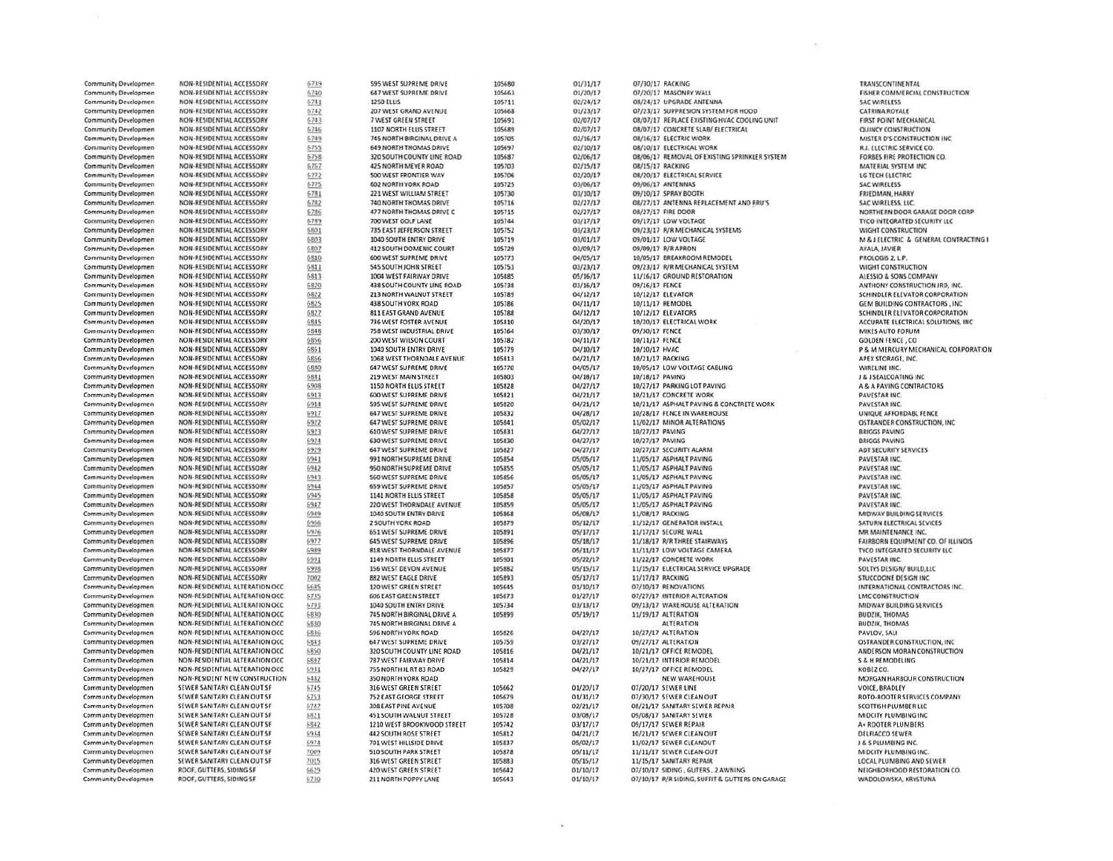| Community Developmen                                | NON-RESIDENTIAL ACCESSORY        | 6739         | 595 WEST SUPREME DRIVE         | 105680 | 01/31/17             | 07/30/17 RACKING                                | <b>TRANSCONTINENTAL</b>               |
|-----------------------------------------------------|----------------------------------|--------------|--------------------------------|--------|----------------------|-------------------------------------------------|---------------------------------------|
| Community Developmen                                | NON-RESIDENTIAL ACCESSORY        | 6740         | 647 WEST SUPREME DRIVE         | 105663 | 01/20/17             | 07/20/17 MASONRY WALL                           | <b>FISHER COMMERCIAL CONSTRUCTION</b> |
| Community Developmen                                | NON-RESIDENTIAL ACCESSORY        | 6741         | <b>1250 ELLIS</b>              | 105711 | 02/24/17             | 08/24/17 UPGRADE ANTENNA                        | <b>SAC WIRELESS</b>                   |
| <b>Community Developmen</b>                         | NON-RESIDENTIAL ACCESSORY        | 6742         | 207 WEST GRAND AVENUE          | 105668 | 01/23/17             | 07/23/17 SUPPRESION SYSTEM FOR HOOD             | <b>CATRINA ROYALE</b>                 |
| Community Developmen                                | NON-RESIDENTIAL ACCESSORY        | 6743         | 7 WEST GREEN STREET            | 105691 | 02/07/17             | 08/07/17 REPLACE EXISTING HVAC COOLING UNIT     | FIRST POINT MECHANICAL                |
| Community Developmen                                | NON-RESIDENTIAL ACCESSORY        | 6746         | 1107 NORTH ELLIS STREET        | 105689 | 02/07/17             | 08/07/17 CONCRETE SLAB/ ELECTRICAL              | QUINCY CONSTRUCTION                   |
| <b>Community Developmen</b>                         | NON-RESIDENTIAL ACCESSORY        | 6749         | 745 NORTH BIRGINAL DRIVE A     | 105705 | 02/16/17             | 08/16/17 ELECTRIC WORK                          | MISTER D'S CONSTRUCTION INC.          |
| <b>Community Developmen</b>                         | NON-RESIDENTIAL ACCESSORY        | 6755         | <b>649 NORTH THOMAS DRIVE</b>  | 105697 | 02/10/17             | 08/10/17 ELECTRICAL WORK                        | <b>R.J. ELECTRIC SERVICE CO.</b>      |
| <b>Community Developmen</b>                         | NON-RESIDENTIAL ACCESSORY        | 6758         | 320 SOUTH COUNTY LINE ROAD     | 105687 | 02/06/17             | 08/06/17 REMOVAL OF EXISTING SPRINKLER SYSTEM   | FORBES FIRE PROTECTION CO.            |
| <b>Community Developmen</b>                         | NON-RESIDENTIAL ACCESSORY        | 6767         | 425 NORTH MEYER ROAD           | 105703 | 02/15/17             | 08/15/17 RACKING                                | MATERIAL SYSTEM INC.                  |
| <b>Community Developmen</b>                         | NON-RESIDENTIAL ACCESSORY        | 6772         | 500 WEST FRONTIER WAY          | 105706 | 02/20/17             | 08/20/17 ELECTRICAL SERVICE                     | LG TECH ELECTRIC                      |
| Community Developmen                                | NON-RESIDENTIAL ACCESSORY        | 6775         | <b>602 NORTH YORK ROAD</b>     | 105725 | 03/06/17             | 09/06/17 ANTENNAS                               | <b>SAC WIRELESS</b>                   |
| <b>Community Developmen</b>                         | NON-RESIDENTIAL ACCESSORY        | 6781         | 221 WEST WILLIAM STREET        | 105730 | 03/10/17             | 09/10/17 SPRAY BOOTH                            | FRIEDMAN, HARRY                       |
| Community Developmen                                | NON-RESIDENTIAL ACCESSORY        | 6782         | 740 NORTH THOMAS DRIVE         | 105716 | 02/27/17             | 08/27/17 ANTENNA REPLACEMENT AND RRU'S          | SAC WIRELESS, LLC.                    |
| Community Developmen                                | NON-RESIDENTIAL ACCESSORY        | 6786         | 477 NORTH THOMAS DRIVE C       | 105715 | 02/27/17             | 08/27/17 FIRE DOOR                              | NORTHERN DOOR GARAGE DOOR COR         |
| <b>Community Developmen</b>                         | NON-RESIDENTIAL ACCESSORY        | 6789         | 700 WEST GOLF LANE             | 105744 | 03/17/17             | 09/17/17 LOW VOLTAGE                            | TYCO INTEGRATED SECURITY LLC          |
| Community Developmen                                | NON-RESIDENTIAL ACCESSORY        | 6801         | 735 EAST JEFFERSON STREET      | 105752 | 03/23/17             | 09/23/17 R/R MECHANICAL SYSTEMS                 | WIGHT CONSTRUCTION                    |
| Community Developmen                                | NON-RESIDENTIAL ACCESSORY        | 6803         | 1040 SOUTH ENTRY DRIVE         | 105719 | 03/01/17             | 09/01/17 LOW VOLTAGE                            | M & J ELECTRIC & GENERAL CONTRACT     |
| <b>Community Developmen</b>                         | NON-RESIDENTIAL ACCESSORY        | 6807         | <b>412 SOUTH DOMENIC COURT</b> | 105729 | 03/09/17             | 09/09/17 R/R APRON                              | AYALA, JAVIER                         |
| <b>Community Developmen</b>                         | NON-RESIDENTIAL ACCESSORY        | 6810         | 600 WEST SUPREME DRIVE         | 105773 | 04/05/17             | 10/05/17 BREAKROOM REMODEL                      | PROLOGIS 2, L.P.                      |
| <b>Community Developmen</b>                         | NON-RESIDENTIAL ACCESSORY        | 6811         | <b>545 SOUTH JOHN STREET</b>   | 105753 | 03/23/17             | 09/23/17 R/R MECHANICAL SYSTEM                  | WIGHT CONSTRUCTION                    |
| <b>Community Developmen</b>                         | NON-RESIDENTIAL ACCESSORY        | 6813         | 1004 WEST FAIRWAY DRIVE        | 105885 | 05/16/17             | 11/16/17 GROUND RESTORATION                     | ALESSIO & SONS COMPANY                |
| <b>Community Developmen</b>                         | NON-RESIDENTIAL ACCESSORY        | 6820         | 438 SOUTH COUNTY LINE ROAD     | 105738 | 03/16/17             | 09/16/17 FENCE                                  | ANTHONY CONSTRUCTION JRD, INC.        |
| <b>Community Developmen</b>                         | NON-RESIDENTIAL ACCESSORY        | 6822         | <b>213 NORTH WALNUT STREET</b> | 105789 | 04/12/17             | 10/12/17 ELEVATOR                               | SCHINDLER ELEVATOR CORPORATION        |
| <b>Community Developmen</b>                         | NON-RESIDENTIAL ACCESSORY        | 6825         | <b>438 SOUTH YORK ROAD</b>     | 105786 | 04/11/17             | 10/11/17 REMODEL                                | GEM BUILDING CONTRACTORS, INC.        |
| <b>Community Developmen</b>                         | NON-RESIDENTIAL ACCESSORY        | 6827         | <b>811 FAST GRAND AVENUE</b>   | 105788 | 04/12/17             | 10/12/17 ELEVATORS                              | SCHINDLER ELEVATOR CORPORATION        |
| Community Developmen                                | NON-RESIDENTIAL ACCESSORY        | 6845         | 736 WEST FOSTER AVENUE         | 105810 | 04/20/17             | 10/20/17 ELECTRICAL WORK                        | ACCURATE ELECTRICAL SOLUTIONS, INC    |
| <b>Community Developmen</b>                         | <b>NON-RESIDENTIAL ACCESSORY</b> | 6848         | 758 WEST INDUSTRIAL DRIVE      | 105764 | 03/30/17             | 09/30/17 FENCE                                  | MIKES AUTO FORUM                      |
| <b>Community Developmen</b>                         | NON-RESIDENTIAL ACCESSORY        | 6856         | 200 WEST WILSON COURT          | 105782 | 04/11/17             | 10/11/17 FENCE                                  | <b>GOLDEN FENCE, CO</b>               |
| <b>Community Developmen</b>                         | NON-RESIDENTIAL ACCESSORY        | 6861         | 1040 SOUTH ENTRY DRIVE         | 105779 | 04/10/17             | 10/10/17 HVAC                                   | P & M MERCURY MECHANICAL CORPOR       |
| <b>Community Developmen</b>                         | NON-RESIDENTIAL ACCESSORY        | 6866         | 1068 WEST THORNDALE AVENUE     | 105813 | 04/21/17             | 10/21/17 RACKING                                | APEX STORAGE, INC.                    |
| <b>Community Developmen</b>                         | NON-RESIDENTIAL ACCESSORY        | 6880         | <b>647 WEST SUPREME DRIVE</b>  | 105770 | 04/05/17             | 10/05/17 LOW VOLTAGE CABLING                    | WIRELINE INC.                         |
| <b>Community Developmen</b>                         | NON-RESIDENTIAL ACCESSORY        | 6831         | 219 WEST MAIN STREET           | 105803 | 04/18/17             | 10/18/17 PAVING                                 | <b>J &amp; J SEALCOATING INC.</b>     |
| <b>Community Developmen</b>                         | NON-RESIDENTIAL ACCESSORY        | 6908         | 1150 NORTH ELLIS STREET        | 105828 | 04/27/17             | 10/27/17 PARKING LOT PAVING                     | A & A PAVING CONTRACTORS              |
| <b>Community Developmen</b>                         | NON-RESIDENTIAL ACCESSORY        | 6913         | <b>600 WEST SUPREME DRIVE</b>  | 105821 | 04/21/17             | 10/21/17 CONCRETE WORK                          | PAVESTAR INC.                         |
| Community Developmen                                | NON-RESIDENTIAL ACCESSORY        | 6914         | 595 WEST SUPREME DRIVE         | 105820 | 04/21/17             | 10/21/17 ASPHALT PAVING & CONCTRETE WORK        | PAVESTAR INC.                         |
| <b>Community Developmen</b>                         | NON-RESIDENTIAL ACCESSORY        | 6917         | <b>647 WEST SUPREME DRIVE</b>  | 105832 | 04/28/17             | 10/28/17 FENCE IN WAREHOUSE                     | UNIQUE AFFORDABL FENCE                |
| <b>Community Developmen</b>                         | NON-RESIDENTIAL ACCESSORY        | 6922         | <b>647 WEST SUPREME DRIVE</b>  | 105841 | 05/02/17             | 11/02/17 MINOR ALTERATIONS                      | OSTRANDER CONSTRUCTION, INC.          |
| Community Developmen                                | NON-RESIDENTIAL ACCESSORY        | 6923         | <b>610 WEST SUPREME DRIVE</b>  | 105831 | 04/27/17             | 10/27/17 PAVING                                 | <b>BRIGGS PAVING</b>                  |
| <b>Community Developmen</b>                         | NON-RESIDENTIAL ACCESSORY        | 6924         | <b>630 WEST SUPREME DRIVE</b>  | 105830 | 04/27/17             | 10/27/17 PAVING                                 | <b>BRIGGS PAVING</b>                  |
| <b>Community Developmen</b>                         | NON-RESIDENTIAL ACCESSORY        | 6929         | 647 WEST SUPREME DRIVE         | 105827 | 04/27/17             | 10/27/17 SECURITY ALARM                         | ADT SECURITY SERVICES                 |
| Community Developmen                                | NON-RESIDENTIAL ACCESSORY        | 6941         | 991 NORTH SUPREME DRIVE        | 105854 | 05/05/17             | 11/05/17 ASPHALT PAVING                         | PAVESTAR INC.                         |
| Community Developmen                                | NON-RESIDENTIAL ACCESSORY        | 6942         | 950 NORTH SUPREME DRIVE        | 105855 | 05/05/17             | 11/05/17 ASPHALT PAVING                         | PAVESTAR INC.                         |
| Community Developmen                                | NON-RESIDENTIAL ACCESSORY        | 6943         | <b>560 WEST SUPREME DRIVE</b>  | 105856 | 05/05/17             | 11/05/17 ASPHALT PAVING                         | PAVESTAR INC.                         |
| Community Developmen                                | NON-RESIDENTIAL ACCESSORY        | 6944         | 659 WEST SUPREME DRIVE         | 105857 | 05/05/17             | 11/05/17 ASPHALT PAVING                         | PAVESTAR INC.                         |
| Community Developmen                                | NON-RESIDENTIAL ACCESSORY        | 6945         | <b>1141 NORTH ELLIS STREET</b> | 105858 | 05/05/17             | 11/05/17 ASPHALT PAVING                         | PAVESTAR INC.                         |
| Community Developmen                                | NON-RESIDENTIAL ACCESSORY        | 6947         | 220 WEST THORNDALE AVENUE      | 105859 | 05/05/17             | 11/05/17 ASPHALT PAVING                         | PAVESTAR INC.                         |
| Community Developmen                                | NON-RESIDENTIAL ACCESSORY        | 6949         | 1040 SOUTH ENTRY DRIVE         | 105868 | 05/08/17             | 11/08/17 RACKING                                | MIDWAY BUILDING SERVICES              |
| <b>Community Developmen</b>                         | NON-RESIDENTIAL ACCESSORY        | 6956         | 2 SOUTH YORK ROAD              | 105879 | 05/12/17             | 11/12/17 GENERATOR INSTALL                      | SATURN ELECTRICAL SEVICES             |
| Community Developmen                                | NON-RESIDENTIAL ACCESSORY        | 6976         | <b>651 WEST SUPREME DRIVE</b>  | 105891 | 05/17/17             | 11/17/17 SECURE WALL                            | MR MAINTENANCE INC.                   |
| Community Developmen                                | NON-RESIDENTIAL ACCESSORY        | 6977         | <b>645 WEST SUPREME DRIVE</b>  | 105896 | 05/18/17             | 11/18/17 R/R THREE STAIRWAYS                    | FAIRBORN EQUIPMENT CO. OF ILLINOIS    |
| <b>Community Developmen</b>                         | NON-RESIDENTIAL ACCESSORY        | 6989         | 818 WEST THORNDALE AVENUE      | 105877 | 05/11/17             | 11/11/17 LOW VOLTAGE CAMERA                     | TYCO INTEGRATED SECURITY LLC          |
| Community Developmen                                | NON-RESIDENTIAL ACCESSORY        | 5991         | 1149 NORTH FLUS STREET         | 105901 | 05/22/17             | 11/22/17 CONCRETE WORK                          | PAVESTAR INC.                         |
| Community Developmen                                | NON-RESIDENTIAL ACCESSORY        | 6998         | 156 WEST DEVON AVENUE          | 105882 | 05/15/17             | 11/15/17 ELECTRICAL SERVICE UPGRADE             | SOLTYS DESIGN/ BUILD,LLC              |
| Community Developmen                                | NON-RESIDENTIAL ACCESSORY        | 7002         | <b>B82 WEST EAGLE DRIVE</b>    | 105893 | 05/17/17             | 11/17/17 RACKING                                | <b>STUCCOONE DESIGN INC</b>           |
| Community Developmen                                | NON-RESIDENTIAL ALTERATION OCC.  | 6685         | 120 WEST GREEN STREET          | 105645 | 01/10/17             | 07/10/17 RENOVATIONS                            | INTERNATIONAL CONTRACTORS INC.        |
| Community Developmen                                | NON-RESIDENTIAL ALTERATION OCC.  | 6735         | <b>606 EAST GREEN STREET</b>   | 105673 | 01/27/17             | 07/27/17 INTERIOR ALTERATION                    | <b>LMC CONSTRUCTION</b>               |
| Community Developmen                                | NON-RESIDENTIAL ALTERATION OCC   | 6793         | 1040 SOUTH ENTRY DRIVE         | 105734 | 03/13/17             | 09/13/17 WAREHOUSE ALTERATION                   | MIDWAY BUILDING SERVICES              |
| <b>Community Developmen</b>                         | NON-RESIDENTIAL ALTERATION OCC   | 6830         | 745 NORTH BIRGINAL DRIVE A     | 105899 | 05/19/17             | 11/19/17 ALTERATION                             | <b>BUDZIK, THOMAS</b>                 |
| Community Developmen                                | NON-RESIDENTIAL ALTERATION OCC.  | 6830         | 745 NORTH BIRGINAL DRIVE A     |        |                      | <b>ALTERATION</b>                               | <b>BUDZIK, THOMAS</b>                 |
| Community Developmen                                | NON-RESIDENTIAL ALTERATION OCC.  | 6836         | <b>596 NORTH YORK ROAD</b>     | 105826 | 04/27/17             | 10/27/17 ALTERATION                             | PAVLOV, SALI                          |
| <b>Community Developmen</b>                         | NON-RESIDENTIAL ALTERATION OCC   | 6843         | 647 WEST SUPREME DRIVE         | 105759 | 03/27/17             | 09/27/17 ALTERATION                             | OSTRANDER CONSTRUCTION, INC.          |
| <b>Community Developmen</b>                         | NON-RESIDENTIAL ALTERATION OCC   | 6850         | 320 SOUTH COUNTY LINE ROAD     | 105816 | 04/21/17             | 10/21/17 OFFICE REMODEL                         | ANDERSON MORAN CONSTRUCTION           |
| <b>Community Developmen</b>                         | NON-RESIDENTIAL ALTERATION OCC   | 6897         | 787 WEST FAIRWAY DRIVE         | 105814 | 04/21/17             | 10/21/17 INTERIOR REMODEL                       | <b>S &amp; H REMODELING</b>           |
| Community Developmen                                | NON-RESIDENTIAL ALTERATION OCC   | 6931         | 755 NORTH IL RT 83 ROAD        | 105829 | 04/27/17             | 10/27/17 OFFICE REMODEL                         | KOBEZ CO.                             |
| <b>Community Developmen</b>                         | NON-RESIDENT NEW CONSTRUCTION    | 6482         | 350 NORTH YORK ROAD            |        |                      | <b>NEW WAREHOUSE</b>                            | MORGAN HARBOUR CONSTRUCTION           |
| <b>Community Developmen</b>                         | SEWER SANITARY CLEAN OUT SF      | 6745         | 316 WEST GREEN STREET          | 105662 | 01/20/17             | 07/20/17 SEWER LINE                             | VOICE, BRADLEY                        |
| <b>Community Developmen</b>                         | SEWER SANITARY CLEAN OUT SF      | 6753         | 752 EAST GEORGE STREET         | 105679 | 01/31/17             | 07/30/17 SEWER CLEAN OUT                        | ROTO-ROOTER SERVICES COMPANY          |
| <b>Community Developmen</b>                         | SEWER SANITARY CLEAN OUT SF      | 6787         | 308 EAST PINE AVENUE           | 105708 | 02/21/17             | 08/21/17 SANITARY SEWER REPAIR                  | SCOTTISH PLUMBER LLC                  |
| Community Developmen                                | SEWER SANITARY CLEAN OUT SF      | 6821         | 451 SOUTH WALNUT STREET        | 105728 | 03/08/17             | 09/08/17 SANITARY SEWER                         | MIDCITY PLUMBING INC                  |
| <b>Community Developmen</b>                         | SEWER SANITARY CLEAN OUT SF      | 6842         | 1210 WEST BROOKWOOD STREET     | 105742 | 03/17/17             | 09/17/17 SEWER REPAIR                           | A+ ROOTER PLUMBERS                    |
| <b>Community Developmen</b>                         | SEWER SANITARY CLEAN OUT SF      | 6934         | 442 SOUTH ROSE STREET          | 105812 | 04/21/17             | 10/21/17 SEWER CLEAN OUT                        | DELFIACCO SEWER                       |
|                                                     | SEWER SANITARY CLEAN OUT SF      | 6974         | 701 WEST HILLSIDE DRIVE        | 105837 |                      | 11/02/17 SEWER CLEANOUT                         | J & S PLUMBING INC.                   |
| Community Developmen<br><b>Community Developmen</b> | SEWER SANITARY CLEAN OUT SF      |              | <b>510 SOUTH PARK STREET</b>   | 105878 | 05/02/17<br>05/11/17 | 11/11/17 SEWER CLEAN-OUT                        | MIDCITY PLUMBING INC.                 |
| Community Developmen                                | SEWER SANITARY CLEAN OUT SF      | 7009<br>7015 | <b>316 WEST GREEN STREET</b>   | 105883 | 05/15/17             | 11/15/17 SANITARY REPAIR                        | LOCAL PLUMBING AND SEWER              |
| Community Developmen                                | ROOF, GUTTERS, SIDING SF         | 6629         | 420 WEST GREEN STREET          | 105642 | 01/10/17             | 07/10/17 SIDING, GUTERS, 2 AWNING               | NEIGHBORHOOD RESTORATION CO.          |
| Community Developmen                                | ROOF, GUTTERS, SIDING SF         |              | 211 NORTH POPPY LANE           | 105643 | 01/10/17             | 07/10/17 R/R SIDING, SUFFIT & GUTTERS ON GARAGE | WADOLOWSKA, KRYSTUNA                  |
|                                                     |                                  | 6730         |                                |        |                      |                                                 |                                       |

VICAL<br>ICTION INC<br>E CO.<br>TION CO.<br>VC **RAGE DOOR CORP**<br>CURITY LLC m NERAL CONTRACTING I ON<br>APANY<br>CTION JRD, INC.<br>R CORPORATION<br>R CORPORATION<br>AL SOLUTIONS, INC. **HANICAL CORPORATION** ACTORS FENCE<br>UCTION, INC  $53$ ERVICES<br>SEVICES IC.<br>IT CO. OF ILLINOIS<br>CURITY LLC .D,LLC<br>INC<br>ITRACTORS INC. RVICES **JCTION, INC<br>ONSTRUCTION** ONSTRUCTION ES COMPANY AC<br>FC NC.<br>ID SEWER<br>TORATION CO.<br>TUNA

 $\mathcal{P}^{(1)}_{\mathcal{N}}$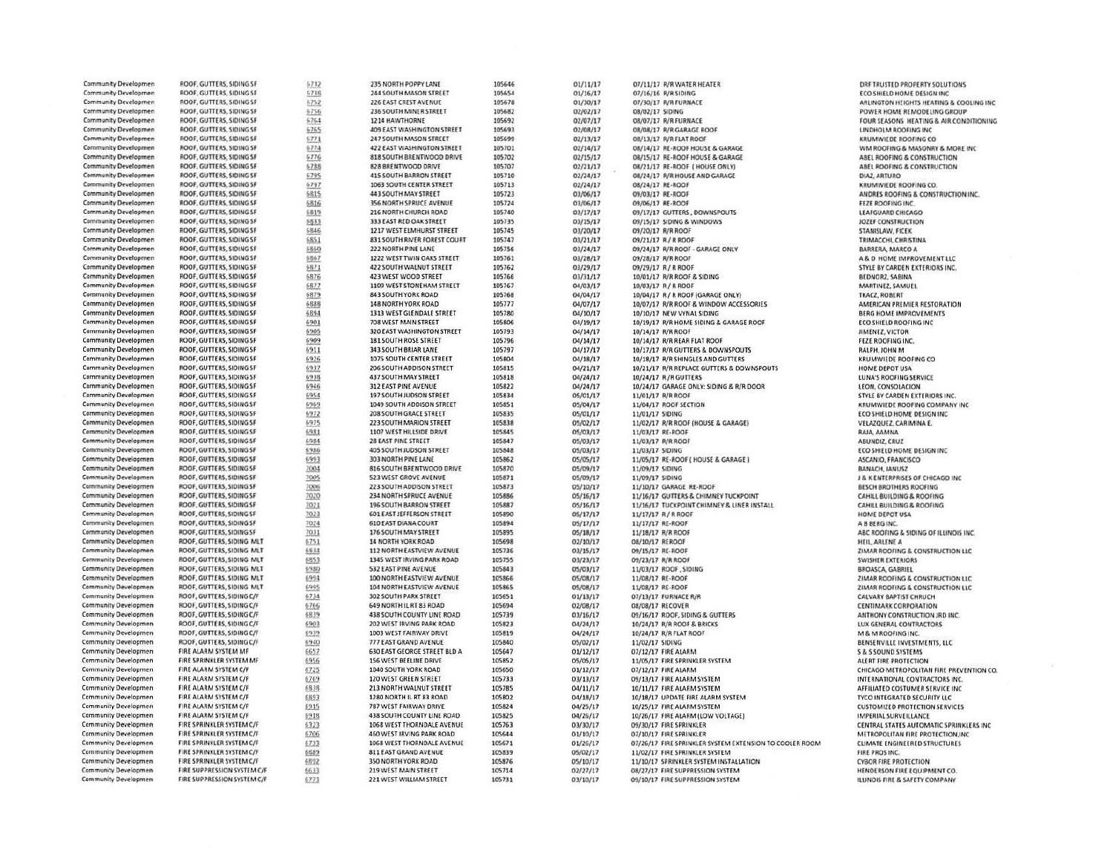| <b>Community Developmen</b>                                | ROOF, GUTTERS, SIDING SF                             | 6732         | 235 NORTH POPPY LANE                                     | 105646           | 01/11/17             | 07/11/17 R/R WATER HEATER                                    | DRF TRUSTED PROPERTY SOLUTIONS                                                |
|------------------------------------------------------------|------------------------------------------------------|--------------|----------------------------------------------------------|------------------|----------------------|--------------------------------------------------------------|-------------------------------------------------------------------------------|
| <b>Community Developmen</b>                                | ROOF, GUTTERS, SIDING SF                             | 6738         | 244 SOUTH MASON STREET                                   | 105654           | 01/16/17             | 07/16/16 R/R SIDING                                          | ECO SHIELD HOME DESIGN INC                                                    |
| Community Developmen                                       | ROOF, GUTTERS, SIDING SF                             | 6752         | 226 EAST CREST AVENUE                                    | 105678           | 01/30/17             | 07/30/17 R/R FURNACE                                         | ARLINGTON HEIGHTS HEATING & COOLING INC                                       |
| Community Developmen                                       | ROOF, GUTTERS, SIDING SF                             | 6756         | 236 SOUTH MINER STREET                                   | 105682           | 02/02/17             | 08/02/17 SIDING                                              | POWER HOME REMODELING GROUP                                                   |
| Community Developmen                                       | ROOF, GUTTERS, SIDING SF                             | 6764         | 1214 HAWTHORNE                                           | 105692           | 02/07/17             | 08/07/17 R/R FURNACE                                         | FOUR SEASONS HEATING & AIR CONDITIONING                                       |
| <b>Community Developmen</b>                                | ROOF, GUTTERS, SIDING SF                             | 6765         | 409 EAST WASHINGTON STREET                               | 105693           | 02/08/17             | 08/08/17 R/R GARAGE ROOF                                     | LINDHOLM ROOFING INC                                                          |
| <b>Community Developmen</b>                                | ROOF, GUTTERS, SIDING SF                             | 6771         | 247 SOUTH MASON STREET                                   | 105699           | 02/13/17             | 08/13/17 R/R FLAT ROOF                                       | KRUMWIEDE ROOFING CO                                                          |
| <b>Community Developmen</b>                                | ROOF, GUTTERS, SIDING SF                             | 6774         | 422 EAST WASHINGTON STREET                               | 105701           | 02/14/17             | 08/14/17 RE-ROOF HOUSE & GARAGE                              | WM ROOFING & MASONRY & MORE INC.                                              |
| <b>Community Developmen</b>                                | ROOF, GUTTERS, SIDING SF                             | 5776         | 818 SOUTH BRENTWOOD DRIVE                                | 105702           | 02/15/17             | 08/15/17 RE-ROOF HOUSE & GARAGE                              | ABEL ROOFING & CONSTRUCTION                                                   |
| <b>Community Developmen</b>                                | ROOF, GUTTERS, SIDING SF                             | 6785         | 828 BRENTWOOD DRIVE                                      | 105707           | 02/21/17             | 08/21/17 RE-ROOF ( HOUSE ONLY)                               | ABEL ROOFING & CONSTRUCTION                                                   |
| Community Developmen                                       | ROOF, GUTTERS, SIDING SF                             | 6795         | 415 SOUTH BARRON STREET                                  | 105710           | 02/24/17             | 08/24/17 R/R HOUSE AND GARAGE                                | <b>DIAZ, ARTURO</b>                                                           |
| <b>Community Developmen</b>                                | ROOF, GUTTERS, SIDING SF                             | 6797         | 1063 SOUTH CENTER STREET                                 | 105713           | 02/24/17             | 08/24/17 RE-ROOF                                             | KRUMWIEDE ROOFING CO.                                                         |
| <b>Community Developmen</b>                                | ROOF, GUTTERS, SIDING SF.                            | 6815         | 443 SOUTH MAY STREET                                     | 105723           | 03/06/17             | 09/03/17 RE-ROOF                                             | ANDRES ROOFING & CONSTRUCTION INC.                                            |
| Community Developmen                                       | ROOF, GUTTERS, SIDING SF                             | 6816         | 356 NORTH SPRUCE AVENUE                                  | 105724           | 03/06/17             | 09/06/17 RE-ROOF                                             | FEZE ROOFING INC.                                                             |
| Community Developmen                                       | ROOF, GUTTERS, SIDING SF                             | 6819         | 216 NORTH CHURCH ROAD<br>333 EAST RED OAK STREET         | 105740<br>105735 | 03/17/17             | 09/17/17 GUTTERS, DOWNSPOUTS                                 | LEAFGUARD CHICAGO                                                             |
| <b>Community Developmen</b><br><b>Community Developmen</b> | ROOF, GUTTERS, SIDING SF                             | 6833<br>6846 | 1217 WEST ELMHURST STREET                                | 105745           | 03/15/17             | 09/15/17 SIDING & WINDOWS                                    | JOZEF CONSTRUCTION                                                            |
| <b>Community Developmen</b>                                | ROOF, GUTTERS, SIDING SF<br>ROOF, GUTTERS, SIDING SF |              | 831 SOUTH RIVER FOREST COURT                             | 105747           | 03/20/17<br>03/21/17 | 09/20/17 R/R ROOF<br>09/21/17 R/R ROOF                       | STANISLAW, FICEK                                                              |
| <b>Community Developmen</b>                                | ROOF, GUTTERS, SIDING SF                             | 6851<br>6860 | 222 NORTH PINE LANE                                      | 105756           | 03/24/17             | 09/24/17 R/R ROOF - GARAGE ONLY                              | TRIMACCHI, CHRISTINA<br><b>BARRERA, MARCO A</b>                               |
| <b>Community Developmen</b>                                | ROOF, GUTTERS, SIDING SF                             | 6867         | 1222 WEST TWIN OAKS STREET                               | 105761           | 03/28/17             |                                                              |                                                                               |
| <b>Community Developmen</b>                                | ROOF, GUTTERS, SIDING SF                             | 6871         | 422 SOUTH WALNUT STREET                                  | 105762           | 03/29/17             | 09/28/17 R/R ROOF<br>09/29/17 R/RROOF                        | A & D HOME IMPROVEMENT LLC<br>STYLE BY CARDEN EXTERIORS INC.                  |
| <b>Community Developmen</b>                                | ROOF, GUTTERS, SIDING SF                             | 6876         | 423 WEST WOOD STREET                                     | 105766           | 03/31/17             | 10/01/17 R/R ROOF & SIDING                                   | BEDNORZ, SABINA                                                               |
| <b>Community Developmen</b>                                | ROOF, GUTTERS, SIDING SF                             | 6877         | 1109 WEST STONEHAM STREET                                | 105767           | 04/03/17             | 10/03/17 R / R ROOF                                          | MARTINEZ, SAMUEL                                                              |
| <b>Community Developmen</b>                                | ROOF, GUTTERS, SIDING SF                             | 6879         | 843 SOUTH YORK ROAD                                      | 105768           | 04/04/17             | 10/04/17 R / R ROOF (GARAGE ONLY)                            | TKACZ, ROBERT                                                                 |
| <b>Community Developmen</b>                                | ROOF, GUTTERS, SIDING SF                             | 6886         | 148 NORTH YORK ROAD                                      | 105777           | 04/07/17             | 10/07/17 R/R ROOF & WINDOW ACCESSORIES                       | AMERICAN PREMIER RESTORATION                                                  |
| <b>Community Developmen</b>                                | ROOF, GUTTERS, SIDING SF                             | 6894         | 1313 WEST GLENDALE STREET                                | 105780           | 04/10/17             | 10/10/17 NEW VYNAL SIDING                                    | BERG HOME IMPROVEMENTS                                                        |
| <b>Community Developmen</b>                                | ROOF, GUTTERS, SIDING SF                             | 6901         | 708 WEST MAIN STREET                                     | 105806           | 04/19/17             | 10/19/17 R/R HOME SIDING & GARAGE ROOF                       | <b>ECO SHIELD ROOFING INC</b>                                                 |
| Community Developmen                                       | ROOF, GUTTERS, SIDING SF                             | 6905         | 320 EAST WASHINGTON STREET                               | 105793           | 04/14/17             | 10/14/17 R/R ROOF                                            | JIMENEZ, VICTOR                                                               |
| Community Developmen                                       | ROOF, GUTTERS, SIDING SF                             | 6909         | 181 SOUTH ROSE STREET                                    | 105796           | 04/14/17             | 10/14/17 R/R REAR FLAT ROOF                                  | FEZE ROOFING INC.                                                             |
| <b>Community Developmen</b>                                | ROOF, GUTTERS, SIDING SF                             | 6911         | 343 SOUTH BRIAR LANE                                     | 105797           | 04/17/17             | 10/17/17 R/R GUTTERS & DOWNSPOUTS                            | RALPH, JOHN M                                                                 |
| <b>Community Developmen</b>                                | ROOF, GUTTERS, SIDING SF                             | 6926         | 1075 SOUTH CENTER STREET                                 | 105804           | 04/18/17             | 10/18/17 R/R SHINGLES AND GUTTERS                            | KRUMWIEDE ROOFING CO                                                          |
| Community Developmen                                       | ROOF, GUTTERS, SIDING SF                             | 6937         | 206 SOUTH ADDISON STREET                                 | 105815           | 04/21/17             | 10/21/17 R/R REPLACE GUTTERS & DOWNSPOUTS                    | HOME DEPOT USA                                                                |
| <b>Community Developmen</b>                                | ROOF, GUTTERS, SIDING SF                             | 6938         | <b>437 SOUTH MAY STREET</b>                              | 105818           | 04/24/17             | 10/24/17 R/R GUTTERS                                         | LUNA'S ROOFING SERVICE                                                        |
| <b>Community Developmen</b>                                | ROOF, GUTTERS, SIDING SF                             | 6946         | 312 EAST PINE AVENUE                                     | 105822           | 04/24/17             | 10/24/17 GARAGE ONLY: SIDING & R/R DOOR                      | LEON, CONSOLACION                                                             |
| <b>Community Developmen</b>                                | ROOF, GUTTERS, SIDING SF                             | 6954         | 197 SOUTH JUDSON STREET                                  | 105834           | 05/01/17             | 11/01/17 R/R ROOF                                            | STYLE BY CARDEN EXTERIORS INC.                                                |
| <b>Community Developmen</b>                                | ROOF, GUTTERS, SIDING SF                             | 6969         | 1049 SOUTH ADDISON STREET                                | 105851           | 05/04/17             | 11/04/17 ROOF SECTION                                        | KRUMWIEDE ROOFING COMPANY INC.                                                |
| <b>Community Developmen</b>                                | ROOF, GUTTERS, SIDING SF                             | 6972         | 208 SOUTH GRACE STREET                                   | 105835           | 05/01/17             | 11/01/17 SIDING                                              | ECO SHIELD HOME DESIGN INC                                                    |
| <b>Community Developmen</b>                                | ROOF, GUTTERS, SIDING SF                             | 6975         | 223 SOUTH MARION STREET                                  | 105838           | 05/02/17             | 11/02/17 R/R ROOF (HOUSE & GARAGE)                           | VELAZQUEZ, CARIMINA E.                                                        |
| <b>Community Developmen</b>                                | ROOF, GUTTERS, SIDING SF                             | 6981         | 1107 WEST HILLSIDE DRIVE                                 | 105845           | 05/03/17             | 11/03/17 RE-ROOF                                             | RAJA, AAMNA                                                                   |
| <b>Community Developmen</b>                                | ROOF, GUTTERS, SIDING SF                             | 6984         | <b>28 EAST PINE STREET</b>                               | 105847           | 05/03/17             | 11/03/17 R/R ROOF                                            | ABUNDIZ, CRUZ                                                                 |
| <b>Community Developmen</b>                                | ROOF, GUTTERS, SIDING SF                             | 6986         | 405 SOUTH JUDSON STREET                                  | 105848           | 05/03/17             | 11/03/17 SIDING                                              | ECO SHIELD HOME DESIGN INC                                                    |
| Community Developmen                                       | ROOF, GUTTERS, SIDING SF                             | 6993         | 303 NORTH PINE LANE                                      | 105862           | 05/05/17             | 11/05/17 RE-ROOF ( HOUSE & GARAGE )                          | ASCANIO, FRANCISCO                                                            |
| Community Developmen                                       | ROOF, GUTTERS, SIDING SF                             | 7004         | 816 SOUTH BRENTWOOD DRIVE                                | 105870           | 05/09/17             | 11/09/17 SIDING                                              | <b>BANACH, JANUSZ</b>                                                         |
| Community Developmen                                       | ROOF, GUTTERS, SIDING SF                             | 7005         | 523 WEST GROVE AVENUE                                    | 105871           | 05/09/17             | 11/09/17 SIDING                                              | <b>J &amp; K ENTERPRISES OF CHICAGO INC.</b>                                  |
| <b>Community Developmen</b>                                | ROOF, GUTTERS, SIDING SF                             | 7006         | 223 SOUTH ADDISON STREET                                 | 105873           | 05/10/17             | 11/10/17 GARAGE RE-ROOF                                      | BESCH BROTHERS ROOFING                                                        |
| Community Developmen                                       | ROOF, GUTTERS, SIDING SF                             | 7020         | 234 NORTH SPRUCE AVENUE                                  | 105886           | 05/16/17             | 11/16/17 GUTTERS & CHIMNEY TUCKPOINT                         | CAHILL BUILDING & ROOFING                                                     |
| Community Developmen                                       | ROOF, GUTTERS, SIDING SF                             | 7021         | 196 SOUTH BARRON STREET                                  | 105887           | 05/16/17             | 11/16/17 TUCKPOINT CHIMNEY & LINER INSTALL                   | CAHILL BUILDING & ROOFING                                                     |
| <b>Community Developmen</b>                                | ROOF, GUTTERS, SIDING SF                             | 7023         | 601 EAST JEFFERSON STREET                                | 105890           | 05/17/17             | 11/17/17 R/R ROOF                                            | HOME DEPOT USA                                                                |
| <b>Community Developmen</b>                                | ROOF, GUTTERS, SIDING SF                             | 7024         | <b>610 EAST DIANA COURT</b>                              | 105894           | 05/17/17             | 11/17/17 RE-ROOF                                             | A B BERG INC.                                                                 |
| <b>Community Developmen</b>                                | ROOF, GUTTERS, SIDING SF                             | 7031         | 176 SOUTH MAY STREET                                     | 105895           | 05/18/17             | 11/18/17 R/R ROOF                                            | ABC ROOFING & SIDING OF ILLINOIS INC.                                         |
| <b>Community Developmen</b>                                | ROOF, GUTTERS, SIDING MLT                            | 6751         | 14 NORTH YORK ROAD                                       | 105698           | 02/10/17             | 08/10/17 REROOF                                              | HEIL, ARLENE A                                                                |
| <b>Community Developmen</b>                                | ROOF, GUTTERS, SIDING MLT                            | 5834         | 112 NORTH EASTVIEW AVENUE                                | 105736           | 03/15/17             | 09/15/17 RE-ROOF                                             | ZIMAR ROOFING & CONSTRUCTION LLC                                              |
| <b>Community Developmen</b>                                | ROOF, GUTTERS, SIDING MLT                            | 6853         | 1345 WEST IRVING PARK ROAD                               | 105755           | 03/23/17             | 09/23/17 R/R ROOF                                            | <b>SWISHER EXTERIORS</b>                                                      |
| <b>Community Developmen</b>                                | ROOF, GUTTERS, SIDING MLT                            | 6980         | <b>532 EAST PINE AVENUE</b>                              | 105843           | 05/03/17             | 11/03/17 ROOF, SIDING                                        | <b>BROASCA, GABRIEL</b>                                                       |
| <b>Community Developmen</b>                                | ROOF, GUTTERS, SIDING MLT                            | 6994         | 100 NORTH EASTVIEW AVENUE                                | 105866           | 05/08/17             | 11/08/17 RE-ROOF                                             | ZIMAR ROOFING & CONSTRUCTION LLC                                              |
| <b>Community Developmen</b>                                | ROOF, GUTTERS, SIDING MLT                            | 6995         | 104 NORTH EASTVIEW AVENUE                                | 105865           | 05/08/17             | 11/08/17 RE-ROOF                                             | ZIMAR ROOFING & CONSTRUCTION LLC                                              |
| <b>Community Developmen</b>                                | ROOF, GUTTERS, SIDING C/F                            | 6734         | <b>302 SOUTH PARK STREET</b>                             | 105651           | 01/13/17             | 07/13/17 FURNACE R/R                                         | <b>CALVARY BAPTIST CHRUCH</b>                                                 |
| <b>Community Developmen</b>                                | ROOF, GUTTERS, SIDING C/F                            | 6766         | <b>649 NORTH IL RT 83 ROAD</b>                           | 105694           | 02/08/17             | 08/08/17 RECOVER                                             | <b>CENTIMARK CORPORATION</b>                                                  |
| <b>Community Developmen</b>                                | ROOF, GUTTERS, SIDING C/F                            | 5839         | 438 SOUTH COUNTY LINE ROAD                               | 105739           | 03/16/17             | 09/16/17 ROOF, SIDING & GUTTERS                              | ANTHONY CONSTRUCTION JRD INC.                                                 |
| Community Developmen                                       | ROOF, GUTTERS, SIDING C/F                            | 6903         | 202 WEST IRVING PARK ROAD                                | 105823           | 04/24/17             | 10/24/17 R/R ROOF & BRICKS                                   | LUX GENERAL CONTRACTORS                                                       |
| Community Developmen                                       | ROOF, GUTTERS, SIDING C/F                            | 6939         | 1003 WEST FAIRWAY DRIVE                                  | 105819           | 04/24/17             | 10/24/17 R/R FLAT ROOF                                       | M & M ROOFING INC.                                                            |
| <b>Community Developmen</b>                                | ROOF, GUTTERS, SIDING C/F                            | 6940         | 777 EAST GRAND AVENUE                                    | 105840           | 05/02/17             | 11/02/17 SIDING                                              | BENSENVILLE INVESTMENTS, LLC                                                  |
| <b>Community Developmen</b>                                | FIRE ALARM SYSTEM MF                                 | 6652         | <b>630 EAST GEORGE STREET BLD A</b>                      | 105647           | 01/12/17             | 07/12/17 FIRE ALARM                                          | <b>S &amp; S SOUND SYSTEMS</b>                                                |
| Community Developmen                                       | FIRE SPRINKLER SYSTEM MF                             | 6956         | 156 WEST BEELINE DRIVE                                   | 105852           | 05/05/17             | 11/05/17 FIRE SPRINKLER SYSTEM                               | ALERT FIRE PROTECTION                                                         |
| <b>Community Developmen</b>                                | FIRE ALARM SYSTEM C/F                                | 6725         | 1040 SOUTH YORK ROAD                                     | 105650           | 01/12/17             | 07/12/17 FIRE ALARM                                          | CHICAGO METROPOLITAN FIRE PREVENTION CO.                                      |
| Community Developmen                                       | FIRE ALARM SYSTEM C/F                                | 6769         | 120 WEST GREEN STREET                                    | 105733           | 03/13/17             | 09/13/17 FIRE ALARM SYSTEM                                   | INTERNATIONAL CONTRACTORS INC.                                                |
| <b>Community Developmen</b>                                | FIRE ALARM SYSTEM C/F                                | 6838         | 213 NORTH WALNUT STREET                                  | 105785           | 04/11/17             | 10/11/17 FIRE ALARM SYSTEM                                   | AFFILIATED COSTUMER SERVICE INC.                                              |
| <b>Community Developmen</b><br><b>Community Developmen</b> | FIRE ALARM SYSTEM C/F<br>FIRE ALARM SYSTEM C/F       | 6893         | 1280 NORTH IL RT 83 ROAD<br>787 WEST FAIRWAY DRIVE       | 105802<br>105824 | 04/18/17             | 10/18/17 UPDATE FIRE ALARM SYSTEM                            | TYCO INTEGRATED SECURITY LLC                                                  |
|                                                            | FIRE ALARM SYSTEM C/F                                | 6915<br>6918 |                                                          |                  | 04/25/17             | 10/25/17 FIRE ALARM SYSTEM                                   | <b>CUSTOMIZED PROTECTION SERVICES</b>                                         |
| <b>Community Developmen</b><br><b>Community Developmen</b> | FIRE SPRINKLER SYSTEM C/F                            | 6323         | 438 SOUTH COUNTY LINE ROAD<br>1068 WEST THORNDALE AVENUE | 105825<br>105763 | 04/26/17<br>03/30/17 | 10/26/17 FIRE ALARM (LOW VOLTAGE)<br>09/30/17 FIRE SPRINKLER | IMPERIAL SURVEILLANCE                                                         |
| Community Developmen                                       | FIRE SPRINKLER SYSTEM C/F                            | 6706         | 460 WEST IRVING PARK ROAD                                | 105644           | 01/10/17             | 07/10/17 FIRE SPRINKLER                                      | CENTRAL STATES AUTOMATIC SPRINKLERS INC<br>METROPOLITAN FIRE PROTECTION, INC. |
| <b>Community Developmen</b>                                | FIRE SPRINKLER SYSTEM C/F                            | 6733         | 1068 WEST THORNDALE AVENUE                               | 105671           | 01/26/17             | 07/26/17 FIRE SPRINKLER SYSTEM EXTENSION TO COOLER ROOM      | <b>CLIMATE ENGINEERED STRUCTURES</b>                                          |
| <b>Community Developmen</b>                                | FIRE SPRINKLER SYSTEM C/F                            | 6889         | <b>811 EAST GRAND AVENUE</b>                             | 105839           | 05/02/17             | 11/02/17 FIRE SPRINKLER SYSTEM                               | <b>FIRE PROS INC</b>                                                          |
| <b>Community Developmen</b>                                | FIRE SPRINKLER SYSTEM C/F                            | 6892         | 350 NORTH YORK ROAD                                      | 105876           | 05/10/17             | 11/10/17 SPRINKLER SYSTEM INSTALLATION                       | <b>CYBOR FIRE PROTECTION</b>                                                  |
| Community Developmen                                       | FIRE SUPPRESSION SYSTEM C/F                          | 6633         | 219 WEST MAIN STREET                                     | 105714           | 02/27/17             | 08/27/17 FIRE SUPPRESSION SYSTEM                             | HENDERSON FIRE EQUIPMENT CO.                                                  |
| Community Developmen                                       | FIRE SUPPRESSION SYSTEM C/F                          | 6773         | 221 WEST WILLIAM STREET                                  | 105731           | 03/10/17             | 09/10/17 FIRE SUPPRESSION SYSTEM                             | <b>ILLINOIS FIRE &amp; SAFETY COMPANY</b>                                     |
|                                                            |                                                      |              |                                                          |                  |                      |                                                              |                                                                               |